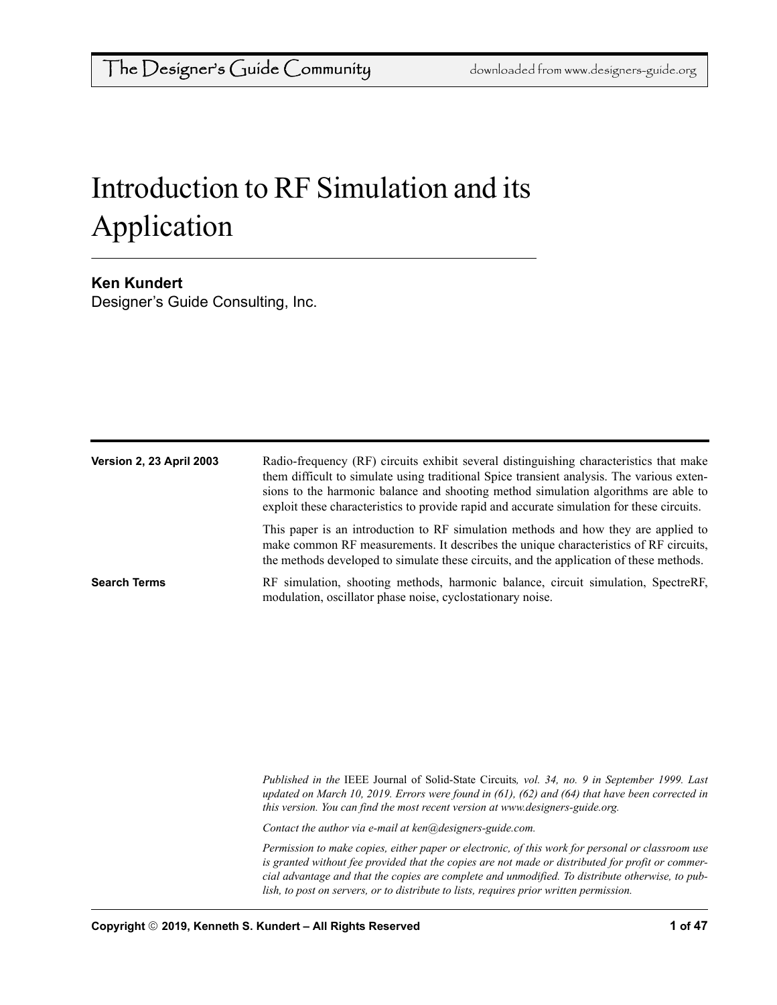# Introduction to RF Simulation and its Application

# **[Ken Kundert](mailto:ken@designers-guide.com)**

[Designer's Guide Consulting, Inc.](http://www.designers-guide.com/home.html)

**Version 2, 23 April 2003** Radio-frequency (RF) circuits exhibit several distinguishing characteristics that make them difficult to simulate using traditional Spice transient analysis. The various extensions to the harmonic balance and shooting method simulation algorithms are able to exploit these characteristics to provide rapid and accurate simulation for these circuits. This paper is an introduction to RF simulation methods and how they are applied to make common RF measurements. It describes the unique characteristics of RF circuits, the methods developed to simulate these circuits, and the application of these methods. **Search Terms** RF simulation, shooting methods, harmonic balance, circuit simulation, SpectreRF, modulation, oscillator phase noise, cyclostationary noise.

> *Published in the* IEEE Journal of Solid-State Circuits*, vol. 34, no. 9 in September 1999. L[ast](https://www.designers-guide.com) [updated on March 10, 2019. Errors were found in \(61\), \(62\) and \(64\) that have been corrected in](https://www.designers-guide.com) this version. You can find the most recent version at www.designers-guide.org.*

*[Contact the author via e-mail at ken@designers-guide.com.](mailto:ken@designers-guide.com)*

*Permission to make copies, either paper or electronic, of this work for personal or classroom use is granted without fee provided that the copies are not made or distributed for profit or commercial advantage and that the copies are complete and unmodified. To distribute otherwise, to publish, to post on servers, or to distribute to lists, requires prior written permission.*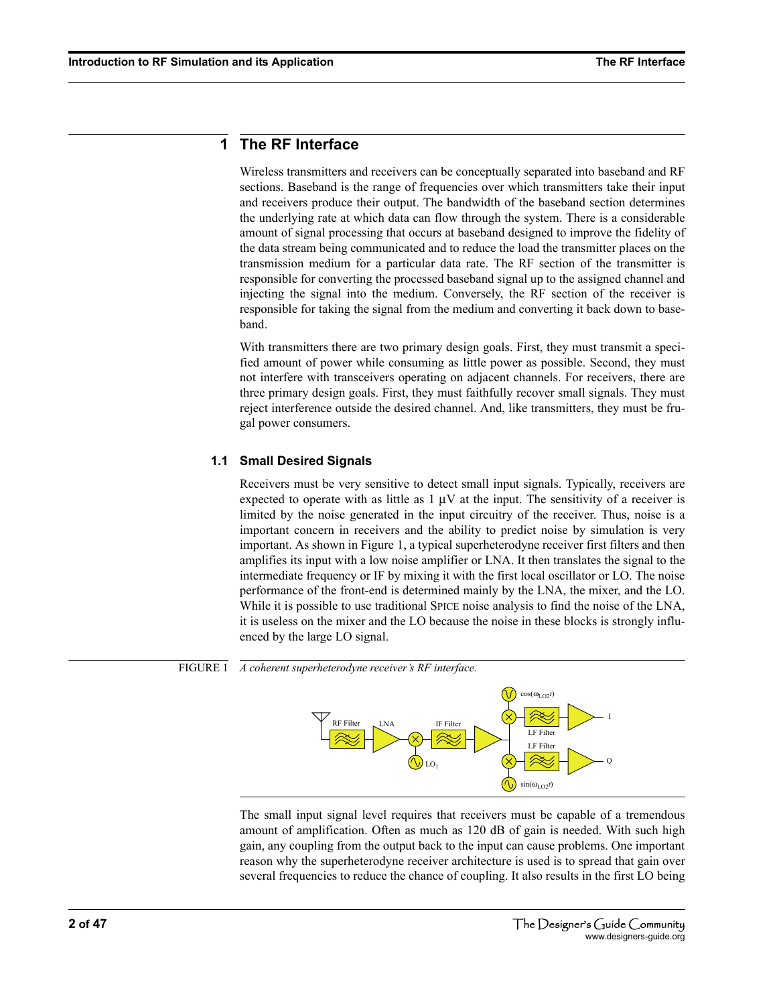# **1 The RF Interface**

Wireless transmitters and receivers can be conceptually separated into baseband and RF sections. Baseband is the range of frequencies over which transmitters take their input and receivers produce their output. The bandwidth of the baseband section determines the underlying rate at which data can flow through the system. There is a considerable amount of signal processing that occurs at baseband designed to improve the fidelity of the data stream being communicated and to reduce the load the transmitter places on the transmission medium for a particular data rate. The RF section of the transmitter is responsible for converting the processed baseband signal up to the assigned channel and injecting the signal into the medium. Conversely, the RF section of the receiver is responsible for taking the signal from the medium and converting it back down to baseband.

With transmitters there are two primary design goals. First, they must transmit a specified amount of power while consuming as little power as possible. Second, they must not interfere with transceivers operating on adjacent channels. For receivers, there are three primary design goals. First, they must faithfully recover small signals. They must reject interference outside the desired channel. And, like transmitters, they must be frugal power consumers.

# **1.1 Small Desired Signals**

Receivers must be very sensitive to detect small input signals. Typically, receivers are expected to operate with as little as  $1 \mu V$  at the input. The sensitivity of a receiver is limited by the noise generated in the input circuitry of the receiver. Thus, noise is a important concern in receivers and the ability to predict noise by simulation is very important. As shown in [Figure 1](#page-1-0), a typical superheterodyne receiver first filters and then amplifies its input with a low noise amplifier or LNA. It then translates the signal to the intermediate frequency or IF by mixing it with the first local oscillator or LO. The noise performance of the front-end is determined mainly by the LNA, the mixer, and the LO. While it is possible to use traditional SPICE noise analysis to find the noise of the LNA, it is useless on the mixer and the LO because the noise in these blocks is strongly influenced by the large LO signal.



The small input signal level requires that receivers must be capable of a tremendous amount of amplification. Often as much as 120 dB of gain is needed. With such high gain, any coupling from the output back to the input can cause problems. One important reason why the superheterodyne receiver architecture is used is to spread that gain over several frequencies to reduce the chance of coupling. It also results in the first LO being

# <span id="page-1-0"></span>FIGURE 1 *A coherent superheterodyne receiver's RF interface.*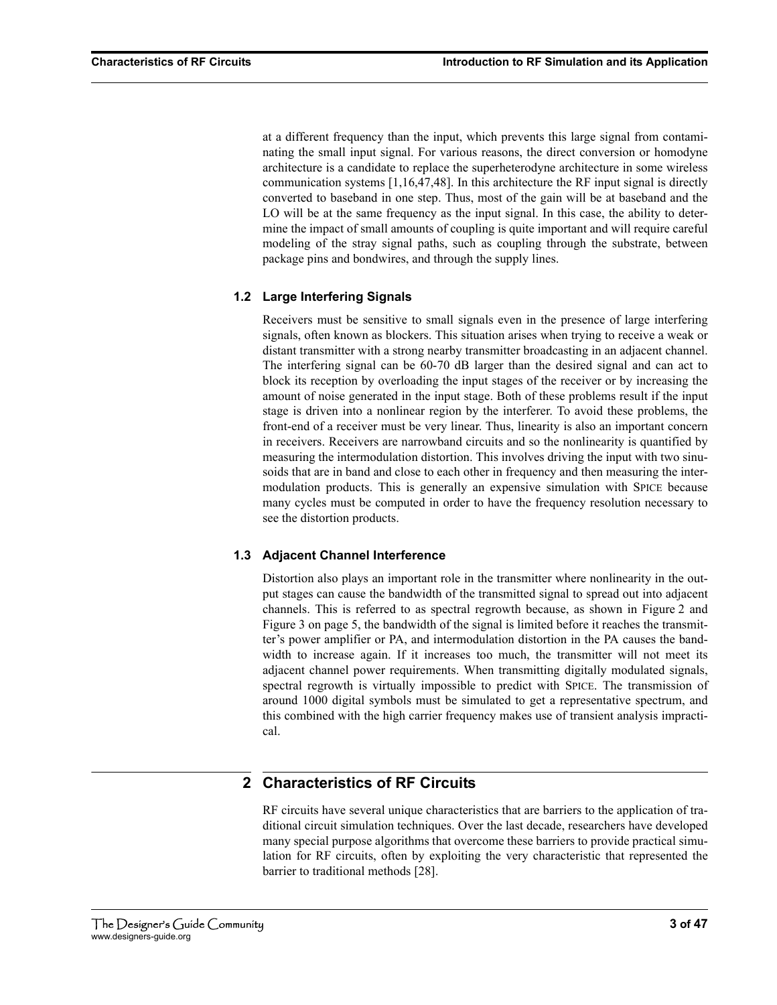at a different frequency than the input, which prevents this large signal from contaminating the small input signal. For various reasons, the direct conversion or homodyne architecture is a candidate to replace the superheterodyne architecture in some wireless communication systems [[1,](#page-41-0)[16,](#page-42-0)[47,](#page-44-0)[48\]](#page-44-1). In this architecture the RF input signal is directly converted to baseband in one step. Thus, most of the gain will be at baseband and the LO will be at the same frequency as the input signal. In this case, the ability to determine the impact of small amounts of coupling is quite important and will require careful modeling of the stray signal paths, such as coupling through the substrate, between package pins and bondwires, and through the supply lines.

# **1.2 Large Interfering Signals**

Receivers must be sensitive to small signals even in the presence of large interfering signals, often known as blockers. This situation arises when trying to receive a weak or distant transmitter with a strong nearby transmitter broadcasting in an adjacent channel. The interfering signal can be 60-70 dB larger than the desired signal and can act to block its reception by overloading the input stages of the receiver or by increasing the amount of noise generated in the input stage. Both of these problems result if the input stage is driven into a nonlinear region by the interferer. To avoid these problems, the front-end of a receiver must be very linear. Thus, linearity is also an important concern in receivers. Receivers are narrowband circuits and so the nonlinearity is quantified by measuring the intermodulation distortion. This involves driving the input with two sinusoids that are in band and close to each other in frequency and then measuring the intermodulation products. This is generally an expensive simulation with SPICE because many cycles must be computed in order to have the frequency resolution necessary to see the distortion products.

# **1.3 Adjacent Channel Interference**

Distortion also plays an important role in the transmitter where nonlinearity in the output stages can cause the bandwidth of the transmitted signal to spread out into adjacent channels. This is referred to as spectral regrowth because, as shown in [Figure 2](#page-3-0) and [Figure 3 on page 5](#page-4-0), the bandwidth of the signal is limited before it reaches the transmitter's power amplifier or PA, and intermodulation distortion in the PA causes the bandwidth to increase again. If it increases too much, the transmitter will not meet its adjacent channel power requirements. When transmitting digitally modulated signals, spectral regrowth is virtually impossible to predict with SPICE. The transmission of around 1000 digital symbols must be simulated to get a representative spectrum, and this combined with the high carrier frequency makes use of transient analysis impractical.

# <span id="page-2-0"></span>**2 Characteristics of RF Circuits**

RF circuits have several unique characteristics that are barriers to the application of traditional circuit simulation techniques. Over the last decade, researchers have developed many special purpose algorithms that overcome these barriers to provide practical simulation for RF circuits, often by exploiting the very characteristic that represented the barrier to traditional methods [\[28\]](#page-43-0).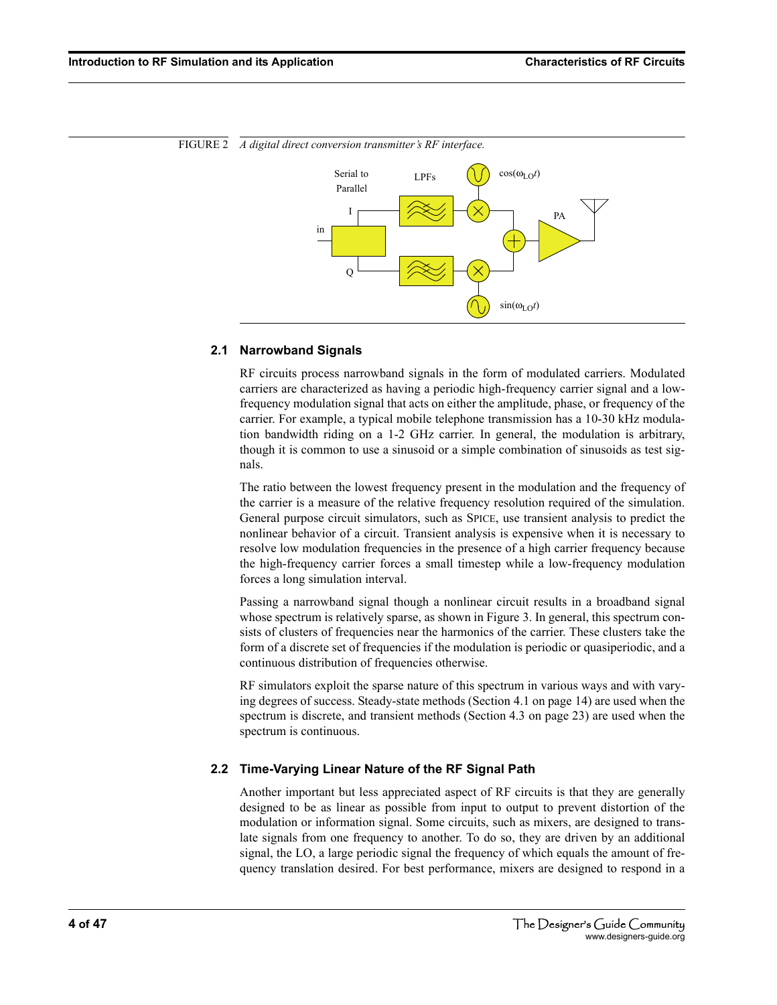

#### <span id="page-3-0"></span>FIGURE 2 *A digital direct conversion transmitter's RF interface.*

#### <span id="page-3-2"></span>**2.1 Narrowband Signals**

RF circuits process narrowband signals in the form of modulated carriers. Modulated carriers are characterized as having a periodic high-frequency carrier signal and a lowfrequency modulation signal that acts on either the amplitude, phase, or frequency of the carrier. For example, a typical mobile telephone transmission has a 10-30 kHz modulation bandwidth riding on a 1-2 GHz carrier. In general, the modulation is arbitrary, though it is common to use a sinusoid or a simple combination of sinusoids as test signals.

The ratio between the lowest frequency present in the modulation and the frequency of the carrier is a measure of the relative frequency resolution required of the simulation. General purpose circuit simulators, such as SPICE, use transient analysis to predict the nonlinear behavior of a circuit. Transient analysis is expensive when it is necessary to resolve low modulation frequencies in the presence of a high carrier frequency because the high-frequency carrier forces a small timestep while a low-frequency modulation forces a long simulation interval.

Passing a narrowband signal though a nonlinear circuit results in a broadband signal whose spectrum is relatively sparse, as shown in [Figure 3](#page-4-0). In general, this spectrum consists of clusters of frequencies near the harmonics of the carrier. These clusters take the form of a discrete set of frequencies if the modulation is periodic or quasiperiodic, and a continuous distribution of frequencies otherwise.

RF simulators exploit the sparse nature of this spectrum in various ways and with varying degrees of success. Steady-state methods [\(Section 4.1 on page 14](#page-13-0)) are used when the spectrum is discrete, and transient methods ([Section 4.3 on page 23\)](#page-22-0) are used when the spectrum is continuous.

# <span id="page-3-1"></span>**2.2 Time-Varying Linear Nature of the RF Signal Path**

Another important but less appreciated aspect of RF circuits is that they are generally designed to be as linear as possible from input to output to prevent distortion of the modulation or information signal. Some circuits, such as mixers, are designed to translate signals from one frequency to another. To do so, they are driven by an additional signal, the LO, a large periodic signal the frequency of which equals the amount of frequency translation desired. For best performance, mixers are designed to respond in a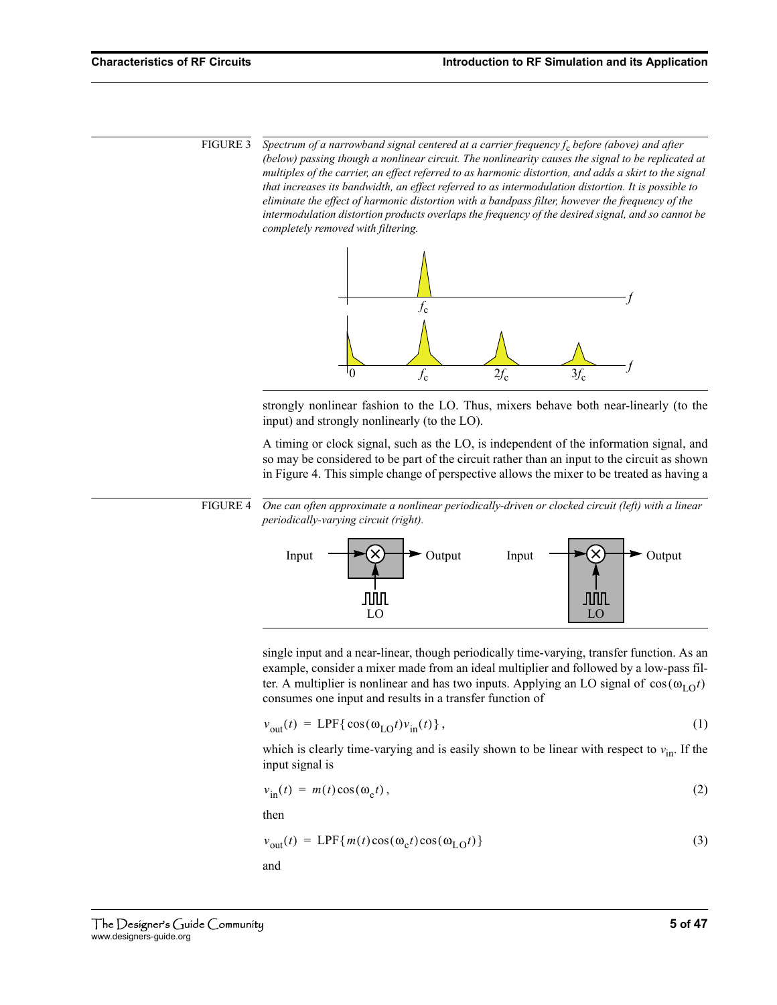<span id="page-4-0"></span>

FIGURE 3 *Spectrum of a narrowband signal centered at a carrier frequency f*c *before (above) and after (below) passing though a nonlinear circuit. The nonlinearity causes the signal to be replicated at multiples of the carrier, an effect referred to as harmonic distortion, and adds a skirt to the signal that increases its bandwidth, an effect referred to as intermodulation distortion. It is possible to eliminate the effect of harmonic distortion with a bandpass filter, however the frequency of the intermodulation distortion products overlaps the frequency of the desired signal, and so cannot be completely removed with filtering.*



strongly nonlinear fashion to the LO. Thus, mixers behave both near-linearly (to the input) and strongly nonlinearly (to the LO).

A timing or clock signal, such as the LO, is independent of the information signal, and so may be considered to be part of the circuit rather than an input to the circuit as shown in [Figure 4.](#page-4-1) This simple change of perspective allows the mixer to be treated as having a

<span id="page-4-1"></span>FIGURE 4 *One can often approximate a nonlinear periodically-driven or clocked circuit (left) with a linear periodically-varying circuit (right).*



single input and a near-linear, though periodically time-varying, transfer function. As an example, consider a mixer made from an ideal multiplier and followed by a low-pass filter. A multiplier is nonlinear and has two inputs. Applying an LO signal of  $cos(\omega_{LO}t)$ consumes one input and results in a transfer function of

$$
v_{\text{out}}(t) = \text{LPF}\{\cos(\omega_{\text{LO}}t)v_{\text{in}}(t)\},\tag{1}
$$

which is clearly time-varying and is easily shown to be linear with respect to  $v_{\text{in}}$ . If the input signal is

$$
v_{\rm in}(t) = m(t)\cos(\omega_{\rm c}t),\tag{2}
$$

then

$$
v_{\text{out}}(t) = \text{LPF}\{m(t)\cos(\omega_{\text{c}}t)\cos(\omega_{\text{LO}}t)\}\tag{3}
$$

and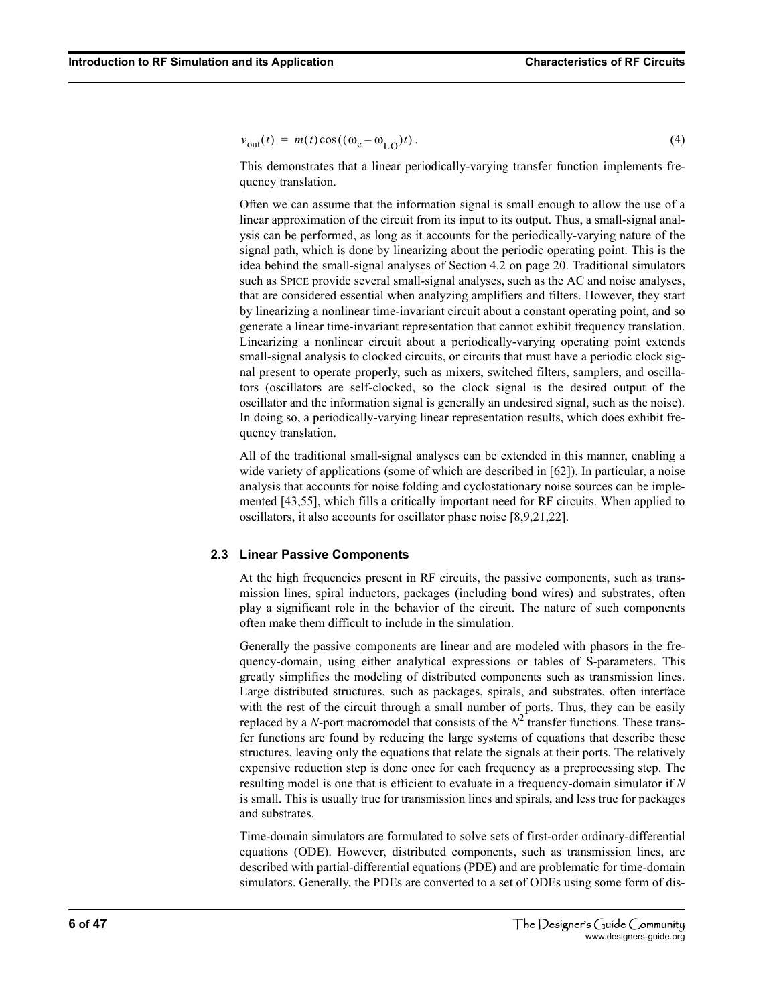$$
v_{\text{out}}(t) = m(t)\cos((\omega_{\text{c}} - \omega_{\text{LO}})t). \tag{4}
$$

This demonstrates that a linear periodically-varying transfer function implements frequency translation.

Often we can assume that the information signal is small enough to allow the use of a linear approximation of the circuit from its input to its output. Thus, a small-signal analysis can be performed, as long as it accounts for the periodically-varying nature of the signal path, which is done by linearizing about the periodic operating point. This is the idea behind the small-signal analyses of [Section 4.2 on page 20.](#page-19-0) Traditional simulators such as SPICE provide several small-signal analyses, such as the AC and noise analyses, that are considered essential when analyzing amplifiers and filters. However, they start by linearizing a nonlinear time-invariant circuit about a constant operating point, and so generate a linear time-invariant representation that cannot exhibit frequency translation. Linearizing a nonlinear circuit about a periodically-varying operating point extends small-signal analysis to clocked circuits, or circuits that must have a periodic clock signal present to operate properly, such as mixers, switched filters, samplers, and oscillators (oscillators are self-clocked, so the clock signal is the desired output of the oscillator and the information signal is generally an undesired signal, such as the noise). In doing so, a periodically-varying linear representation results, which does exhibit frequency translation.

All of the traditional small-signal analyses can be extended in this manner, enabling a wide variety of applications (some of which are described in [\[62\]\)](#page-45-0). In particular, a noise analysis that accounts for noise folding and cyclostationary noise sources can be implemented [\[43](#page-44-2),[55\]](#page-45-1), which fills a critically important need for RF circuits. When applied to oscillators, it also accounts for oscillator phase noise [\[8](#page-42-1),[9,](#page-42-2)[21](#page-43-1),[22\]](#page-43-2).

# **2.3 Linear Passive Components**

At the high frequencies present in RF circuits, the passive components, such as transmission lines, spiral inductors, packages (including bond wires) and substrates, often play a significant role in the behavior of the circuit. The nature of such components often make them difficult to include in the simulation.

Generally the passive components are linear and are modeled with phasors in the frequency-domain, using either analytical expressions or tables of S-parameters. This greatly simplifies the modeling of distributed components such as transmission lines. Large distributed structures, such as packages, spirals, and substrates, often interface with the rest of the circuit through a small number of ports. Thus, they can be easily replaced by a *N*-port macromodel that consists of the  $N^2$  transfer functions. These transfer functions are found by reducing the large systems of equations that describe these structures, leaving only the equations that relate the signals at their ports. The relatively expensive reduction step is done once for each frequency as a preprocessing step. The resulting model is one that is efficient to evaluate in a frequency-domain simulator if *N* is small. This is usually true for transmission lines and spirals, and less true for packages and substrates.

Time-domain simulators are formulated to solve sets of first-order ordinary-differential equations (ODE). However, distributed components, such as transmission lines, are described with partial-differential equations (PDE) and are problematic for time-domain simulators. Generally, the PDEs are converted to a set of ODEs using some form of dis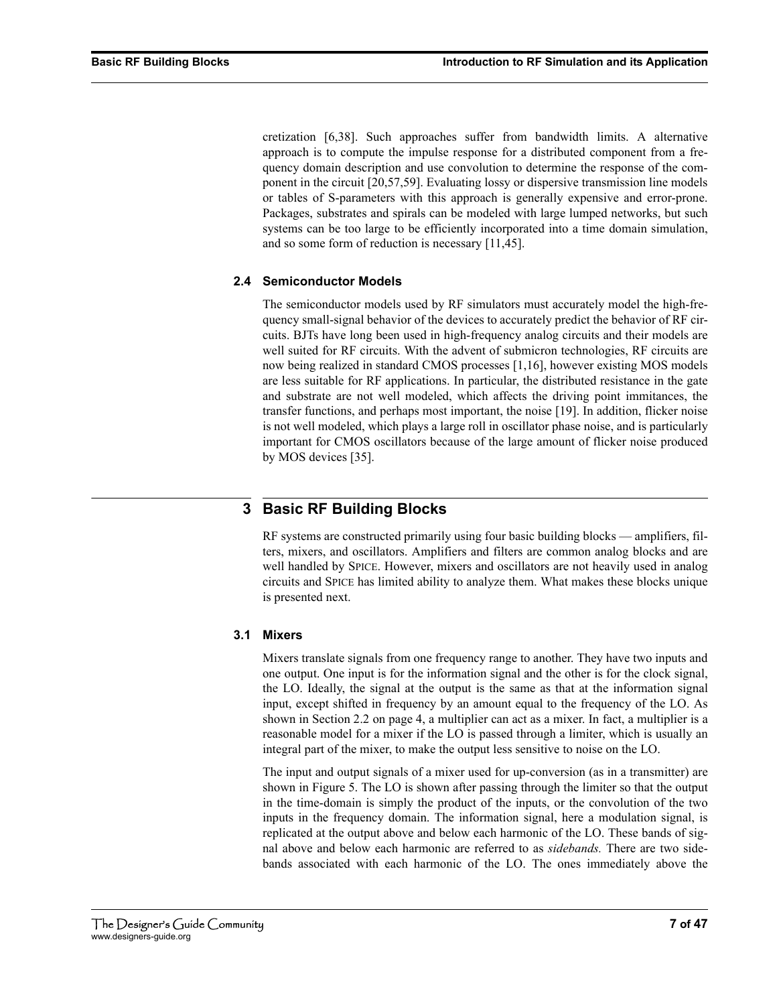cretization [[6](#page-42-3)[,38](#page-44-3)]. Such approaches suffer from bandwidth limits. A alternative approach is to compute the impulse response for a distributed component from a frequency domain description and use convolution to determine the response of the component in the circuit [[20](#page-43-3)[,57](#page-45-2),[59\]](#page-45-3). Evaluating lossy or dispersive transmission line models or tables of S-parameters with this approach is generally expensive and error-prone. Packages, substrates and spirals can be modeled with large lumped networks, but such systems can be too large to be efficiently incorporated into a time domain simulation, and so some form of reduction is necessary [[11](#page-42-4),[45\]](#page-44-4).

# **2.4 Semiconductor Models**

The semiconductor models used by RF simulators must accurately model the high-frequency small-signal behavior of the devices to accurately predict the behavior of RF circuits. BJTs have long been used in high-frequency analog circuits and their models are well suited for RF circuits. With the advent of submicron technologies, RF circuits are now being realized in standard CMOS processes [[1,](#page-41-0)[16](#page-42-0)], however existing MOS models are less suitable for RF applications. In particular, the distributed resistance in the gate and substrate are not well modeled, which affects the driving point immitances, the transfer functions, and perhaps most important, the noise [\[19\]](#page-43-4). In addition, flicker noise is not well modeled, which plays a large roll in oscillator phase noise, and is particularly important for CMOS oscillators because of the large amount of flicker noise produced by MOS devices [\[35\].](#page-44-5)

# <span id="page-6-0"></span>**3 Basic RF Building Blocks**

RF systems are constructed primarily using four basic building blocks — amplifiers, filters, mixers, and oscillators. Amplifiers and filters are common analog blocks and are well handled by SPICE. However, mixers and oscillators are not heavily used in analog circuits and SPICE has limited ability to analyze them. What makes these blocks unique is presented next.

# <span id="page-6-1"></span>**3.1 Mixers**

Mixers translate signals from one frequency range to another. They have two inputs and one output. One input is for the information signal and the other is for the clock signal, the LO. Ideally, the signal at the output is the same as that at the information signal input, except shifted in frequency by an amount equal to the frequency of the LO. As shown in [Section 2.2 on page 4,](#page-3-1) a multiplier can act as a mixer. In fact, a multiplier is a reasonable model for a mixer if the LO is passed through a limiter, which is usually an integral part of the mixer, to make the output less sensitive to noise on the LO.

The input and output signals of a mixer used for up-conversion (as in a transmitter) are shown in [Figure 5.](#page-7-0) The LO is shown after passing through the limiter so that the output in the time-domain is simply the product of the inputs, or the convolution of the two inputs in the frequency domain. The information signal, here a modulation signal, is replicated at the output above and below each harmonic of the LO. These bands of signal above and below each harmonic are referred to as *sidebands.* There are two sidebands associated with each harmonic of the LO. The ones immediately above the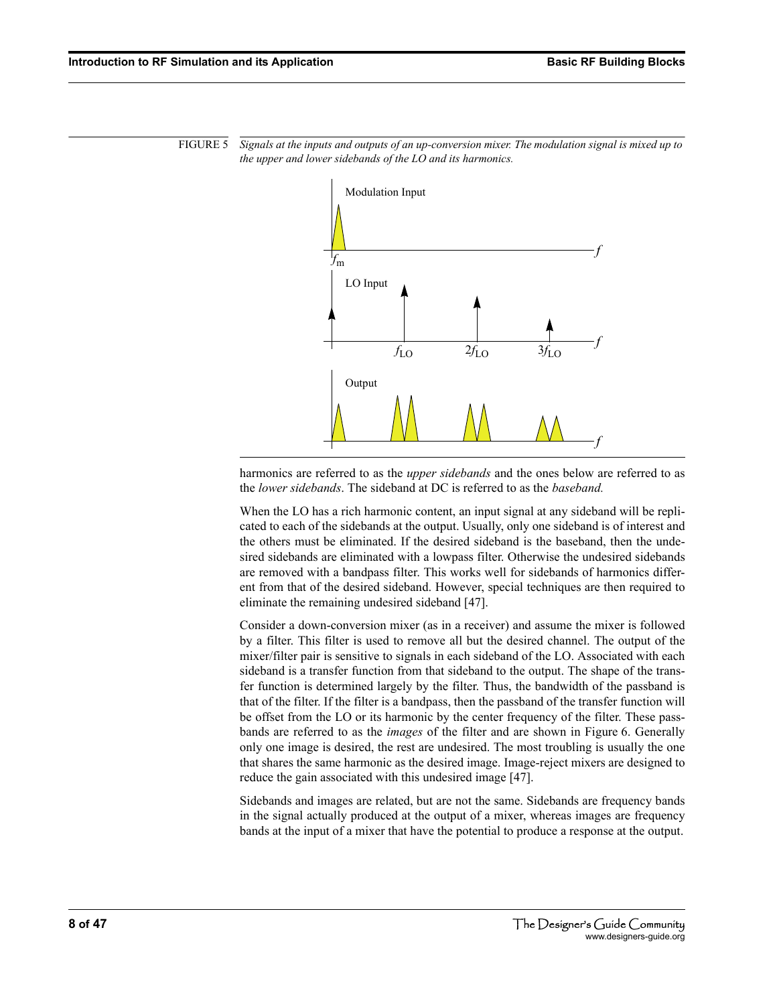

<span id="page-7-0"></span>FIGURE 5 *Signals at the inputs and outputs of an up-conversion mixer. The modulation signal is mixed up to the upper and lower sidebands of the LO and its harmonics.*

> harmonics are referred to as the *upper sidebands* and the ones below are referred to as the *lower sidebands*. The sideband at DC is referred to as the *baseband.*

> When the LO has a rich harmonic content, an input signal at any sideband will be replicated to each of the sidebands at the output. Usually, only one sideband is of interest and the others must be eliminated. If the desired sideband is the baseband, then the undesired sidebands are eliminated with a lowpass filter. Otherwise the undesired sidebands are removed with a bandpass filter. This works well for sidebands of harmonics different from that of the desired sideband. However, special techniques are then required to eliminate the remaining undesired sideband [\[47\]](#page-44-0).

> Consider a down-conversion mixer (as in a receiver) and assume the mixer is followed by a filter. This filter is used to remove all but the desired channel. The output of the mixer/filter pair is sensitive to signals in each sideband of the LO. Associated with each sideband is a transfer function from that sideband to the output. The shape of the transfer function is determined largely by the filter. Thus, the bandwidth of the passband is that of the filter. If the filter is a bandpass, then the passband of the transfer function will be offset from the LO or its harmonic by the center frequency of the filter. These passbands are referred to as the *images* of the filter and are shown in [Figure 6.](#page-8-0) Generally only one image is desired, the rest are undesired. The most troubling is usually the one that shares the same harmonic as the desired image. Image-reject mixers are designed to reduce the gain associated with this undesired image [\[47\]](#page-44-0).

> Sidebands and images are related, but are not the same. Sidebands are frequency bands in the signal actually produced at the output of a mixer, whereas images are frequency bands at the input of a mixer that have the potential to produce a response at the output.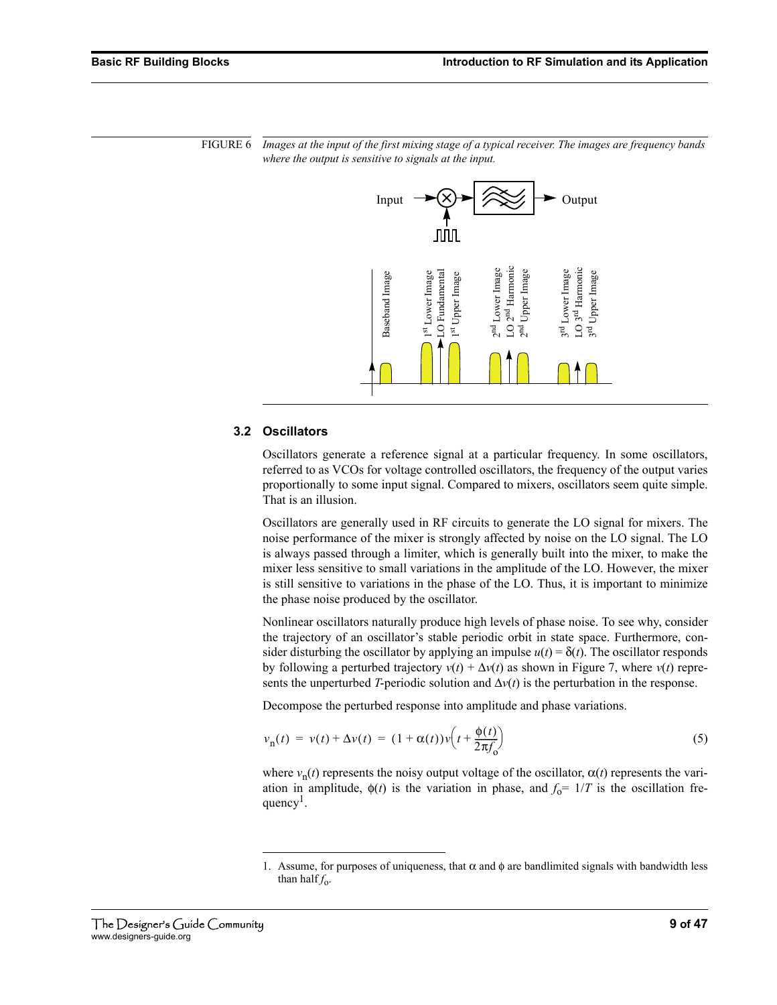

<span id="page-8-0"></span>FIGURE 6 *Images at the input of the first mixing stage of a typical receiver. The images are frequency bands where the output is sensitive to signals at the input.*

#### **3.2 Oscillators**

Oscillators generate a reference signal at a particular frequency. In some oscillators, referred to as VCOs for voltage controlled oscillators, the frequency of the output varies proportionally to some input signal. Compared to mixers, oscillators seem quite simple. That is an illusion.

Oscillators are generally used in RF circuits to generate the LO signal for mixers. The noise performance of the mixer is strongly affected by noise on the LO signal. The LO is always passed through a limiter, which is generally built into the mixer, to make the mixer less sensitive to small variations in the amplitude of the LO. However, the mixer is still sensitive to variations in the phase of the LO. Thus, it is important to minimize the phase noise produced by the oscillator.

Nonlinear oscillators naturally produce high levels of phase noise. To see why, consider the trajectory of an oscillator's stable periodic orbit in state space. Furthermore, consider disturbing the oscillator by applying an impulse  $u(t) = \delta(t)$ . The oscillator responds by following a perturbed trajectory  $v(t) + \Delta v(t)$  as shown in [Figure 7,](#page-9-0) where  $v(t)$  represents the unperturbed *T*-periodic solution and  $\Delta v(t)$  is the perturbation in the response.

<span id="page-8-1"></span>Decompose the perturbed response into amplitude and phase variations.

$$
v_{n}(t) = v(t) + \Delta v(t) = (1 + \alpha(t))v\left(t + \frac{\phi(t)}{2\pi f_{o}}\right)
$$
\n(5)

where  $v_n(t)$  represents the noisy output voltage of the oscillator,  $\alpha(t)$  represents the variation in amplitude,  $\phi(t)$  is the variation in phase, and  $f_0 = 1/T$  is the oscillation frequency<sup>1</sup>.

<sup>1.</sup> Assume, for purposes of uniqueness, that  $\alpha$  and  $\phi$  are bandlimited signals with bandwidth less than half  $f_0$ .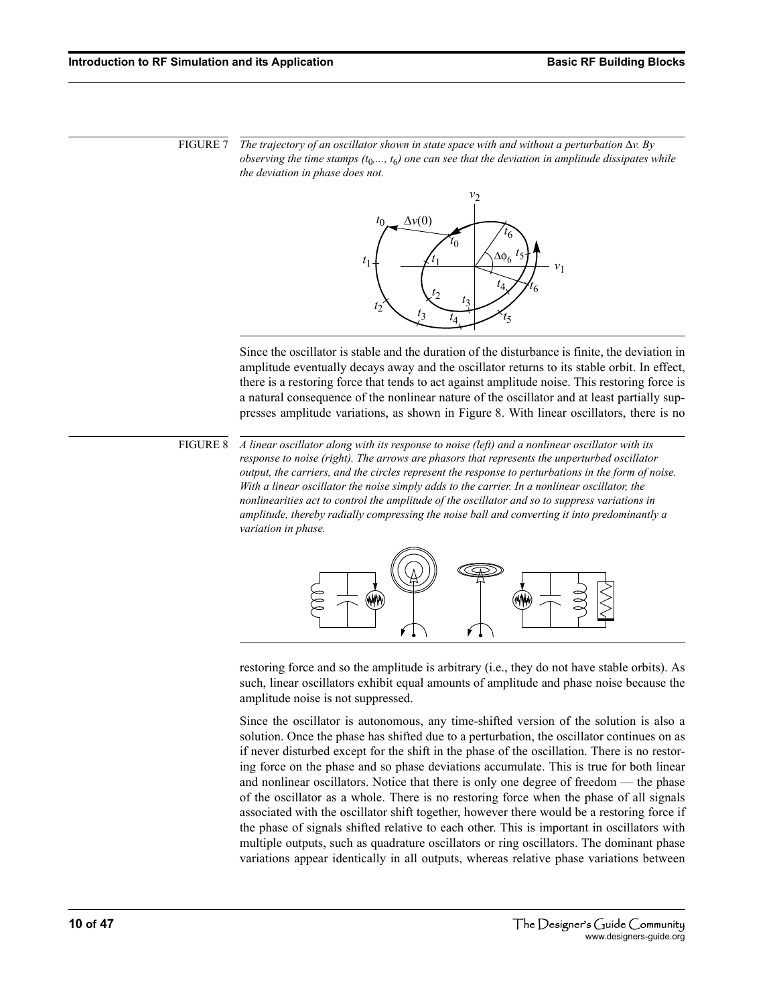<span id="page-9-0"></span>

FIGURE 7 *The trajectory of an oscillator shown in state space with and without a perturbation* Δ*v. By observing the time stamps*  $(t_0, \ldots, t_6)$  one can see that the deviation in amplitude dissipates while *the deviation in phase does not.*



Since the oscillator is stable and the duration of the disturbance is finite, the deviation in amplitude eventually decays away and the oscillator returns to its stable orbit. In effect, there is a restoring force that tends to act against amplitude noise. This restoring force is a natural consequence of the nonlinear nature of the oscillator and at least partially suppresses amplitude variations, as shown in [Figure 8](#page-9-1). With linear oscillators, there is no

<span id="page-9-1"></span>

FIGURE 8 *A linear oscillator along with its response to noise (left) and a nonlinear oscillator with its response to noise (right). The arrows are phasors that represents the unperturbed oscillator output, the carriers, and the circles represent the response to perturbations in the form of noise. With a linear oscillator the noise simply adds to the carrier. In a nonlinear oscillator, the nonlinearities act to control the amplitude of the oscillator and so to suppress variations in amplitude, thereby radially compressing the noise ball and converting it into predominantly a variation in phase.*



restoring force and so the amplitude is arbitrary (i.e., they do not have stable orbits). As such, linear oscillators exhibit equal amounts of amplitude and phase noise because the amplitude noise is not suppressed.

Since the oscillator is autonomous, any time-shifted version of the solution is also a solution. Once the phase has shifted due to a perturbation, the oscillator continues on as if never disturbed except for the shift in the phase of the oscillation. There is no restoring force on the phase and so phase deviations accumulate. This is true for both linear and nonlinear oscillators. Notice that there is only one degree of freedom — the phase of the oscillator as a whole. There is no restoring force when the phase of all signals associated with the oscillator shift together, however there would be a restoring force if the phase of signals shifted relative to each other. This is important in oscillators with multiple outputs, such as quadrature oscillators or ring oscillators. The dominant phase variations appear identically in all outputs, whereas relative phase variations between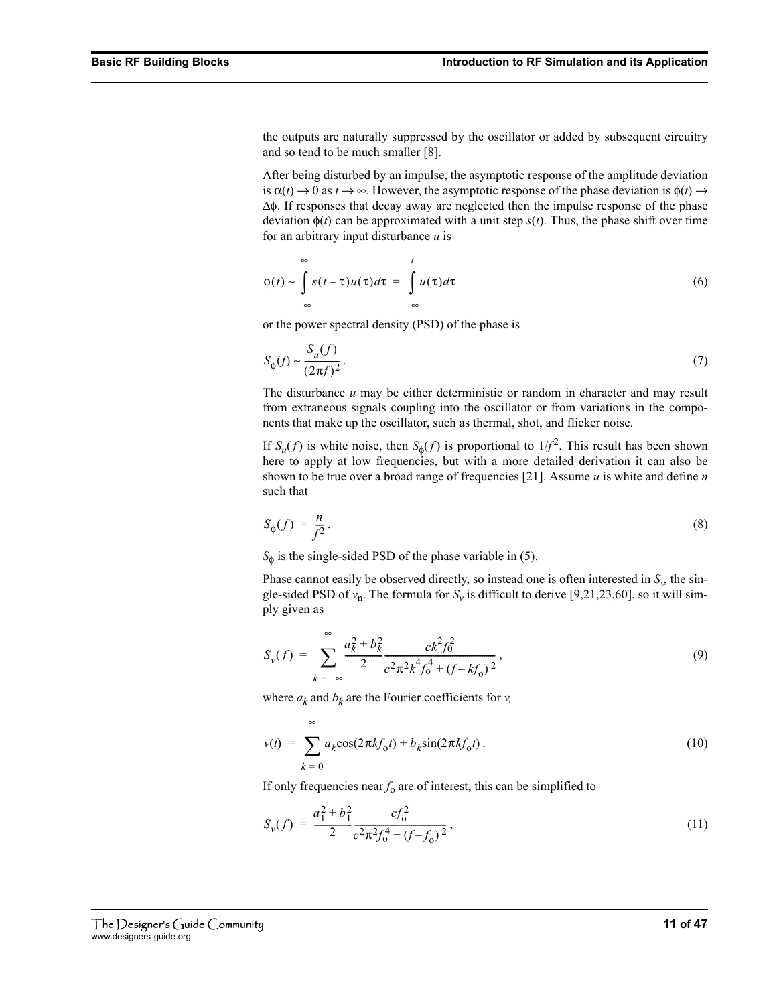the outputs are naturally suppressed by the oscillator or added by subsequent circuitry and so tend to be much smaller [\[8\].](#page-42-1)

After being disturbed by an impulse, the asymptotic response of the amplitude deviation is  $\alpha(t) \to 0$  as  $t \to \infty$ . However, the asymptotic response of the phase deviation is  $\phi(t) \to$  $\Delta\phi$ . If responses that decay away are neglected then the impulse response of the phase deviation  $\phi(t)$  can be approximated with a unit step  $s(t)$ . Thus, the phase shift over time for an arbitrary input disturbance *u* is

<span id="page-10-2"></span>
$$
\phi(t) \sim \int_{-\infty}^{\infty} s(t-\tau)u(\tau)d\tau = \int_{-\infty}^{t} u(\tau)d\tau
$$
\n(6)

<span id="page-10-3"></span>or the power spectral density (PSD) of the phase is

$$
S_{\phi}(f) \sim \frac{S_u(f)}{(2\pi f)^2}.
$$
\n<sup>(7)</sup>

The disturbance *u* may be either deterministic or random in character and may result from extraneous signals coupling into the oscillator or from variations in the components that make up the oscillator, such as thermal, shot, and flicker noise.

If  $S_u(f)$  is white noise, then  $S_0(f)$  is proportional to  $1/f^2$ . This result has been shown here to apply at low frequencies, but with a more detailed derivation it can also be shown to be true over a broad range of frequencies [\[21\]](#page-43-1). Assume *u* is white and define *n* such that

<span id="page-10-1"></span>
$$
S_{\phi}(f) = \frac{n}{f^2}.
$$
 (8)

 $S_{\phi}$  is the single-sided PSD of the phase variable in [\(5\).](#page-8-1)

Phase cannot easily be observed directly, so instead one is often interested in  $S_{\nu}$ , the single-sided PSD of  $v_n$ . The formula for  $S_v$  is difficult to derive [\[9](#page-42-2),[21](#page-43-1)[,23](#page-43-5),[60\]](#page-45-4), so it will simply given as

$$
S_{\nu}(f) = \sum_{k=-\infty}^{\infty} \frac{a_k^2 + b_k^2}{2} \frac{ck^2 f_0^2}{c^2 \pi^2 k^4 f_0^4 + (f - k f_0)^2},
$$
\n(9)

where  $a_k$  and  $b_k$  are the Fourier coefficients for *v*,

$$
v(t) = \sum_{k=0}^{\infty} a_k \cos(2\pi k f_0 t) + b_k \sin(2\pi k f_0 t).
$$
 (10)

<span id="page-10-0"></span>If only frequencies near  $f_0$  are of interest, this can be simplified to

$$
S_{\nu}(f) = \frac{a_1^2 + b_1^2}{2} \frac{cf_0^2}{c^2 \pi^2 f_0^4 + (f - f_0)^2},\tag{11}
$$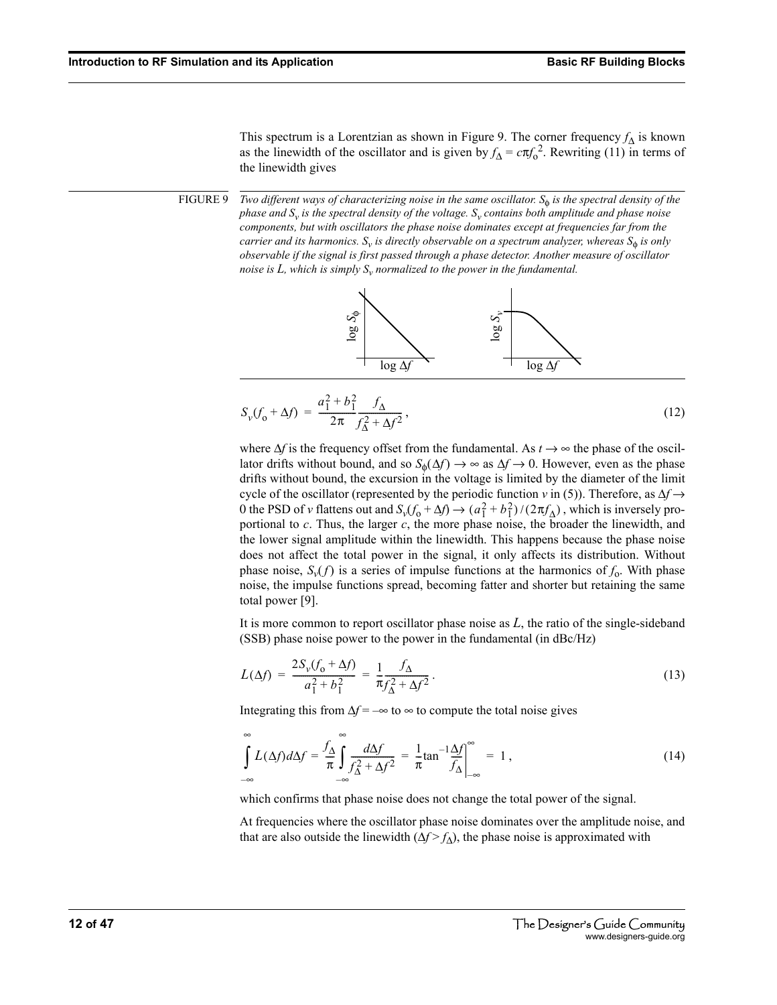This spectrum is a Lorentzian as shown in [Figure 9](#page-11-0). The corner frequency  $f_{\Delta}$  is known as the linewidth of the oscillator and is given by  $f_{\Delta} = c \pi f_0^2$ . Rewriting [\(11\)](#page-10-0) in terms of the linewidth gives

<span id="page-11-0"></span>FIGURE 9 *Two different ways of characterizing noise in the same oscillator. S*φ *is the spectral density of the phase and*  $S_v$  *is the spectral density of the voltage.*  $S_v$  *contains both amplitude and phase noise components, but with oscillators the phase noise dominates except at frequencies far from the carrier and its harmonics.*  $S_v$  *is directly observable on a spectrum analyzer, whereas*  $S_\phi$  *is only observable if the signal is first passed through a phase detector. Another measure of oscillator noise is L, which is simply*  $S_v$  *normalized to the power in the fundamental.* 



<span id="page-11-1"></span>
$$
S_{\nu}(f_0 + \Delta f) = \frac{a_1^2 + b_1^2}{2\pi} \frac{f_{\Delta}}{f_{\Delta}^2 + \Delta f^2},\tag{12}
$$

where  $\Delta f$  is the frequency offset from the fundamental. As  $t \to \infty$  the phase of the oscillator drifts without bound, and so  $S_{\phi}(\Delta f) \rightarrow \infty$  as  $\Delta f \rightarrow 0$ . However, even as the phase drifts without bound, the excursion in the voltage is limited by the diameter of the limit cycle of the oscillator (represented by the periodic function *v* in [\(5\)\)](#page-8-1). Therefore, as Δ*f* → 0 the PSD of *v* flattens out and  $S_v(f_0 + \Delta f) \rightarrow (a_1^2 + b_1^2)/(2\pi f_\Delta)$ , which is inversely proportional to  $c$ . Thus, the larger  $c$ , the more phase noise, the broader the linewidth, and the lower signal amplitude within the linewidth. This happens because the phase noise does not affect the total power in the signal, it only affects its distribution. Without phase noise,  $S_v(f)$  is a series of impulse functions at the harmonics of  $f_o$ . With phase noise, the impulse functions spread, becoming fatter and shorter but retaining the same total power [\[9\]](#page-42-2).

<span id="page-11-2"></span>It is more common to report oscillator phase noise as  $L$ , the ratio of the single-sideband (SSB) phase noise power to the power in the fundamental (in dBc/Hz)

$$
L(\Delta f) = \frac{2S_v(f_o + \Delta f)}{a_1^2 + b_1^2} = \frac{1}{\pi f_A^2 + \Delta f^2}.
$$
\n(13)

Integrating this from  $\Delta f = -\infty$  to  $\infty$  to compute the total noise gives

$$
\int_{-\infty}^{\infty} L(\Delta f) d\Delta f = \frac{f_{\Delta}}{\pi} \int_{-\infty}^{\infty} \frac{d\Delta f}{f_{\Delta}^2 + \Delta f^2} = \frac{1}{\pi} \tan^{-1} \frac{\Delta f}{f_{\Delta}} \Big|_{-\infty}^{\infty} = 1,
$$
\n(14)

which confirms that phase noise does not change the total power of the signal.

At frequencies where the oscillator phase noise dominates over the amplitude noise, and that are also outside the linewidth  $(\Delta f > f_{\Delta})$ , the phase noise is approximated with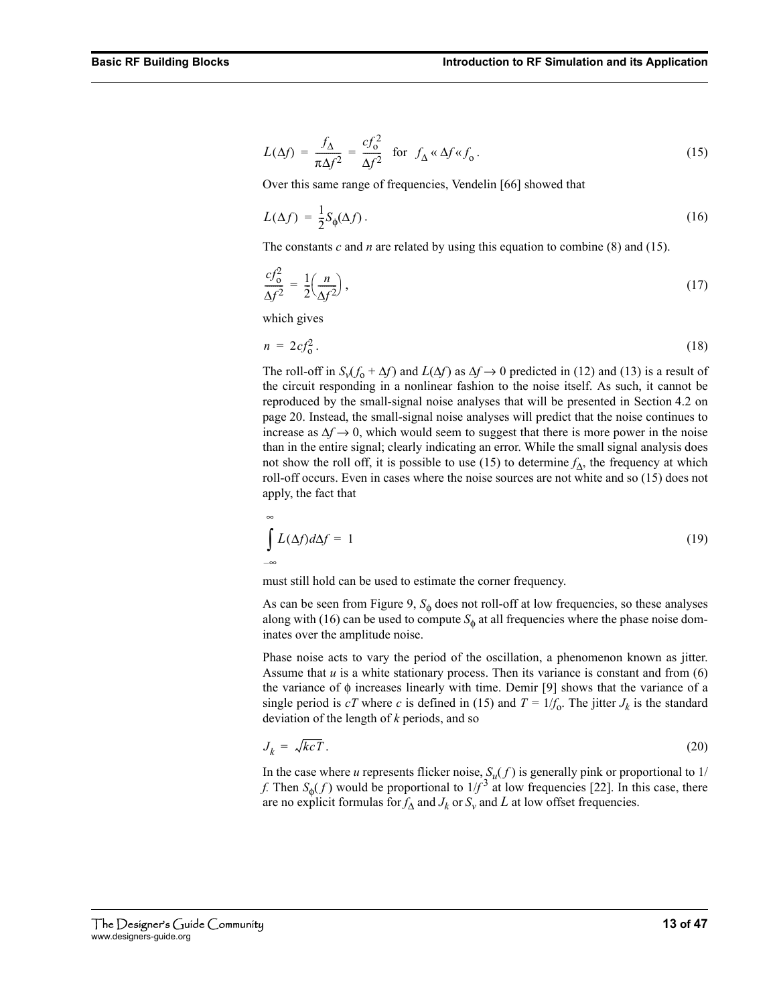<span id="page-12-0"></span>
$$
L(\Delta f) = \frac{f_{\Delta}}{\pi \Delta f^2} = \frac{cf_0^2}{\Delta f^2} \quad \text{for} \quad f_{\Delta} \ll \Delta f \ll f_0 \,. \tag{15}
$$

<span id="page-12-1"></span>Over this same range of frequencies, Vendelin [\[66\]](#page-46-0) showed that

$$
L(\Delta f) = \frac{1}{2} S_{\phi}(\Delta f). \tag{16}
$$

The constants *c* and *n* are related by using this equation to combine  $(8)$  and  $(15)$ .

$$
\frac{cf_0^2}{\Delta f^2} = \frac{1}{2} \left( \frac{n}{\Delta f^2} \right),\tag{17}
$$

which gives

$$
n = 2cf_0^2. \tag{18}
$$

The roll-off in  $S_v(f_0 + \Delta f)$  and  $L(\Delta f)$  as  $\Delta f \rightarrow 0$  predicted in [\(12\)](#page-11-1) and [\(13\)](#page-11-2) is a result of the circuit responding in a nonlinear fashion to the noise itself. As such, it cannot be reproduced by the small-signal noise analyses that will be presented in [Section 4.2 on](#page-19-0) [page 20](#page-19-0). Instead, the small-signal noise analyses will predict that the noise continues to increase as  $\Delta f \rightarrow 0$ , which would seem to suggest that there is more power in the noise than in the entire signal; clearly indicating an error. While the small signal analysis does not show the roll off, it is possible to use [\(15\)](#page-12-0) to determine  $f_{\Delta}$ , the frequency at which roll-off occurs. Even in cases where the noise sources are not white and so [\(15\)](#page-12-0) does not apply, the fact that

$$
\int_{-\infty}^{\infty} L(\Delta f) d\Delta f = 1 \tag{19}
$$

must still hold can be used to estimate the corner frequency.

As can be seen from Figure [9,](#page-11-0)  $S_{\phi}$  does not roll-off at low frequencies, so these analyses along with [\(16\)](#page-12-1) can be used to compute  $S_{\phi}$  at all frequencies where the phase noise dominates over the amplitude noise.

Phase noise acts to vary the period of the oscillation, a phenomenon known as jitter. Assume that  $u$  is a white stationary process. Then its variance is constant and from  $(6)$ the variance of φ increases linearly with time. Demir [\[9\]](#page-42-2) shows that the variance of a single period is *cT* where *c* is defined in [\(15\)](#page-12-0) and  $T = 1/f_0$ . The jitter  $J_k$  is the standard deviation of the length of *k* periods, and so

$$
J_k = \sqrt{k c T} \,. \tag{20}
$$

In the case where *u* represents flicker noise,  $S_u(f)$  is generally pink or proportional to 1/ *f*. Then  $S_{\phi}(f)$  would be proportional to  $1/f^3$  at low frequencies [\[22\].](#page-43-2) In this case, there are no explicit formulas for  $f_{\Delta}$  and  $J_k$  or  $S_v$  and  $L$  at low offset frequencies.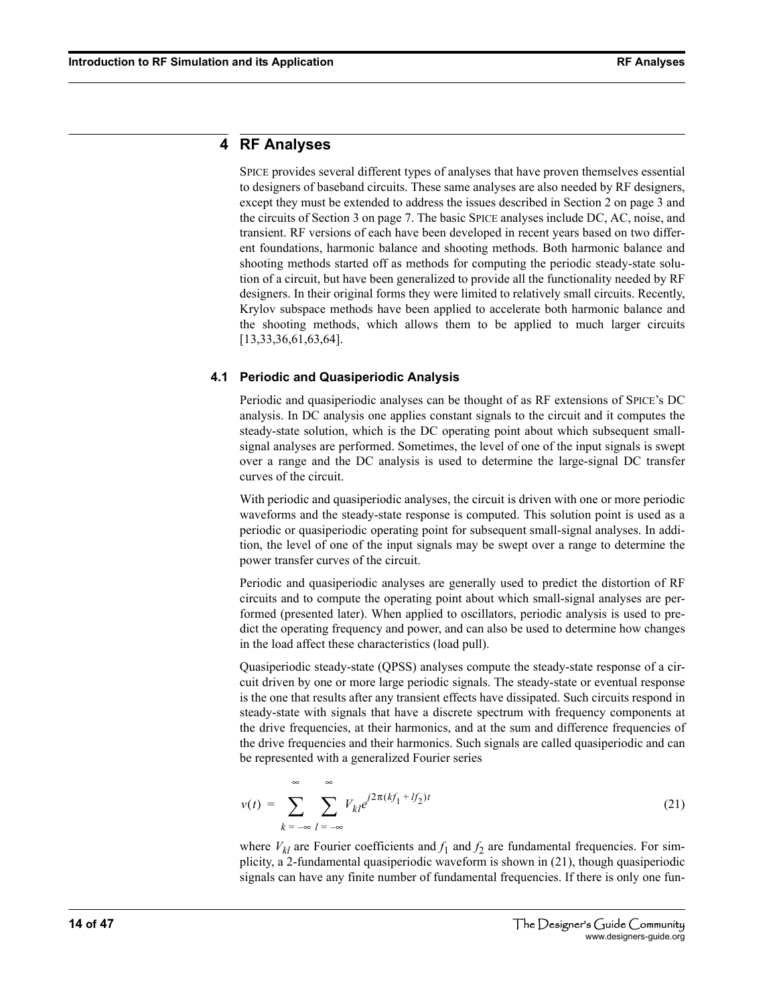# **4 RF Analyses**

SPICE provides several different types of analyses that have proven themselves essential to designers of baseband circuits. These same analyses are also needed by RF designers, except they must be extended to address the issues described in [Section 2 on page 3](#page-2-0) and the circuits of [Section 3 on page 7](#page-6-0). The basic SPICE analyses include DC, AC, noise, and transient. RF versions of each have been developed in recent years based on two different foundations, harmonic balance and shooting methods. Both harmonic balance and shooting methods started off as methods for computing the periodic steady-state solution of a circuit, but have been generalized to provide all the functionality needed by RF designers. In their original forms they were limited to relatively small circuits. Recently, Krylov subspace methods have been applied to accelerate both harmonic balance and the shooting methods, which allows them to be applied to much larger circuits [\[13](#page-42-5),[33](#page-43-6)[,36](#page-44-6),[61,](#page-45-5)[63](#page-45-6),[64\]](#page-46-1).

# <span id="page-13-0"></span>**4.1 Periodic and Quasiperiodic Analysis**

Periodic and quasiperiodic analyses can be thought of as RF extensions of SPICE's DC analysis. In DC analysis one applies constant signals to the circuit and it computes the steady-state solution, which is the DC operating point about which subsequent smallsignal analyses are performed. Sometimes, the level of one of the input signals is swept over a range and the DC analysis is used to determine the large-signal DC transfer curves of the circuit.

With periodic and quasiperiodic analyses, the circuit is driven with one or more periodic waveforms and the steady-state response is computed. This solution point is used as a periodic or quasiperiodic operating point for subsequent small-signal analyses. In addition, the level of one of the input signals may be swept over a range to determine the power transfer curves of the circuit.

Periodic and quasiperiodic analyses are generally used to predict the distortion of RF circuits and to compute the operating point about which small-signal analyses are performed (presented later). When applied to oscillators, periodic analysis is used to predict the operating frequency and power, and can also be used to determine how changes in the load affect these characteristics (load pull).

Quasiperiodic steady-state (QPSS) analyses compute the steady-state response of a circuit driven by one or more large periodic signals. The steady-state or eventual response is the one that results after any transient effects have dissipated. Such circuits respond in steady-state with signals that have a discrete spectrum with frequency components at the drive frequencies, at their harmonics, and at the sum and difference frequencies of the drive frequencies and their harmonics. Such signals are called quasiperiodic and can be represented with a generalized Fourier series

<span id="page-13-1"></span>
$$
v(t) = \sum_{k=-\infty}^{\infty} \sum_{l=-\infty}^{\infty} V_{kl} e^{j2\pi (kf_1 + lf_2)t}
$$
 (21)

where  $V_{kl}$  are Fourier coefficients and  $f_1$  and  $f_2$  are fundamental frequencies. For simplicity, a 2-fundamental quasiperiodic waveform is shown in [\(21\),](#page-13-1) though quasiperiodic signals can have any finite number of fundamental frequencies. If there is only one fun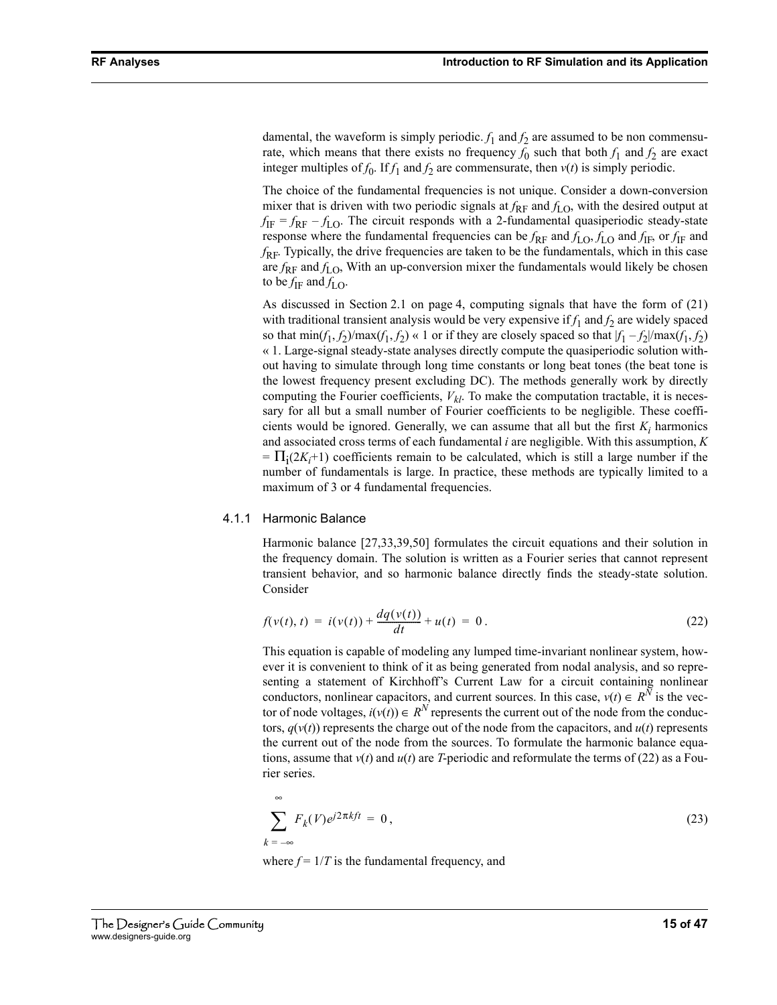damental, the waveform is simply periodic.  $f_1$  and  $f_2$  are assumed to be non commensurate, which means that there exists no frequency  $f_0$  such that both  $f_1$  and  $f_2$  are exact integer multiples of  $f_0$ . If  $f_1$  and  $f_2$  are commensurate, then  $v(t)$  is simply periodic.

The choice of the fundamental frequencies is not unique. Consider a down-conversion mixer that is driven with two periodic signals at  $f_{RF}$  and  $f_{LO}$ , with the desired output at  $f_{IF} = f_{RF} - f_{LO}$ . The circuit responds with a 2-fundamental quasiperiodic steady-state response where the fundamental frequencies can be  $f_{\rm RF}$  and  $f_{\rm LO}$ ,  $f_{\rm LO}$  and  $f_{\rm IF}$ , or  $f_{\rm IF}$  and  $f_{\rm RF}$ . Typically, the drive frequencies are taken to be the fundamentals, which in this case are  $f_{\rm RF}$  and  $f_{\rm LO}$ , With an up-conversion mixer the fundamentals would likely be chosen to be  $f_{\text{IF}}$  and  $f_{\text{LO}}$ .

As discussed in [Section 2.1 on page 4](#page-3-2), computing signals that have the form of [\(21\)](#page-13-1) with traditional transient analysis would be very expensive if  $f_1$  and  $f_2$  are widely spaced so that  $\min(f_1, f_2)/\max(f_1, f_2) \ll 1$  or if they are closely spaced so that  $|f_1 - f_2| / \max(f_1, f_2)$ « 1. Large-signal steady-state analyses directly compute the quasiperiodic solution without having to simulate through long time constants or long beat tones (the beat tone is the lowest frequency present excluding DC). The methods generally work by directly computing the Fourier coefficients,  $V_{kl}$ . To make the computation tractable, it is necessary for all but a small number of Fourier coefficients to be negligible. These coefficients would be ignored. Generally, we can assume that all but the first  $K_i$  harmonics and associated cross terms of each fundamental *i* are negligible. With this assumption, *K*  $=\prod_{i}(2K_{i}+1)$  coefficients remain to be calculated, which is still a large number if the number of fundamentals is large. In practice, these methods are typically limited to a maximum of 3 or 4 fundamental frequencies.

#### <span id="page-14-0"></span>4.1.1 Harmonic Balance

Harmonic balance [[27,](#page-43-7)[33](#page-43-6),[39,](#page-44-7)[50](#page-45-7)] formulates the circuit equations and their solution in the frequency domain. The solution is written as a Fourier series that cannot represent transient behavior, and so harmonic balance directly finds the steady-state solution. Consider

$$
f(v(t), t) = i(v(t)) + \frac{dq(v(t))}{dt} + u(t) = 0.
$$
 (22)

This equation is capable of modeling any lumped time-invariant nonlinear system, however it is convenient to think of it as being generated from nodal analysis, and so representing a statement of Kirchhoff's Current Law for a circuit containing nonlinear conductors, nonlinear capacitors, and current sources. In this case,  $v(t) \in R^N$  is the vector of node voltages,  $i(v(t)) \in R^N$  represents the current out of the node from the conductors,  $q(v(t))$  represents the charge out of the node from the capacitors, and  $u(t)$  represents the current out of the node from the sources. To formulate the harmonic balance equations, assume that  $v(t)$  and  $u(t)$  are *T*-periodic and reformulate the terms of [\(22\)](#page-14-0) as a Fourier series.

<span id="page-14-1"></span>
$$
\sum_{k=-\infty}^{\infty} F_k(V)e^{j2\pi kft} = 0,
$$
\n(23)

where  $f = 1/T$  is the fundamental frequency, and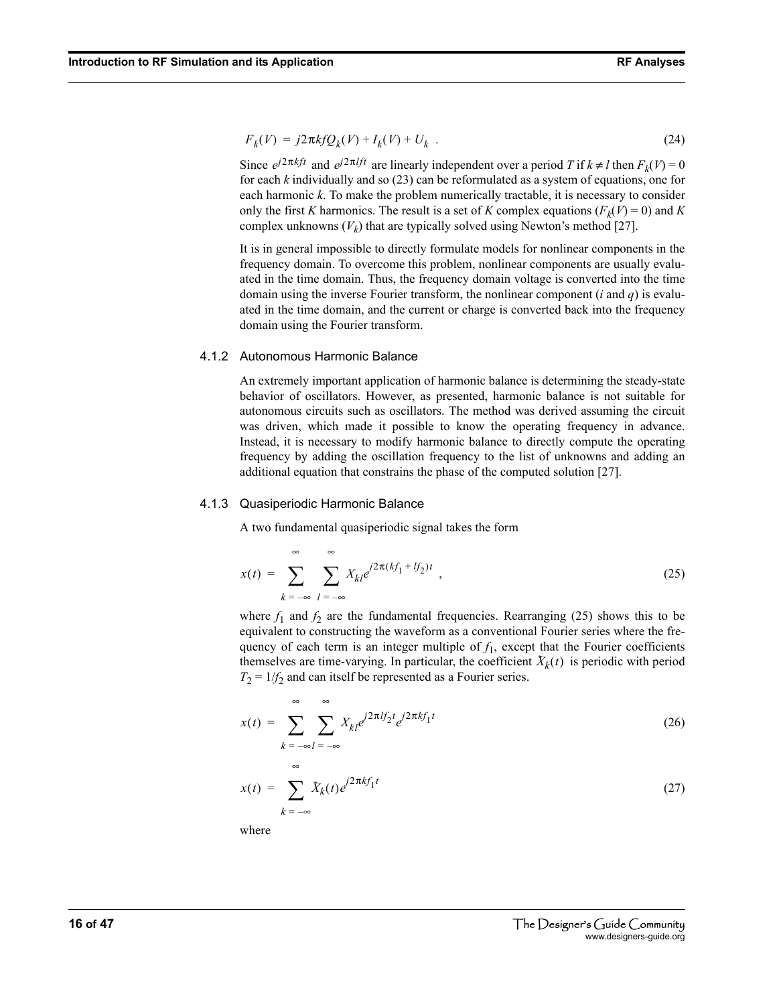$$
F_k(V) = j2\pi k f Q_k(V) + I_k(V) + U_k
$$
 (24)

Since  $e^{j2\pi kft}$  and  $e^{j2\pi lft}$  are linearly independent over a period *T* if  $k \neq l$  then  $F_k(V) = 0$ for each *k* individually and so [\(23\)](#page-14-1) can be reformulated as a system of equations, one for each harmonic *k*. To make the problem numerically tractable, it is necessary to consider only the first *K* harmonics. The result is a set of *K* complex equations ( $F_k(V) = 0$ ) and *K* complex unknowns  $(V_k)$  that are typically solved using Newton's method [\[27\].](#page-43-7)

It is in general impossible to directly formulate models for nonlinear components in the frequency domain. To overcome this problem, nonlinear components are usually evaluated in the time domain. Thus, the frequency domain voltage is converted into the time domain using the inverse Fourier transform, the nonlinear component (*i* and *q*) is evaluated in the time domain, and the current or charge is converted back into the frequency domain using the Fourier transform.

#### 4.1.2 Autonomous Harmonic Balance

An extremely important application of harmonic balance is determining the steady-state behavior of oscillators. However, as presented, harmonic balance is not suitable for autonomous circuits such as oscillators. The method was derived assuming the circuit was driven, which made it possible to know the operating frequency in advance. Instead, it is necessary to modify harmonic balance to directly compute the operating frequency by adding the oscillation frequency to the list of unknowns and adding an additional equation that constrains the phase of the computed solution [\[27\].](#page-43-7)

#### <span id="page-15-0"></span>4.1.3 Quasiperiodic Harmonic Balance

A two fundamental quasiperiodic signal takes the form

$$
x(t) = \sum_{k=-\infty}^{\infty} \sum_{l=-\infty}^{\infty} X_{kl} e^{j2\pi (kf_1 + lf_2)t} ,
$$
 (25)

where  $f_1$  and  $f_2$  are the fundamental frequencies. Rearranging [\(25\)](#page-15-0) shows this to be equivalent to constructing the waveform as a conventional Fourier series where the frequency of each term is an integer multiple of  $f_1$ , except that the Fourier coefficients themselves are time-varying. In particular, the coefficient  $\tilde{X}_k(t)$  is periodic with period  $T_2 = 1/f_2$  and can itself be represented as a Fourier series.

$$
x(t) = \sum_{k=-\infty}^{\infty} \sum_{l=-\infty}^{\infty} X_{kl} e^{j2\pi l f_2 t} e^{j2\pi k f_1 t}
$$
 (26)

<span id="page-15-1"></span>
$$
x(t) = \sum_{k=-\infty}^{\infty} \tilde{X}_k(t)e^{j2\pi kf_1t}
$$
 (27)

where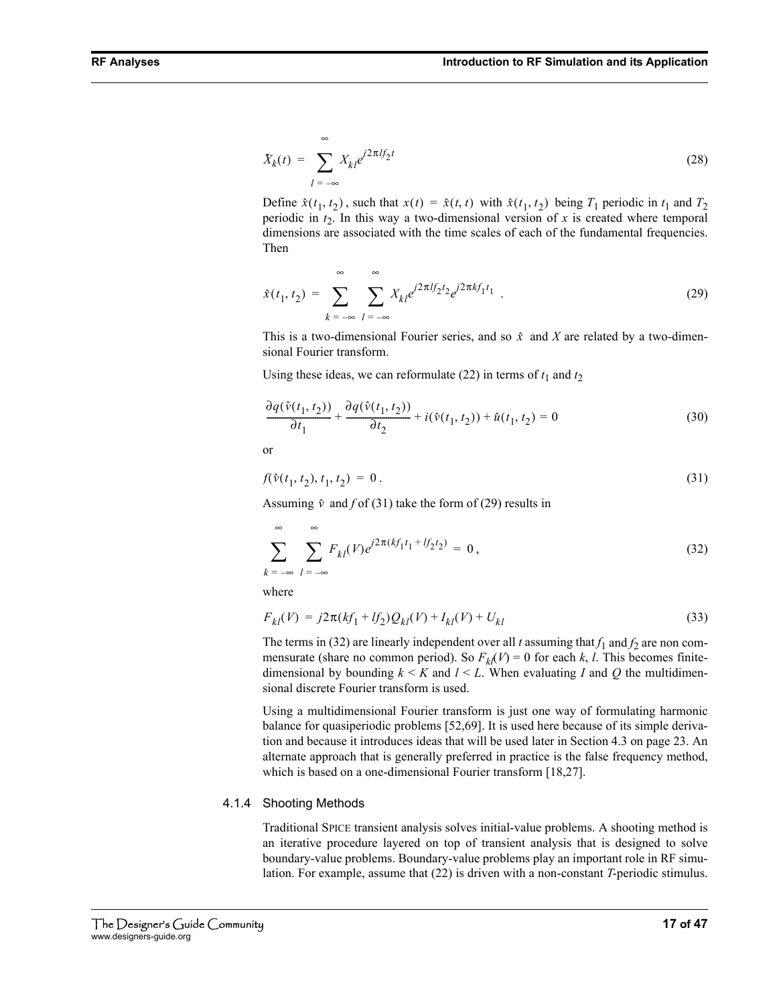$$
\tilde{X}_k(t) = \sum_{l = -\infty}^{\infty} X_{kl} e^{j2\pi l f_2 t}
$$
\n(28)

Define  $\hat{x}(t_1, t_2)$ , such that  $x(t) = \hat{x}(t, t)$  with  $\hat{x}(t_1, t_2)$  being  $T_1$  periodic in  $t_1$  and  $T_2$ periodic in  $t_2$ . In this way a two-dimensional version of x is created where temporal dimensions are associated with the time scales of each of the fundamental frequencies. Then

<span id="page-16-1"></span>
$$
\hat{x}(t_1, t_2) = \sum_{k=-\infty}^{\infty} \sum_{l=-\infty}^{\infty} X_{kl} e^{j2\pi l f_2 t_2} e^{j2\pi k f_1 t_1} .
$$
\n(29)

This is a two-dimensional Fourier series, and so  $\hat{x}$  and *X* are related by a two-dimensional Fourier transform.

Using these ideas, we can reformulate [\(22\)](#page-14-0) in terms of  $t_1$  and  $t_2$ 

$$
\frac{\partial q(\hat{v}(t_1, t_2))}{\partial t_1} + \frac{\partial q(\hat{v}(t_1, t_2))}{\partial t_2} + i(\hat{v}(t_1, t_2)) + \hat{u}(t_1, t_2) = 0
$$
\n(30)

<span id="page-16-0"></span>or

$$
f(\hat{v}(t_1, t_2), t_1, t_2) = 0.
$$
\n(31)

<span id="page-16-2"></span>Assuming  $\hat{v}$  and  $f$  of [\(31\)](#page-16-0) take the form of [\(29\)](#page-16-1) results in

$$
\sum_{k=-\infty}^{\infty} \sum_{l=-\infty}^{\infty} F_{kl}(V) e^{j2\pi (kf_1t_1 + lf_2t_2)} = 0,
$$
\n(32)

where

$$
F_{kl}(V) = j2\pi (kf_1 + lf_2)Q_{kl}(V) + I_{kl}(V) + U_{kl}
$$
\n(33)

The terms in [\(32\)](#page-16-2) are linearly independent over all *t* assuming that  $f_1$  and  $f_2$  are non commensurate (share no common period). So  $F_{kl}(V) = 0$  for each *k*, *l*. This becomes finitedimensional by bounding  $k \le K$  and  $l \le L$ . When evaluating *I* and *Q* the multidimensional discrete Fourier transform is used.

Using a multidimensional Fourier transform is just one way of formulating harmonic balance for quasiperiodic problems [[52](#page-45-8)[,69](#page-46-2)]. It is used here because of its simple derivation and because it introduces ideas that will be used later in [Section 4.3 on page 23.](#page-22-0) An alternate approach that is generally preferred in practice is the false frequency method, which is based on a one-dimensional Fourier transform [[18,](#page-43-8)[27](#page-43-7)].

#### 4.1.4 Shooting Methods

Traditional SPICE transient analysis solves initial-value problems. A shooting method is an iterative procedure layered on top of transient analysis that is designed to solve boundary-value problems. Boundary-value problems play an important role in RF simulation. For example, assume that [\(22\)](#page-14-0) is driven with a non-constant *T*-periodic stimulus.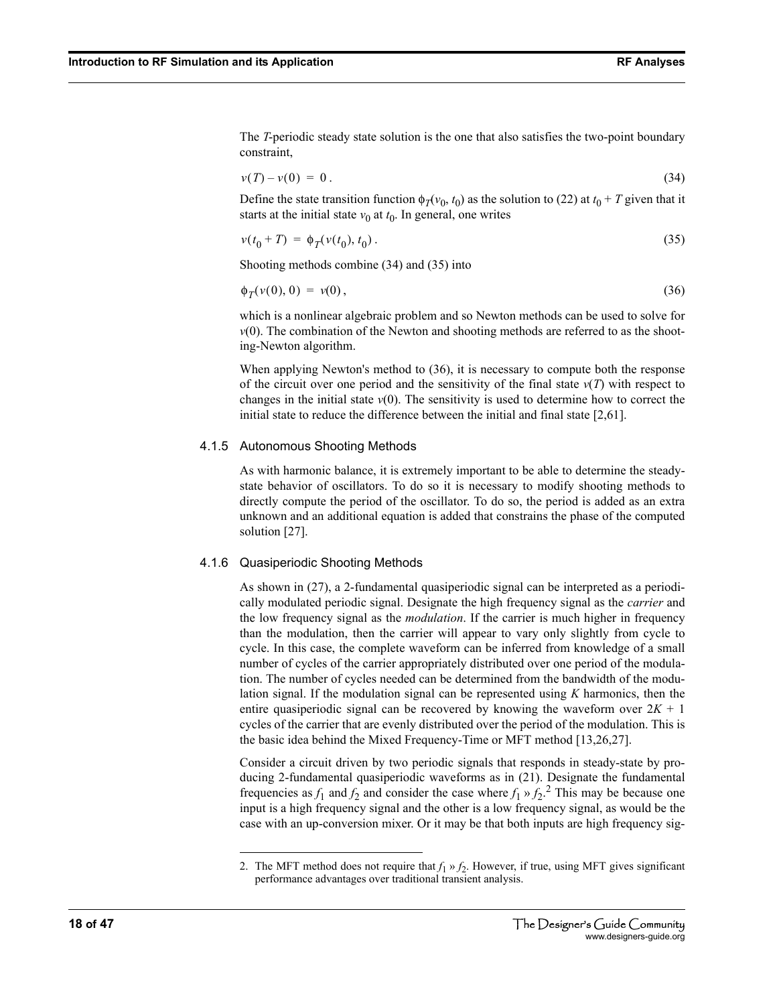The *T*-periodic steady state solution is the one that also satisfies the two-point boundary constraint,

<span id="page-17-0"></span>
$$
v(T) - v(0) = 0.
$$
 (34)

Define the state transition function  $\phi_T(v_0, t_0)$  as the solution to [\(22\)](#page-14-0) at  $t_0 + T$  given that it starts at the initial state  $v_0$  at  $t_0$ . In general, one writes

<span id="page-17-1"></span>
$$
v(t_0 + T) = \phi_T(v(t_0), t_0).
$$
\n(35)

<span id="page-17-2"></span>Shooting methods combine [\(34\)](#page-17-0) and [\(35\)](#page-17-1) into

$$
\phi_T(v(0),0) = v(0),\tag{36}
$$

which is a nonlinear algebraic problem and so Newton methods can be used to solve for  $v(0)$ . The combination of the Newton and shooting methods are referred to as the shooting-Newton algorithm.

When applying Newton's method to [\(36\),](#page-17-2) it is necessary to compute both the response of the circuit over one period and the sensitivity of the final state  $v(T)$  with respect to changes in the initial state  $v(0)$ . The sensitivity is used to determine how to correct the initial state to reduce the difference between the initial and final state [[2](#page-41-1)[,61](#page-45-5)].

#### 4.1.5 Autonomous Shooting Methods

As with harmonic balance, it is extremely important to be able to determine the steadystate behavior of oscillators. To do so it is necessary to modify shooting methods to directly compute the period of the oscillator. To do so, the period is added as an extra unknown and an additional equation is added that constrains the phase of the computed solution [\[27\]](#page-43-7).

#### 4.1.6 Quasiperiodic Shooting Methods

As shown in [\(27\),](#page-15-1) a 2-fundamental quasiperiodic signal can be interpreted as a periodically modulated periodic signal. Designate the high frequency signal as the *carrier* and the low frequency signal as the *modulation*. If the carrier is much higher in frequency than the modulation, then the carrier will appear to vary only slightly from cycle to cycle. In this case, the complete waveform can be inferred from knowledge of a small number of cycles of the carrier appropriately distributed over one period of the modulation. The number of cycles needed can be determined from the bandwidth of the modulation signal. If the modulation signal can be represented using *K* harmonics, then the entire quasiperiodic signal can be recovered by knowing the waveform over  $2K + 1$ cycles of the carrier that are evenly distributed over the period of the modulation. This is the basic idea behind the Mixed Frequency-Time or MFT method [\[13](#page-42-5),[26,](#page-43-9)[27](#page-43-7)].

Consider a circuit driven by two periodic signals that responds in steady-state by producing 2-fundamental quasiperiodic waveforms as in [\(21\)](#page-13-1). Designate the fundamental frequencies as  $f_1$  and  $f_2$  and consider the case where  $f_1 \times f_2$ .<sup>2</sup> This may be because one input is a high frequency signal and the other is a low frequency signal, as would be the case with an up-conversion mixer. Or it may be that both inputs are high frequency sig-

<sup>2.</sup> The MFT method does not require that  $f_1 \rightarrow f_2$ . However, if true, using MFT gives significant performance advantages over traditional transient analysis.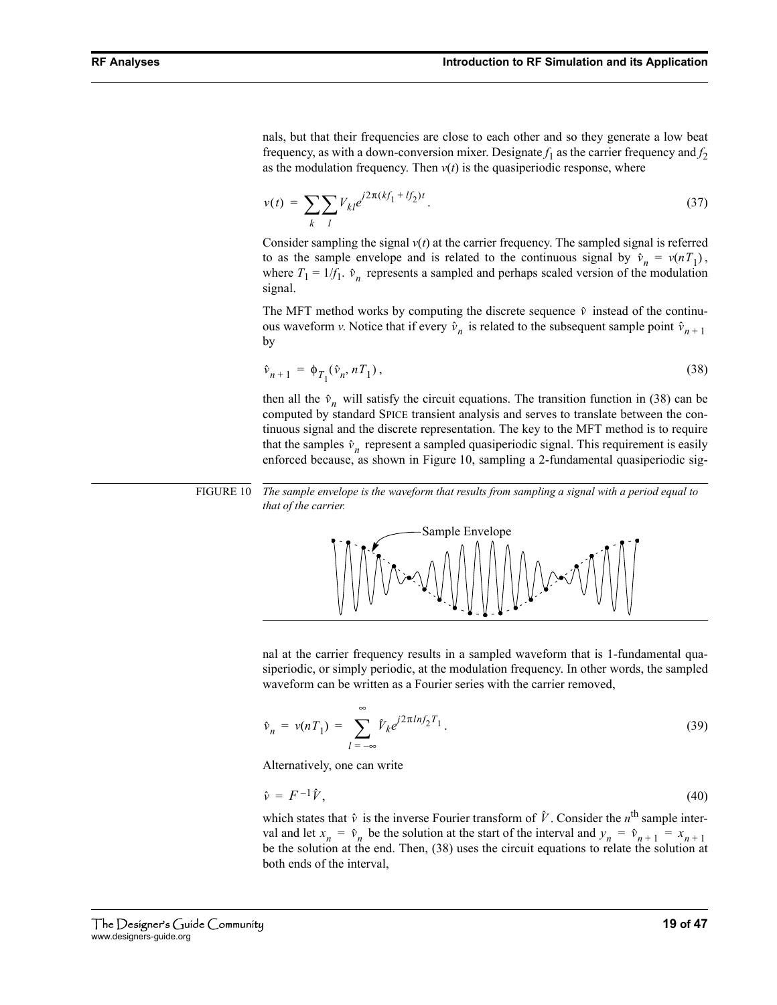nals, but that their frequencies are close to each other and so they generate a low beat frequency, as with a down-conversion mixer. Designate  $f_1$  as the carrier frequency and  $f_2$ as the modulation frequency. Then  $v(t)$  is the quasiperiodic response, where

$$
v(t) = \sum_{k} \sum_{l} V_{kl} e^{j2\pi (kf_1 + lf_2)t}.
$$
 (37)

Consider sampling the signal  $v(t)$  at the carrier frequency. The sampled signal is referred to as the sample envelope and is related to the continuous signal by  $\hat{v}_n = v(nT_1)$ , where  $T_1 = 1/f_1$ .  $\hat{v}_n$  represents a sampled and perhaps scaled version of the modulation signal.

The MFT method works by computing the discrete sequence  $\hat{v}$  instead of the continuous waveform *v*. Notice that if every  $\hat{v}_n$  is related to the subsequent sample point  $\hat{v}_{n+1}$ by

$$
\hat{\nu}_{n+1} = \phi_{T_1}(\hat{\nu}_n, nT_1), \tag{38}
$$

then all the  $\hat{v}_n$  will satisfy the circuit equations. The transition function in [\(38\)](#page-18-0) can be computed by standard SPICE transient analysis and serves to translate between the continuous signal and the discrete representation. The key to the MFT method is to require that the samples  $\hat{v}_n$  represent a sampled quasiperiodic signal. This requirement is easily enforced because, as shown in [Figure 10](#page-18-1), sampling a 2-fundamental quasiperiodic sig-

<span id="page-18-1"></span><span id="page-18-0"></span>



<span id="page-18-2"></span>nal at the carrier frequency results in a sampled waveform that is 1-fundamental quasiperiodic, or simply periodic, at the modulation frequency. In other words, the sampled waveform can be written as a Fourier series with the carrier removed,

$$
\hat{v}_n = v(nT_1) = \sum_{l = -\infty}^{\infty} \hat{V}_k e^{j2\pi l n f_2 T_1}.
$$
\n(39)

Alternatively, one can write

$$
\hat{\nu} = F^{-1}\hat{V},\tag{40}
$$

which states that  $\hat{v}$  is the inverse Fourier transform of  $\hat{V}$ . Consider the *n*<sup>th</sup> sample interval and let  $x_n = \hat{v}_n$  be the solution at the start of the interval and  $y_n = \hat{v}_{n+1} = x_{n+1}$ be the solution at the end. Then, [\(38\)](#page-18-0) uses the circuit equations to relate the solution at both ends of the interval,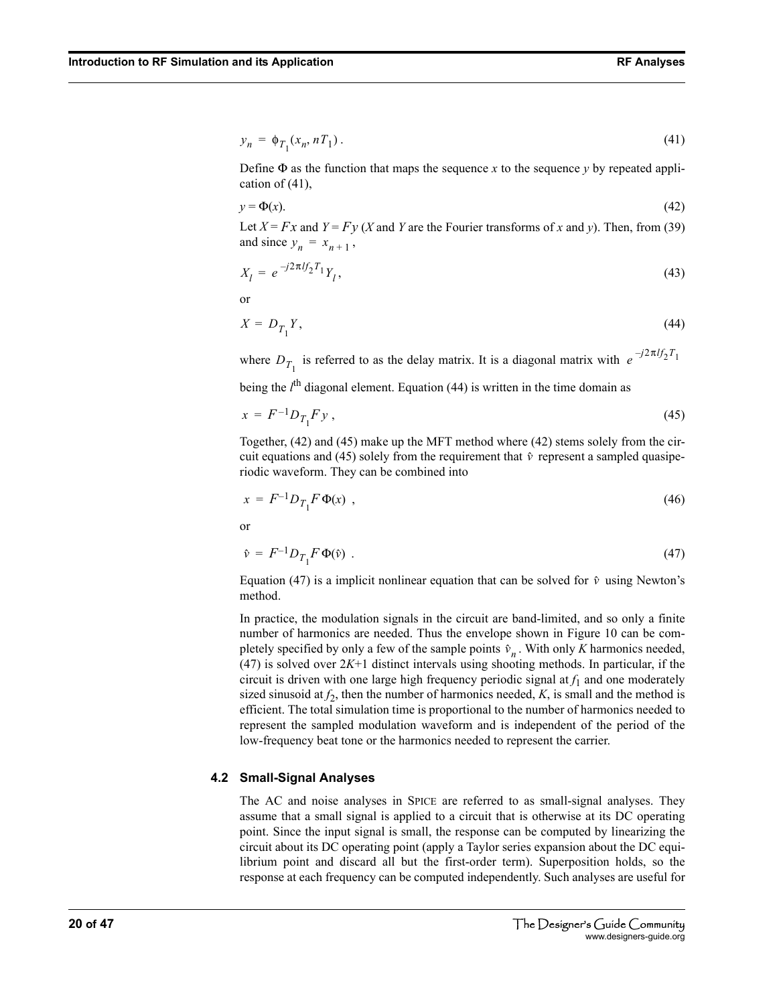<span id="page-19-1"></span>
$$
y_n = \phi_{T_1}(x_n, nT_1). \tag{41}
$$

Define Φ as the function that maps the sequence *x* to the sequence *y* by repeated application of [\(41\)](#page-19-1),

<span id="page-19-3"></span>
$$
y = \Phi(x). \tag{42}
$$

Let  $X = Fx$  and  $Y = Fy$  (*X* and *Y* are the Fourier transforms of *x* and *y*). Then, from [\(39\)](#page-18-2) and since  $y_n = x_{n+1}$ ,

$$
X_l = e^{-j2\pi l f_2 T_1} Y_l,
$$
\n(43)

<span id="page-19-2"></span>or

$$
X = D_{T_1} Y,\tag{44}
$$

where  $D_{T_1}$  is referred to as the delay matrix. It is a diagonal matrix with  $e^{-j2\pi l f_2 T_1}$ 

being the *l*<sup>th</sup> diagonal element. Equation [\(44\)](#page-19-2) is written in the time domain as

<span id="page-19-4"></span>
$$
x = F^{-1}D_{T_1}F y, \qquad (45)
$$

Together, [\(42\)](#page-19-3) and [\(45\)](#page-19-4) make up the MFT method where [\(42\)](#page-19-3) stems solely from the cir-cuit equations and [\(45\)](#page-19-4) solely from the requirement that  $\hat{v}$  represent a sampled quasiperiodic waveform. They can be combined into

$$
x = F^{-1}D_{T_1}F\Phi(x) \tag{46}
$$

<span id="page-19-5"></span>or

$$
\hat{\mathbf{v}} = F^{-1} D_{T_1} F \Phi(\hat{\mathbf{v}}) \tag{47}
$$

Equation [\(47\)](#page-19-5) is a implicit nonlinear equation that can be solved for  $\hat{v}$  using Newton's method.

In practice, the modulation signals in the circuit are band-limited, and so only a finite number of harmonics are needed. Thus the envelope shown in Figure [10](#page-18-1) can be completely specified by only a few of the sample points  $\hat{v}_n$ . With only *K* harmonics needed,  $(47)$  is solved over  $2K+1$  distinct intervals using shooting methods. In particular, if the circuit is driven with one large high frequency periodic signal at  $f_1$  and one moderately sized sinusoid at  $f_2$ , then the number of harmonics needed,  $K$ , is small and the method is efficient. The total simulation time is proportional to the number of harmonics needed to represent the sampled modulation waveform and is independent of the period of the low-frequency beat tone or the harmonics needed to represent the carrier.

# <span id="page-19-0"></span>**4.2 Small-Signal Analyses**

The AC and noise analyses in SPICE are referred to as small-signal analyses. They assume that a small signal is applied to a circuit that is otherwise at its DC operating point. Since the input signal is small, the response can be computed by linearizing the circuit about its DC operating point (apply a Taylor series expansion about the DC equilibrium point and discard all but the first-order term). Superposition holds, so the response at each frequency can be computed independently. Such analyses are useful for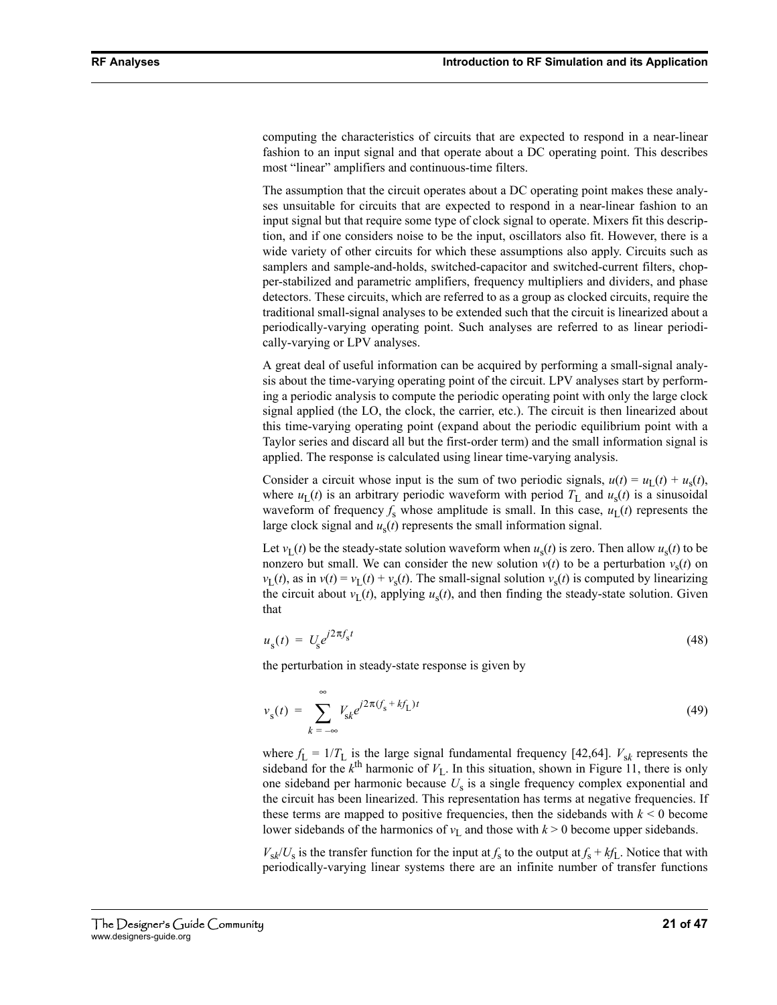computing the characteristics of circuits that are expected to respond in a near-linear fashion to an input signal and that operate about a DC operating point. This describes most "linear" amplifiers and continuous-time filters.

The assumption that the circuit operates about a DC operating point makes these analyses unsuitable for circuits that are expected to respond in a near-linear fashion to an input signal but that require some type of clock signal to operate. Mixers fit this description, and if one considers noise to be the input, oscillators also fit. However, there is a wide variety of other circuits for which these assumptions also apply. Circuits such as samplers and sample-and-holds, switched-capacitor and switched-current filters, chopper-stabilized and parametric amplifiers, frequency multipliers and dividers, and phase detectors. These circuits, which are referred to as a group as clocked circuits, require the traditional small-signal analyses to be extended such that the circuit is linearized about a periodically-varying operating point. Such analyses are referred to as linear periodically-varying or LPV analyses.

A great deal of useful information can be acquired by performing a small-signal analysis about the time-varying operating point of the circuit. LPV analyses start by performing a periodic analysis to compute the periodic operating point with only the large clock signal applied (the LO, the clock, the carrier, etc.). The circuit is then linearized about this time-varying operating point (expand about the periodic equilibrium point with a Taylor series and discard all but the first-order term) and the small information signal is applied. The response is calculated using linear time-varying analysis.

Consider a circuit whose input is the sum of two periodic signals,  $u(t) = u_L(t) + u_s(t)$ , where  $u<sub>L</sub>(t)$  is an arbitrary periodic waveform with period  $T<sub>L</sub>$  and  $u<sub>s</sub>(t)$  is a sinusoidal waveform of frequency  $f_s$  whose amplitude is small. In this case,  $u_l(t)$  represents the large clock signal and  $u<sub>s</sub>(t)$  represents the small information signal.

Let  $v<sub>I</sub>(t)$  be the steady-state solution waveform when  $u<sub>s</sub>(t)$  is zero. Then allow  $u<sub>s</sub>(t)$  to be nonzero but small. We can consider the new solution  $v(t)$  to be a perturbation  $v_s(t)$  on  $v_L(t)$ , as in  $v(t) = v_L(t) + v_s(t)$ . The small-signal solution  $v_s(t)$  is computed by linearizing the circuit about  $v_1(t)$ , applying  $u_s(t)$ , and then finding the steady-state solution. Given that

$$
u_{\rm s}(t) = U_{\rm s} e^{j2\pi f_{\rm s}t} \tag{48}
$$

the perturbation in steady-state response is given by

$$
v_{s}(t) = \sum_{k=-\infty}^{\infty} V_{sk} e^{j2\pi (f_{s} + kf_{L})t}
$$
(49)

where  $f_L = 1/T_L$  is the large signal fundamental frequency [[42,](#page-44-8)[64](#page-46-1)].  $V_{sk}$  represents the sideband for the  $k^{\text{th}}$  harmonic of  $V_L$ . In this situation, shown in [Figure 11,](#page-21-0) there is only one sideband per harmonic because *U*s is a single frequency complex exponential and the circuit has been linearized. This representation has terms at negative frequencies. If these terms are mapped to positive frequencies, then the sidebands with  $k < 0$  become lower sidebands of the harmonics of  $v_L$  and those with  $k > 0$  become upper sidebands.

 $V_{sk}/U_s$  is the transfer function for the input at  $f_s$  to the output at  $f_s + kf_L$ . Notice that with periodically-varying linear systems there are an infinite number of transfer functions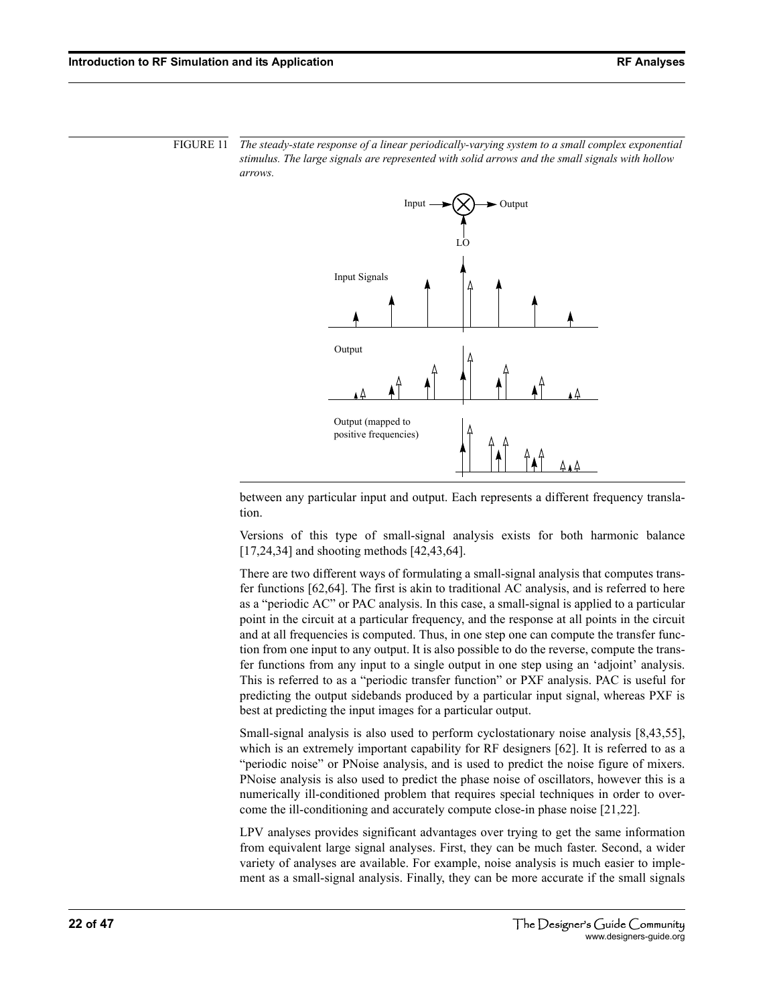<span id="page-21-0"></span>FIGURE 11 *The steady-state response of a linear periodically-varying system to a small complex exponential stimulus. The large signals are represented with solid arrows and the small signals with hollow arrows.*



between any particular input and output. Each represents a different frequency translation.

Versions of this type of small-signal analysis exists for both harmonic balance [\[17](#page-42-6),[24](#page-43-10)[,34](#page-44-9)] and shooting methods [[42,](#page-44-8)[43](#page-44-2),[64\]](#page-46-1).

There are two different ways of formulating a small-signal analysis that computes transfer functions [\[62](#page-45-0)[,64](#page-46-1)]. The first is akin to traditional AC analysis, and is referred to here as a "periodic AC" or PAC analysis. In this case, a small-signal is applied to a particular point in the circuit at a particular frequency, and the response at all points in the circuit and at all frequencies is computed. Thus, in one step one can compute the transfer function from one input to any output. It is also possible to do the reverse, compute the transfer functions from any input to a single output in one step using an 'adjoint' analysis. This is referred to as a "periodic transfer function" or PXF analysis. PAC is useful for predicting the output sidebands produced by a particular input signal, whereas PXF is best at predicting the input images for a particular output.

Small-signal analysis is also used to perform cyclostationary noise analysis [\[8](#page-42-1),[43,](#page-44-2)[55](#page-45-1)], which is an extremely important capability for RF designers [[62\]](#page-45-0). It is referred to as a "periodic noise" or PNoise analysis, and is used to predict the noise figure of mixers. PNoise analysis is also used to predict the phase noise of oscillators, however this is a numerically ill-conditioned problem that requires special techniques in order to overcome the ill-conditioning and accurately compute close-in phase noise [\[21](#page-43-1),[22\]](#page-43-2).

LPV analyses provides significant advantages over trying to get the same information from equivalent large signal analyses. First, they can be much faster. Second, a wider variety of analyses are available. For example, noise analysis is much easier to implement as a small-signal analysis. Finally, they can be more accurate if the small signals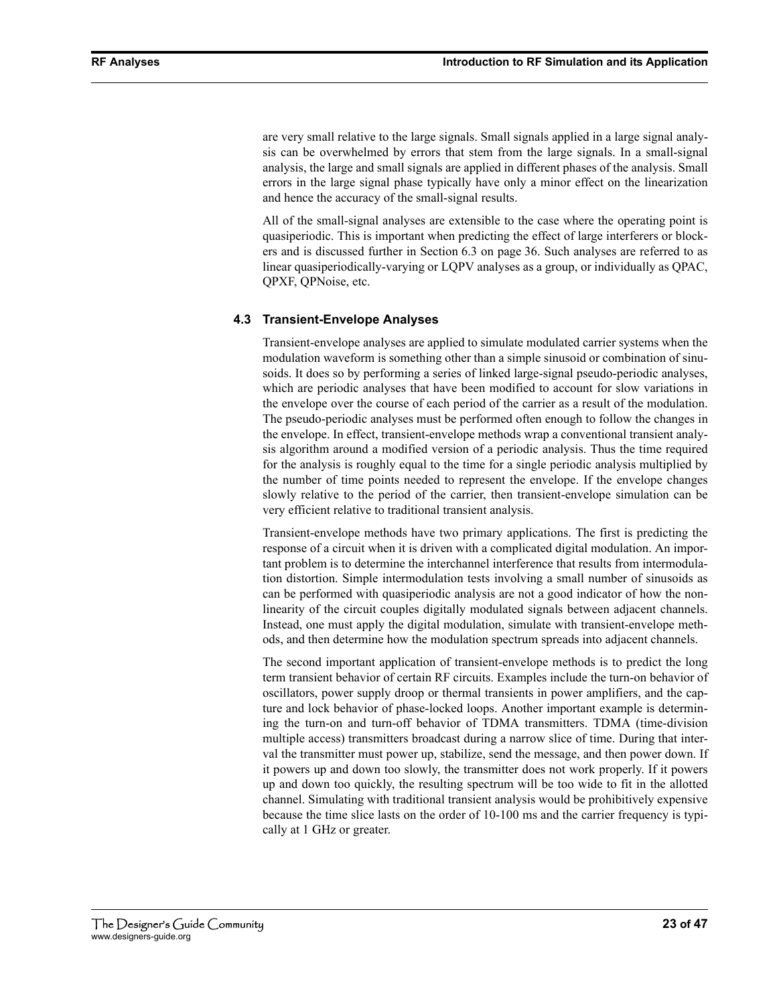are very small relative to the large signals. Small signals applied in a large signal analysis can be overwhelmed by errors that stem from the large signals. In a small-signal analysis, the large and small signals are applied in different phases of the analysis. Small errors in the large signal phase typically have only a minor effect on the linearization and hence the accuracy of the small-signal results.

All of the small-signal analyses are extensible to the case where the operating point is quasiperiodic. This is important when predicting the effect of large interferers or blockers and is discussed further in [Section 6.3 on page 36.](#page-35-0) Such analyses are referred to as linear quasiperiodically-varying or LQPV analyses as a group, or individually as QPAC, QPXF, QPNoise, etc.

# <span id="page-22-0"></span>**4.3 Transient-Envelope Analyses**

Transient-envelope analyses are applied to simulate modulated carrier systems when the modulation waveform is something other than a simple sinusoid or combination of sinusoids. It does so by performing a series of linked large-signal pseudo-periodic analyses, which are periodic analyses that have been modified to account for slow variations in the envelope over the course of each period of the carrier as a result of the modulation. The pseudo-periodic analyses must be performed often enough to follow the changes in the envelope. In effect, transient-envelope methods wrap a conventional transient analysis algorithm around a modified version of a periodic analysis. Thus the time required for the analysis is roughly equal to the time for a single periodic analysis multiplied by the number of time points needed to represent the envelope. If the envelope changes slowly relative to the period of the carrier, then transient-envelope simulation can be very efficient relative to traditional transient analysis.

Transient-envelope methods have two primary applications. The first is predicting the response of a circuit when it is driven with a complicated digital modulation. An important problem is to determine the interchannel interference that results from intermodulation distortion. Simple intermodulation tests involving a small number of sinusoids as can be performed with quasiperiodic analysis are not a good indicator of how the nonlinearity of the circuit couples digitally modulated signals between adjacent channels. Instead, one must apply the digital modulation, simulate with transient-envelope methods, and then determine how the modulation spectrum spreads into adjacent channels.

The second important application of transient-envelope methods is to predict the long term transient behavior of certain RF circuits. Examples include the turn-on behavior of oscillators, power supply droop or thermal transients in power amplifiers, and the capture and lock behavior of phase-locked loops. Another important example is determining the turn-on and turn-off behavior of TDMA transmitters. TDMA (time-division multiple access) transmitters broadcast during a narrow slice of time. During that interval the transmitter must power up, stabilize, send the message, and then power down. If it powers up and down too slowly, the transmitter does not work properly. If it powers up and down too quickly, the resulting spectrum will be too wide to fit in the allotted channel. Simulating with traditional transient analysis would be prohibitively expensive because the time slice lasts on the order of 10-100 ms and the carrier frequency is typically at 1 GHz or greater.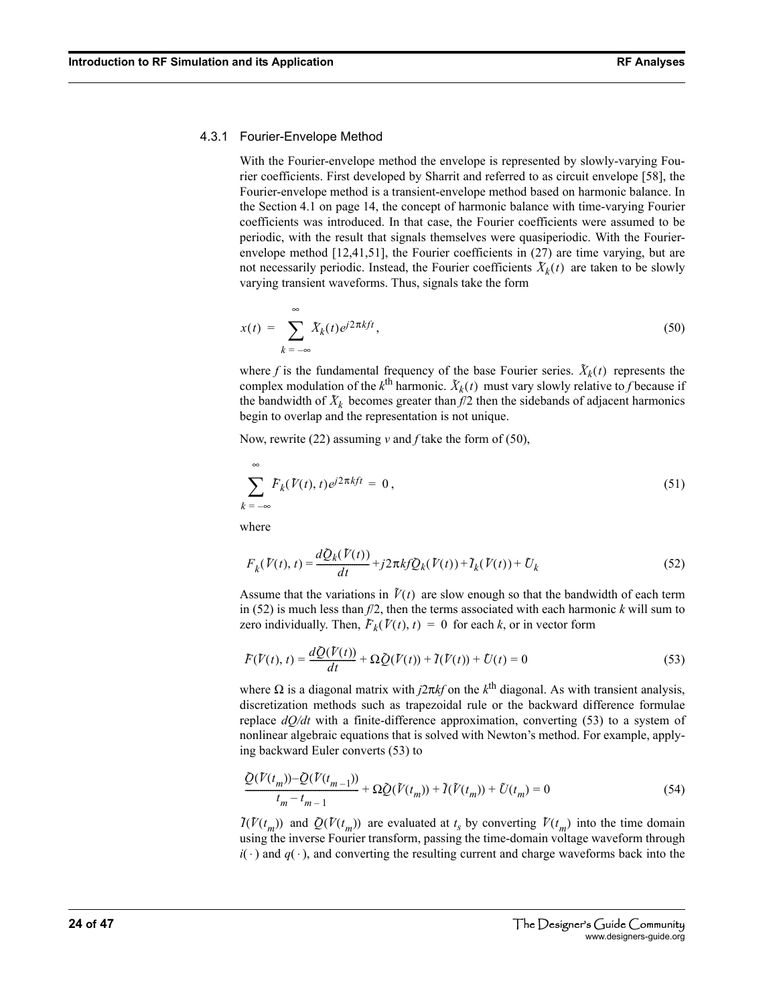#### 4.3.1 Fourier-Envelope Method

With the Fourier-envelope method the envelope is represented by slowly-varying Fourier coefficients. First developed by Sharrit and referred to as circuit envelope [\[58\]](#page-45-9), the Fourier-envelope method is a transient-envelope method based on harmonic balance. In the [Section 4.1 on page 14](#page-13-0), the concept of harmonic balance with time-varying Fourier coefficients was introduced. In that case, the Fourier coefficients were assumed to be periodic, with the result that signals themselves were quasiperiodic. With the Fourierenvelope method  $[12,41,51]$  $[12,41,51]$  $[12,41,51]$  $[12,41,51]$  $[12,41,51]$ , the Fourier coefficients in  $(27)$  are time varying, but are not necessarily periodic. Instead, the Fourier coefficients  $\tilde{X}_k(t)$  are taken to be slowly varying transient waveforms. Thus, signals take the form

<span id="page-23-0"></span>
$$
x(t) = \sum_{k=-\infty}^{\infty} \tilde{X}_k(t) e^{j2\pi kft},
$$
\n(50)

where *f* is the fundamental frequency of the base Fourier series.  $\tilde{X}_k(t)$  represents the complex modulation of the  $k^{\text{th}}$  harmonic.  $\tilde{X}_k(t)$  must vary slowly relative to *f* because if the bandwidth of  $\tilde{X}_k$  becomes greater than  $f/2$  then the sidebands of adjacent harmonics begin to overlap and the representation is not unique.

Now, rewrite [\(22\)](#page-14-0) assuming *v* and *f* take the form of [\(50\)](#page-23-0),

$$
\sum_{k=-\infty}^{\infty} \tilde{F}_k(\tilde{V}(t), t) e^{j2\pi kft} = 0,
$$
\n(51)

<span id="page-23-1"></span>where

$$
F_k(\tilde{V}(t), t) = \frac{d\tilde{Q}_k(\tilde{V}(t))}{dt} + j2\pi kf \tilde{Q}_k(\tilde{V}(t)) + \tilde{I}_k(\tilde{V}(t)) + \tilde{U}_k
$$
\n(52)

Assume that the variations in  $\tilde{V}(t)$  are slow enough so that the bandwidth of each term in  $(52)$  is much less than  $f/2$ , then the terms associated with each harmonic *k* will sum to zero individually. Then,  $\tilde{F}_k(\tilde{V}(t), t) = 0$  for each *k*, or in vector form

<span id="page-23-2"></span>
$$
\tilde{F}(\tilde{V}(t), t) = \frac{d\tilde{Q}(\tilde{V}(t))}{dt} + \Omega \tilde{Q}(\tilde{V}(t)) + \tilde{I}(\tilde{V}(t)) + \tilde{U}(t) = 0
$$
\n(53)

where  $\Omega$  is a diagonal matrix with *j*2 $\pi k f$  on the  $k^{\text{th}}$  diagonal. As with transient analysis, discretization methods such as trapezoidal rule or the backward difference formulae replace  $dO/dt$  with a finite-difference approximation, converting [\(53\)](#page-23-2) to a system of nonlinear algebraic equations that is solved with Newton's method. For example, applying backward Euler converts [\(53\)](#page-23-2) to

$$
\frac{\tilde{Q}(\tilde{V}(t_m))-\tilde{Q}(\tilde{V}(t_{m-1}))}{t_m-t_{m-1}}+\Omega\tilde{Q}(\tilde{V}(t_m))+\tilde{I}(\tilde{V}(t_m))+\tilde{U}(t_m)=0
$$
\n(54)

 $\tilde{I}(\tilde{V}(t_m))$  and  $\tilde{Q}(\tilde{V}(t_m))$  are evaluated at  $t_s$  by converting  $\tilde{V}(t_m)$  into the time domain using the inverse Fourier transform, passing the time-domain voltage waveform through  $i(\cdot)$  and  $q(\cdot)$ , and converting the resulting current and charge waveforms back into the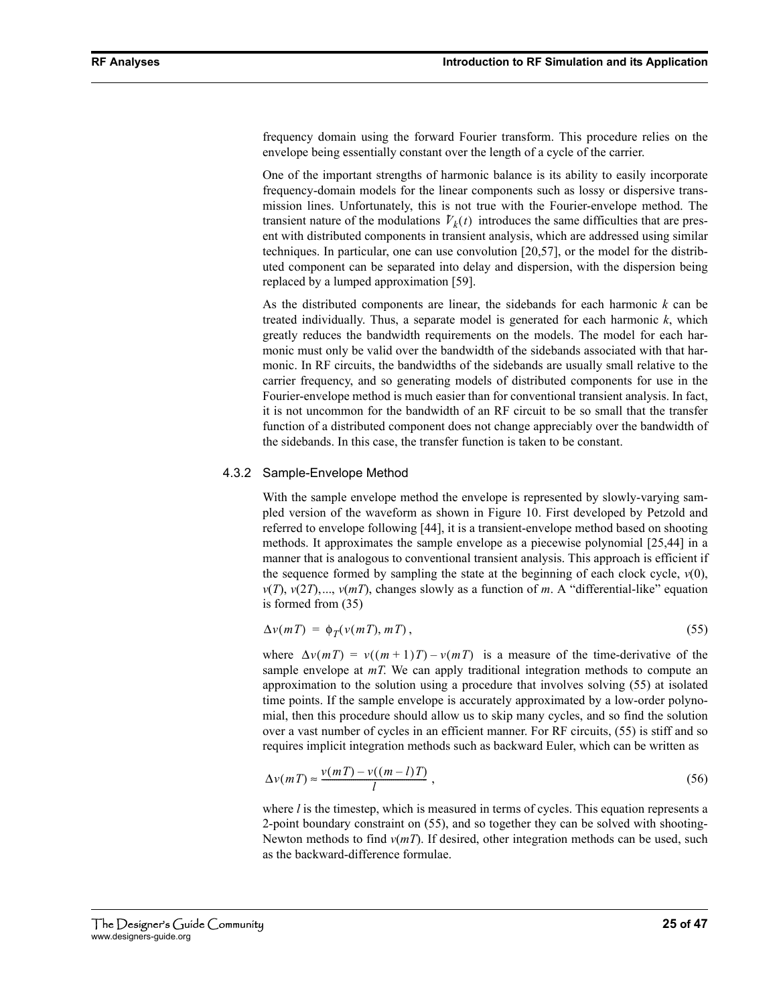frequency domain using the forward Fourier transform. This procedure relies on the envelope being essentially constant over the length of a cycle of the carrier.

One of the important strengths of harmonic balance is its ability to easily incorporate frequency-domain models for the linear components such as lossy or dispersive transmission lines. Unfortunately, this is not true with the Fourier-envelope method. The transient nature of the modulations  $\tilde{V}_k(t)$  introduces the same difficulties that are present with distributed components in transient analysis, which are addressed using similar techniques. In particular, one can use convolution [\[20](#page-43-3)[,57](#page-45-2)], or the model for the distributed component can be separated into delay and dispersion, with the dispersion being replaced by a lumped approximation [\[59\].](#page-45-3)

As the distributed components are linear, the sidebands for each harmonic *k* can be treated individually. Thus, a separate model is generated for each harmonic *k*, which greatly reduces the bandwidth requirements on the models. The model for each harmonic must only be valid over the bandwidth of the sidebands associated with that harmonic. In RF circuits, the bandwidths of the sidebands are usually small relative to the carrier frequency, and so generating models of distributed components for use in the Fourier-envelope method is much easier than for conventional transient analysis. In fact, it is not uncommon for the bandwidth of an RF circuit to be so small that the transfer function of a distributed component does not change appreciably over the bandwidth of the sidebands. In this case, the transfer function is taken to be constant.

# 4.3.2 Sample-Envelope Method

With the sample envelope method the envelope is represented by slowly-varying sampled version of the waveform as shown in Figure [10](#page-18-1). First developed by Petzold and referred to envelope following [\[44\],](#page-44-11) it is a transient-envelope method based on shooting methods. It approximates the sample envelope as a piecewise polynomial [\[25,](#page-43-11)[44\]](#page-44-11) in a manner that is analogous to conventional transient analysis. This approach is efficient if the sequence formed by sampling the state at the beginning of each clock cycle,  $v(0)$ ,  $v(T)$ ,  $v(2T)$ ,...,  $v(mT)$ , changes slowly as a function of *m*. A "differential-like" equation is formed from [\(35\)](#page-17-1)

<span id="page-24-0"></span>
$$
\Delta v(mT) = \phi_T(v(mT), mT), \qquad (55)
$$

where  $\Delta v(mT) = v((m+1)T) - v(mT)$  is a measure of the time-derivative of the sample envelope at  $mT$ . We can apply traditional integration methods to compute an approximation to the solution using a procedure that involves solving [\(55\)](#page-24-0) at isolated time points. If the sample envelope is accurately approximated by a low-order polynomial, then this procedure should allow us to skip many cycles, and so find the solution over a vast number of cycles in an efficient manner. For RF circuits, [\(55\)](#page-24-0) is stiff and so requires implicit integration methods such as backward Euler, which can be written as

$$
\Delta v(mT) \approx \frac{v(mT) - v((m-l)T)}{l} \,,\tag{56}
$$

where *l* is the timestep, which is measured in terms of cycles. This equation represents a 2-point boundary constraint on [\(55\)](#page-24-0), and so together they can be solved with shooting-Newton methods to find  $v(mT)$ . If desired, other integration methods can be used, such as the backward-difference formulae.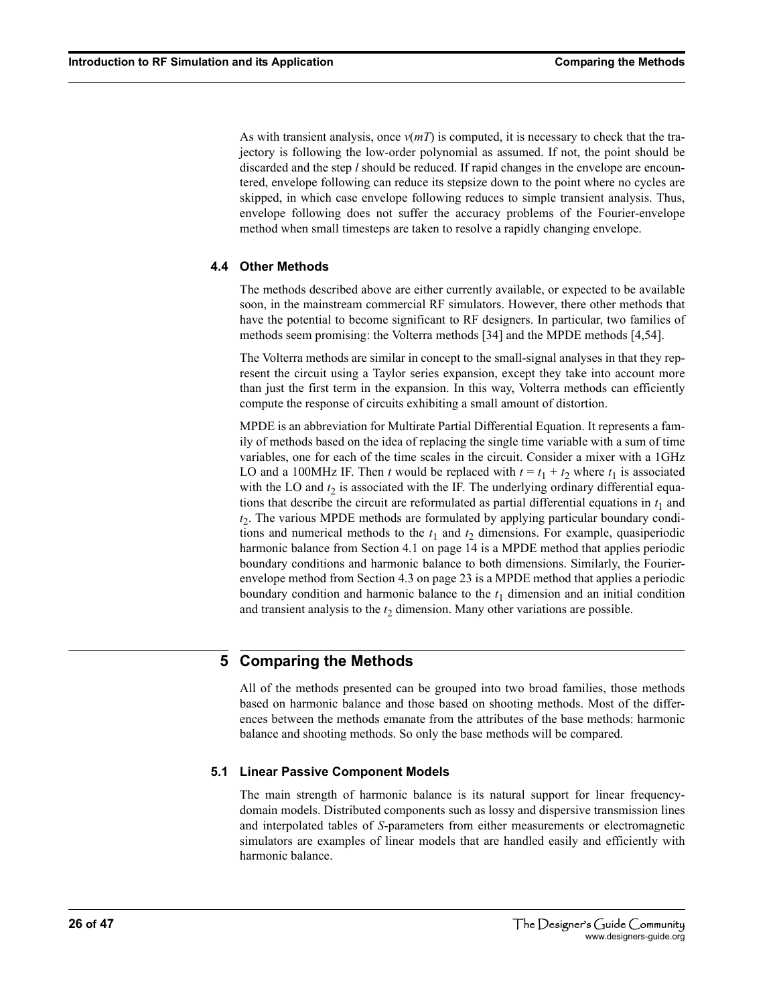As with transient analysis, once  $v(mT)$  is computed, it is necessary to check that the trajectory is following the low-order polynomial as assumed. If not, the point should be discarded and the step *l* should be reduced. If rapid changes in the envelope are encountered, envelope following can reduce its stepsize down to the point where no cycles are skipped, in which case envelope following reduces to simple transient analysis. Thus, envelope following does not suffer the accuracy problems of the Fourier-envelope method when small timesteps are taken to resolve a rapidly changing envelope.

# **4.4 Other Methods**

The methods described above are either currently available, or expected to be available soon, in the mainstream commercial RF simulators. However, there other methods that have the potential to become significant to RF designers. In particular, two families of methods seem promising: the Volterra methods [\[34\]](#page-44-9) and the MPDE methods [[4,](#page-42-8)[54](#page-45-11)].

The Volterra methods are similar in concept to the small-signal analyses in that they represent the circuit using a Taylor series expansion, except they take into account more than just the first term in the expansion. In this way, Volterra methods can efficiently compute the response of circuits exhibiting a small amount of distortion.

MPDE is an abbreviation for Multirate Partial Differential Equation. It represents a family of methods based on the idea of replacing the single time variable with a sum of time variables, one for each of the time scales in the circuit. Consider a mixer with a 1GHz LO and a 100MHz IF. Then *t* would be replaced with  $t = t_1 + t_2$  where  $t_1$  is associated with the LO and  $t_2$  is associated with the IF. The underlying ordinary differential equations that describe the circuit are reformulated as partial differential equations in  $t_1$  and *t*2. The various MPDE methods are formulated by applying particular boundary conditions and numerical methods to the  $t_1$  and  $t_2$  dimensions. For example, quasiperiodic harmonic balance from [Section 4.1 on page](#page-13-0) 14 is a MPDE method that applies periodic boundary conditions and harmonic balance to both dimensions. Similarly, the Fourierenvelope method from [Section 4.3 on page 23](#page-22-0) is a MPDE method that applies a periodic boundary condition and harmonic balance to the  $t_1$  dimension and an initial condition and transient analysis to the  $t_2$  dimension. Many other variations are possible.

# **5 Comparing the Methods**

All of the methods presented can be grouped into two broad families, those methods based on harmonic balance and those based on shooting methods. Most of the differences between the methods emanate from the attributes of the base methods: harmonic balance and shooting methods. So only the base methods will be compared.

# **5.1 Linear Passive Component Models**

The main strength of harmonic balance is its natural support for linear frequencydomain models. Distributed components such as lossy and dispersive transmission lines and interpolated tables of *S*-parameters from either measurements or electromagnetic simulators are examples of linear models that are handled easily and efficiently with harmonic balance.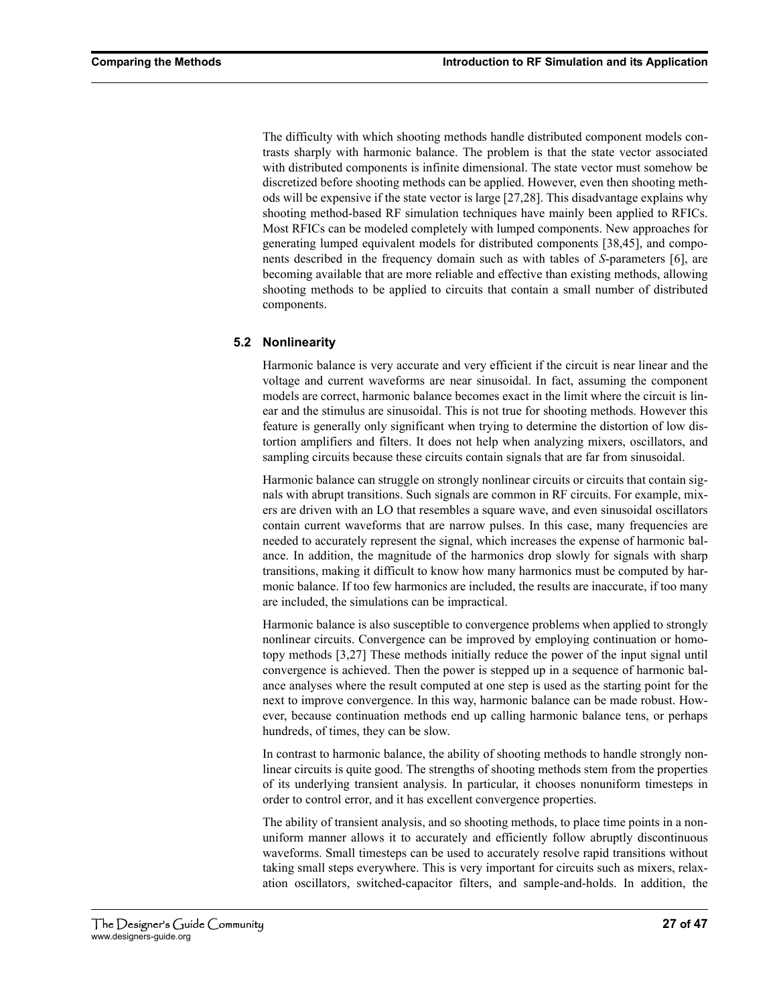The difficulty with which shooting methods handle distributed component models contrasts sharply with harmonic balance. The problem is that the state vector associated with distributed components is infinite dimensional. The state vector must somehow be discretized before shooting methods can be applied. However, even then shooting methods will be expensive if the state vector is large [\[27](#page-43-7),[28\]](#page-43-0). This disadvantage explains why shooting method-based RF simulation techniques have mainly been applied to RFICs. Most RFICs can be modeled completely with lumped components. New approaches for generating lumped equivalent models for distributed components [\[38](#page-44-3),[45\]](#page-44-4), and components described in the frequency domain such as with tables of *S*-parameters [\[6\],](#page-42-3) are becoming available that are more reliable and effective than existing methods, allowing shooting methods to be applied to circuits that contain a small number of distributed components.

# **5.2 Nonlinearity**

Harmonic balance is very accurate and very efficient if the circuit is near linear and the voltage and current waveforms are near sinusoidal. In fact, assuming the component models are correct, harmonic balance becomes exact in the limit where the circuit is linear and the stimulus are sinusoidal. This is not true for shooting methods. However this feature is generally only significant when trying to determine the distortion of low distortion amplifiers and filters. It does not help when analyzing mixers, oscillators, and sampling circuits because these circuits contain signals that are far from sinusoidal.

Harmonic balance can struggle on strongly nonlinear circuits or circuits that contain signals with abrupt transitions. Such signals are common in RF circuits. For example, mixers are driven with an LO that resembles a square wave, and even sinusoidal oscillators contain current waveforms that are narrow pulses. In this case, many frequencies are needed to accurately represent the signal, which increases the expense of harmonic balance. In addition, the magnitude of the harmonics drop slowly for signals with sharp transitions, making it difficult to know how many harmonics must be computed by harmonic balance. If too few harmonics are included, the results are inaccurate, if too many are included, the simulations can be impractical.

Harmonic balance is also susceptible to convergence problems when applied to strongly nonlinear circuits. Convergence can be improved by employing continuation or homotopy methods [[3,](#page-42-9)[27](#page-43-7)] These methods initially reduce the power of the input signal until convergence is achieved. Then the power is stepped up in a sequence of harmonic balance analyses where the result computed at one step is used as the starting point for the next to improve convergence. In this way, harmonic balance can be made robust. However, because continuation methods end up calling harmonic balance tens, or perhaps hundreds, of times, they can be slow.

In contrast to harmonic balance, the ability of shooting methods to handle strongly nonlinear circuits is quite good. The strengths of shooting methods stem from the properties of its underlying transient analysis. In particular, it chooses nonuniform timesteps in order to control error, and it has excellent convergence properties.

The ability of transient analysis, and so shooting methods, to place time points in a nonuniform manner allows it to accurately and efficiently follow abruptly discontinuous waveforms. Small timesteps can be used to accurately resolve rapid transitions without taking small steps everywhere. This is very important for circuits such as mixers, relaxation oscillators, switched-capacitor filters, and sample-and-holds. In addition, the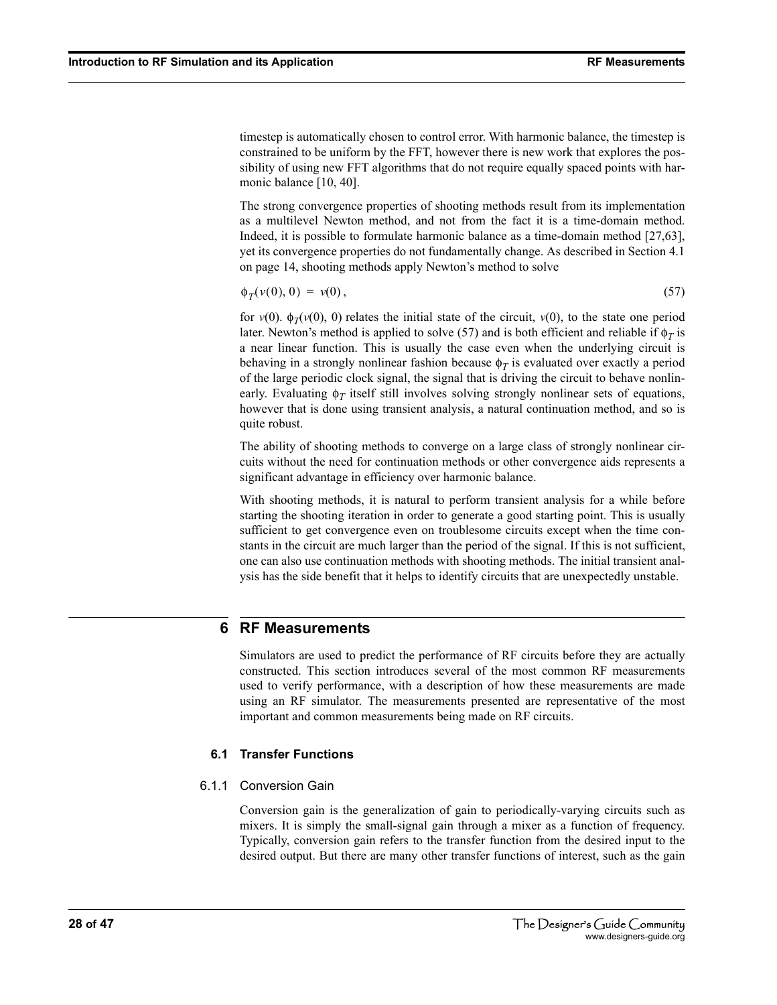timestep is automatically chosen to control error. With harmonic balance, the timestep is constrained to be uniform by the FFT, however there is new work that explores the possibility of using new FFT algorithms that do not require equally spaced points with harmonic balance [[10,](#page-42-10) [40\]](#page-44-12).

The strong convergence properties of shooting methods result from its implementation as a multilevel Newton method, and not from the fact it is a time-domain method. Indeed, it is possible to formulate harmonic balance as a time-domain method [[27,](#page-43-7)[63](#page-45-6)], yet its convergence properties do not fundamentally change. As described in [Section 4.1](#page-13-0) [on page 14,](#page-13-0) shooting methods apply Newton's method to solve

<span id="page-27-0"></span>
$$
\phi_T(v(0),0) = v(0),\tag{57}
$$

for *v*(0). φ*T*(*v*(0), 0) relates the initial state of the circuit, *v*(0), to the state one period later. Newton's method is applied to solve [\(57\)](#page-27-0) and is both efficient and reliable if  $\phi_T$  is a near linear function. This is usually the case even when the underlying circuit is behaving in a strongly nonlinear fashion because  $\phi_T$  is evaluated over exactly a period of the large periodic clock signal, the signal that is driving the circuit to behave nonlinearly. Evaluating  $\phi_T$  itself still involves solving strongly nonlinear sets of equations, however that is done using transient analysis, a natural continuation method, and so is quite robust.

The ability of shooting methods to converge on a large class of strongly nonlinear circuits without the need for continuation methods or other convergence aids represents a significant advantage in efficiency over harmonic balance.

With shooting methods, it is natural to perform transient analysis for a while before starting the shooting iteration in order to generate a good starting point. This is usually sufficient to get convergence even on troublesome circuits except when the time constants in the circuit are much larger than the period of the signal. If this is not sufficient, one can also use continuation methods with shooting methods. The initial transient analysis has the side benefit that it helps to identify circuits that are unexpectedly unstable.

# **6 RF Measurements**

Simulators are used to predict the performance of RF circuits before they are actually constructed. This section introduces several of the most common RF measurements used to verify performance, with a description of how these measurements are made using an RF simulator. The measurements presented are representative of the most important and common measurements being made on RF circuits.

# **6.1 Transfer Functions**

#### 6.1.1 Conversion Gain

Conversion gain is the generalization of gain to periodically-varying circuits such as mixers. It is simply the small-signal gain through a mixer as a function of frequency. Typically, conversion gain refers to the transfer function from the desired input to the desired output. But there are many other transfer functions of interest, such as the gain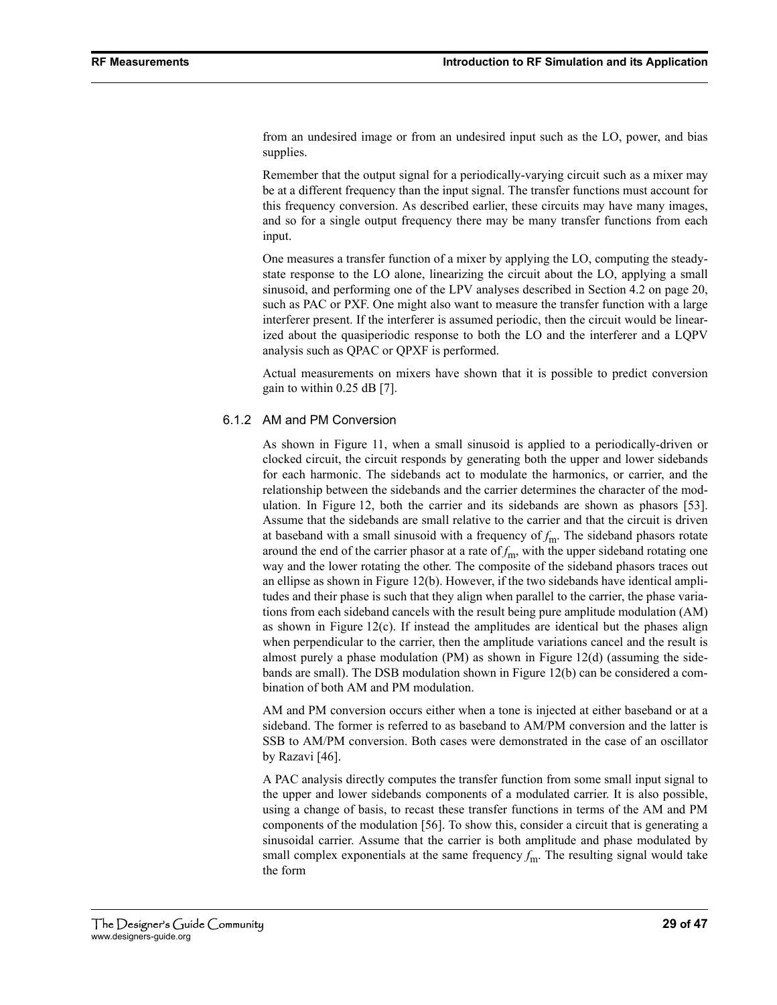from an undesired image or from an undesired input such as the LO, power, and bias supplies.

Remember that the output signal for a periodically-varying circuit such as a mixer may be at a different frequency than the input signal. The transfer functions must account for this frequency conversion. As described earlier, these circuits may have many images, and so for a single output frequency there may be many transfer functions from each input.

One measures a transfer function of a mixer by applying the LO, computing the steadystate response to the LO alone, linearizing the circuit about the LO, applying a small sinusoid, and performing one of the LPV analyses described in [Section 4.2 on page 20,](#page-19-0) such as PAC or PXF. One might also want to measure the transfer function with a large interferer present. If the interferer is assumed periodic, then the circuit would be linearized about the quasiperiodic response to both the LO and the interferer and a LQPV analysis such as QPAC or QPXF is performed.

Actual measurements on mixers have shown that it is possible to predict conversion gain to within 0.25 dB [\[7\].](#page-42-11)

# 6.1.2 AM and PM Conversion

As shown in Figure [11,](#page-21-0) when a small sinusoid is applied to a periodically-driven or clocked circuit, the circuit responds by generating both the upper and lower sidebands for each harmonic. The sidebands act to modulate the harmonics, or carrier, and the relationship between the sidebands and the carrier determines the character of the modulation. In [Figure 12,](#page-29-2) both the carrier and its sidebands are shown as phasors [\[53\].](#page-45-12) Assume that the sidebands are small relative to the carrier and that the circuit is driven at baseband with a small sinusoid with a frequency of  $f<sub>m</sub>$ . The sideband phasors rotate around the end of the carrier phasor at a rate of  $f<sub>m</sub>$ , with the upper sideband rotating one way and the lower rotating the other. The composite of the sideband phasors traces out an ellipse as shown in [Figure 12\(](#page-29-2)b). However, if the two sidebands have identical amplitudes and their phase is such that they align when parallel to the carrier, the phase variations from each sideband cancels with the result being pure amplitude modulation (AM) as shown in [Figure 12\(](#page-29-2)c). If instead the amplitudes are identical but the phases align when perpendicular to the carrier, then the amplitude variations cancel and the result is almost purely a phase modulation  $(PM)$  as shown in [Figure 12\(](#page-29-2)d) (assuming the sidebands are small). The DSB modulation shown in [Figure 12\(](#page-29-2)b) can be considered a combination of both AM and PM modulation.

AM and PM conversion occurs either when a tone is injected at either baseband or at a sideband. The former is referred to as baseband to AM/PM conversion and the latter is SSB to AM/PM conversion. Both cases were demonstrated in the case of an oscillator by Razavi [\[46\]](#page-44-13).

A PAC analysis directly computes the transfer function from some small input signal to the upper and lower sidebands components of a modulated carrier. It is also possible, using a change of basis, to recast these transfer functions in terms of the AM and PM components of the modulation [\[56\].](#page-45-13) To show this, consider a circuit that is generating a sinusoidal carrier. Assume that the carrier is both amplitude and phase modulated by small complex exponentials at the same frequency  $f_m$ . The resulting signal would take the form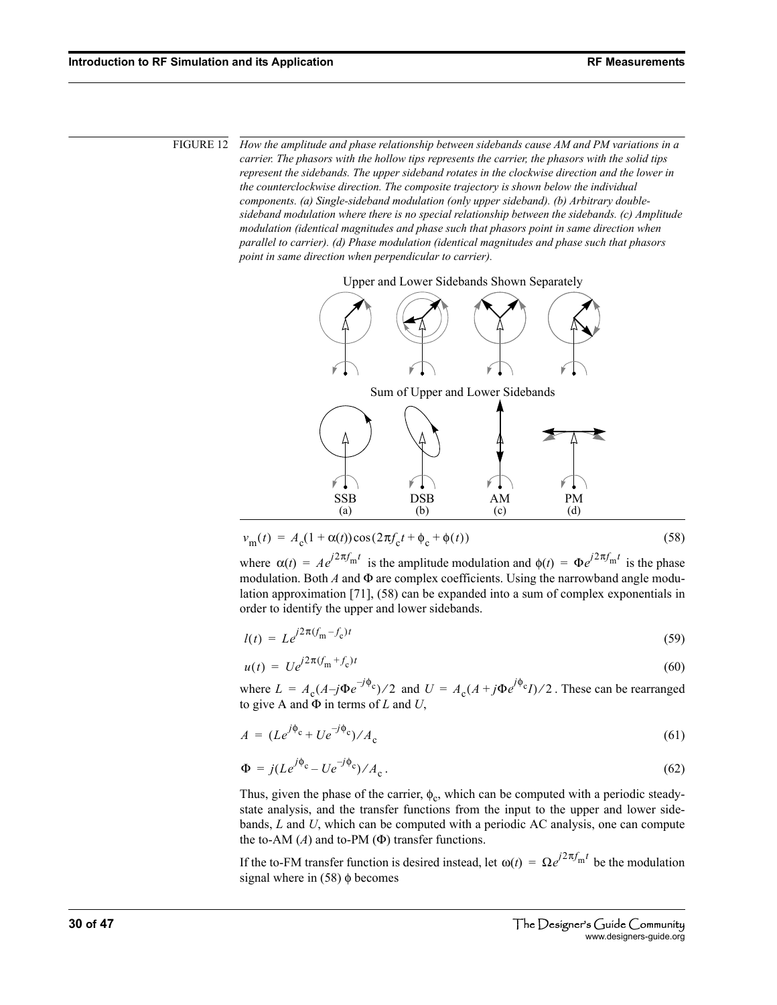<span id="page-29-2"></span>FIGURE 12 *How the amplitude and phase relationship between sidebands cause AM and PM variations in a carrier. The phasors with the hollow tips represents the carrier, the phasors with the solid tips represent the sidebands. The upper sideband rotates in the clockwise direction and the lower in the counterclockwise direction. The composite trajectory is shown below the individual components. (a) Single-sideband modulation (only upper sideband). (b) Arbitrary doublesideband modulation where there is no special relationship between the sidebands. (c) Amplitude modulation (identical magnitudes and phase such that phasors point in same direction when parallel to carrier). (d) Phase modulation (identical magnitudes and phase such that phasors point in same direction when perpendicular to carrier).*





Sum of Upper and Lower Sidebands



$$
v_{\rm m}(t) = A_{\rm c}(1 + \alpha(t))\cos(2\pi f_{\rm c}t + \phi_{\rm c} + \phi(t))
$$
\n(58)

<span id="page-29-3"></span>where  $\alpha(t) = Ae^{j2\pi f_m t}$  is the amplitude modulation and  $\phi(t) = \Phi e^{j2\pi f_m t}$  is the phase modulation. Both *A* and Φ are complex coefficients. Using the narrowband angle modulation approximation [\[71\]](#page-46-3), [\(58\)](#page-29-3) can be expanded into a sum of complex exponentials in order to identify the upper and lower sidebands.

$$
l(t) = Le^{j2\pi(f_m - f_c)t}
$$
\n
$$
(59)
$$

$$
u(t) = U e^{j2\pi (f_m + f_c)t}
$$
\n
$$
(60)
$$

where  $L = A_c (A - j\Phi e^{-j\phi_c})/2$  and  $U = A_c (A + j\Phi e^{j\phi_c})/2$ . These can be rearranged to give Α and Φ in terms of *L* and *U*,

<span id="page-29-0"></span>
$$
A = (Le^{j\phi_c} + Ue^{-j\phi_c})/A_c
$$
\n(61)

<span id="page-29-1"></span>
$$
\Phi = j(Le^{j\phi_c} - Ue^{-j\phi_c})/A_c.
$$
\n(62)

Thus, given the phase of the carrier,  $\phi_c$ , which can be computed with a periodic steadystate analysis, and the transfer functions from the input to the upper and lower sidebands, *L* and *U*, which can be computed with a periodic AC analysis, one can compute the to-AM  $(A)$  and to-PM  $(\Phi)$  transfer functions.

If the to-FM transfer function is desired instead, let  $\omega(t) = \Omega e^{j2\pi f_m t}$  be the modulation signal where in  $(58)$   $\phi$  becomes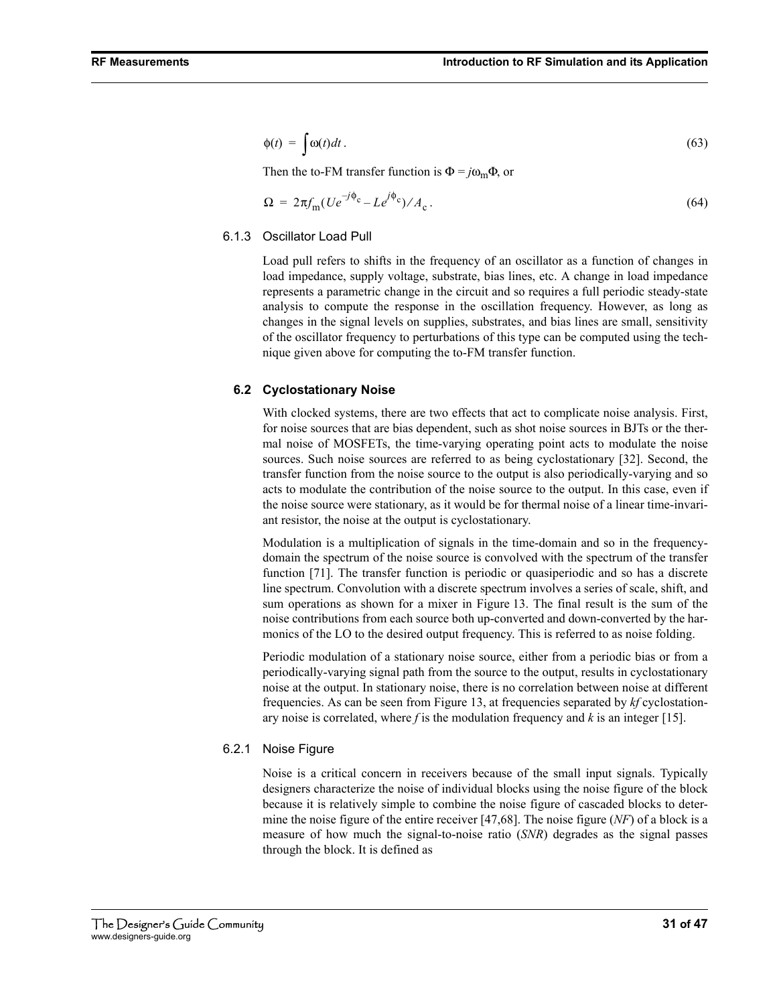$$
\phi(t) = \int \omega(t)dt \,. \tag{63}
$$

Then the to-FM transfer function is  $\Phi = j\omega_{\rm m}\Phi$ , or

$$
\Omega = 2\pi f_{\rm m} (U e^{-j\phi_{\rm c}} - L e^{j\phi_{\rm c}})/A_{\rm c} \,. \tag{64}
$$

#### <span id="page-30-0"></span>6.1.3 Oscillator Load Pull

Load pull refers to shifts in the frequency of an oscillator as a function of changes in load impedance, supply voltage, substrate, bias lines, etc. A change in load impedance represents a parametric change in the circuit and so requires a full periodic steady-state analysis to compute the response in the oscillation frequency. However, as long as changes in the signal levels on supplies, substrates, and bias lines are small, sensitivity of the oscillator frequency to perturbations of this type can be computed using the technique given above for computing the to-FM transfer function.

# **6.2 Cyclostationary Noise**

With clocked systems, there are two effects that act to complicate noise analysis. First, for noise sources that are bias dependent, such as shot noise sources in BJTs or the thermal noise of MOSFETs, the time-varying operating point acts to modulate the noise sources. Such noise sources are referred to as being cyclostationary [\[32\].](#page-43-12) Second, the transfer function from the noise source to the output is also periodically-varying and so acts to modulate the contribution of the noise source to the output. In this case, even if the noise source were stationary, as it would be for thermal noise of a linear time-invariant resistor, the noise at the output is cyclostationary.

Modulation is a multiplication of signals in the time-domain and so in the frequencydomain the spectrum of the noise source is convolved with the spectrum of the transfer function [\[71\]](#page-46-3). The transfer function is periodic or quasiperiodic and so has a discrete line spectrum. Convolution with a discrete spectrum involves a series of scale, shift, and sum operations as shown for a mixer in [Figure 13](#page-31-0). The final result is the sum of the noise contributions from each source both up-converted and down-converted by the harmonics of the LO to the desired output frequency. This is referred to as noise folding.

Periodic modulation of a stationary noise source, either from a periodic bias or from a periodically-varying signal path from the source to the output, results in cyclostationary noise at the output. In stationary noise, there is no correlation between noise at different frequencies. As can be seen from Figure [13,](#page-31-0) at frequencies separated by *kf* cyclostationary noise is correlated, where *f* is the modulation frequency and *k* is an integer [\[15\]](#page-42-12).

# 6.2.1 Noise Figure

Noise is a critical concern in receivers because of the small input signals. Typically designers characterize the noise of individual blocks using the noise figure of the block because it is relatively simple to combine the noise figure of cascaded blocks to determine the noise figure of the entire receiver [\[47](#page-44-0),[68\]](#page-46-4). The noise figure (*NF*) of a block is a measure of how much the signal-to-noise ratio (*SNR*) degrades as the signal passes through the block. It is defined as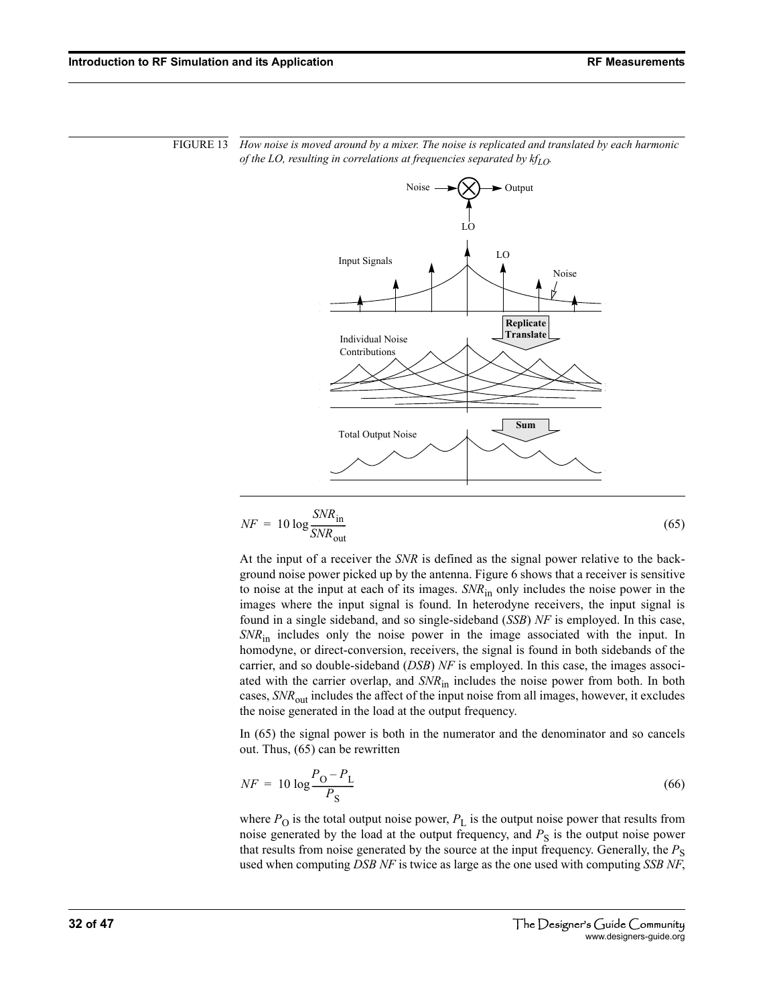

<span id="page-31-0"></span>FIGURE 13 *How noise is moved around by a mixer. The noise is replicated and translated by each harmonic of the LO, resulting in correlations at frequencies separated by kfLO.*

<span id="page-31-1"></span>
$$
NF = 10 \log \frac{SNR_{\text{in}}}{SNR_{\text{out}}} \tag{65}
$$

At the input of a receiver the *SNR* is defined as the signal power relative to the background noise power picked up by the antenna. Figure [6](#page-8-0) shows that a receiver is sensitive to noise at the input at each of its images. *SNR*in only includes the noise power in the images where the input signal is found. In heterodyne receivers, the input signal is found in a single sideband, and so single-sideband (*SSB*) *NF* is employed. In this case, *SNR*in includes only the noise power in the image associated with the input. In homodyne, or direct-conversion, receivers, the signal is found in both sidebands of the carrier, and so double-sideband (*DSB*) *NF* is employed. In this case, the images associated with the carrier overlap, and *SNR*in includes the noise power from both. In both cases, *SNR*out includes the affect of the input noise from all images, however, it excludes the noise generated in the load at the output frequency.

In [\(65\)](#page-31-1) the signal power is both in the numerator and the denominator and so cancels out. Thus, [\(65\)](#page-31-1) can be rewritten

$$
NF = 10 \log \frac{P_{\rm O} - P_{\rm L}}{P_{\rm S}} \tag{66}
$$

where  $P_{\text{O}}$  is the total output noise power,  $P_{\text{L}}$  is the output noise power that results from noise generated by the load at the output frequency, and  $P<sub>S</sub>$  is the output noise power that results from noise generated by the source at the input frequency. Generally, the  $P_S$ used when computing *DSB NF* is twice as large as the one used with computing *SSB NF*,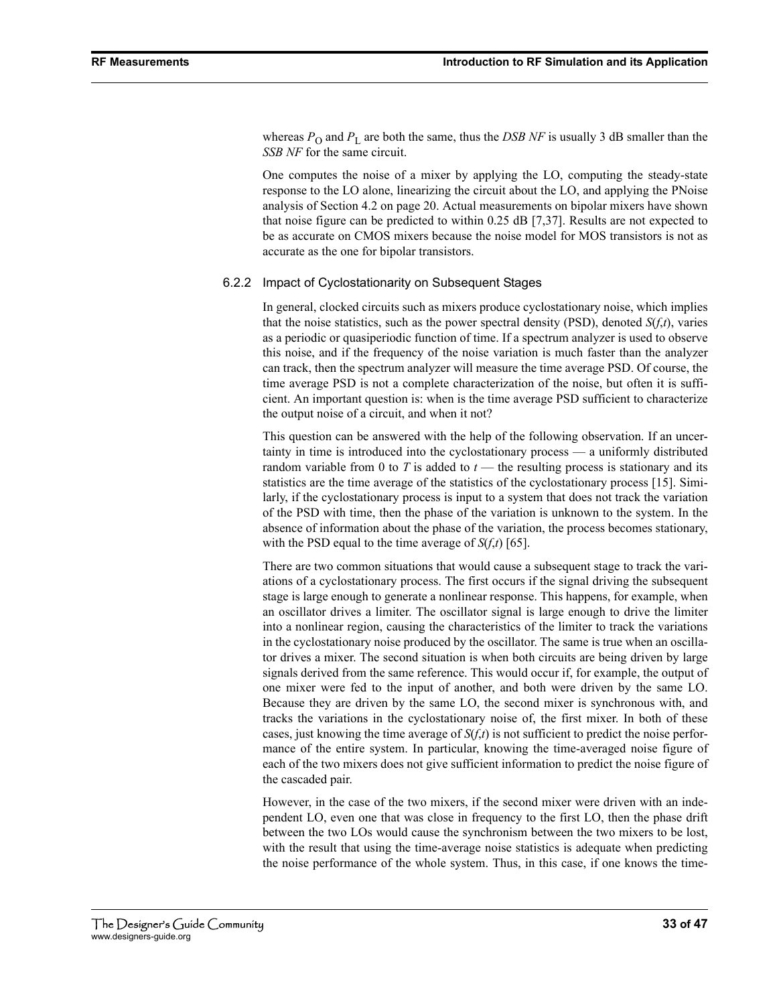whereas  $P_{\text{O}}$  and  $P_{\text{L}}$  are both the same, thus the *DSB NF* is usually 3 dB smaller than the *SSB NF* for the same circuit.

One computes the noise of a mixer by applying the LO, computing the steady-state response to the LO alone, linearizing the circuit about the LO, and applying the PNoise analysis of [Section 4.2 on page 20.](#page-19-0) Actual measurements on bipolar mixers have shown that noise figure can be predicted to within 0.25 dB [\[7](#page-42-11),[37\]](#page-44-14). Results are not expected to be as accurate on CMOS mixers because the noise model for MOS transistors is not as accurate as the one for bipolar transistors.

# 6.2.2 Impact of Cyclostationarity on Subsequent Stages

In general, clocked circuits such as mixers produce cyclostationary noise, which implies that the noise statistics, such as the power spectral density (PSD), denoted  $S(f,t)$ , varies as a periodic or quasiperiodic function of time. If a spectrum analyzer is used to observe this noise, and if the frequency of the noise variation is much faster than the analyzer can track, then the spectrum analyzer will measure the time average PSD. Of course, the time average PSD is not a complete characterization of the noise, but often it is sufficient. An important question is: when is the time average PSD sufficient to characterize the output noise of a circuit, and when it not?

This question can be answered with the help of the following observation. If an uncertainty in time is introduced into the cyclostationary process — a uniformly distributed random variable from 0 to  $T$  is added to  $t$  — the resulting process is stationary and its statistics are the time average of the statistics of the cyclostationary process [\[15\].](#page-42-12) Similarly, if the cyclostationary process is input to a system that does not track the variation of the PSD with time, then the phase of the variation is unknown to the system. In the absence of information about the phase of the variation, the process becomes stationary, with the PSD equal to the time average of  $S(f,t)$  [\[65\]](#page-46-5).

There are two common situations that would cause a subsequent stage to track the variations of a cyclostationary process. The first occurs if the signal driving the subsequent stage is large enough to generate a nonlinear response. This happens, for example, when an oscillator drives a limiter. The oscillator signal is large enough to drive the limiter into a nonlinear region, causing the characteristics of the limiter to track the variations in the cyclostationary noise produced by the oscillator. The same is true when an oscillator drives a mixer. The second situation is when both circuits are being driven by large signals derived from the same reference. This would occur if, for example, the output of one mixer were fed to the input of another, and both were driven by the same LO. Because they are driven by the same LO, the second mixer is synchronous with, and tracks the variations in the cyclostationary noise of, the first mixer. In both of these cases, just knowing the time average of  $S(f,t)$  is not sufficient to predict the noise performance of the entire system. In particular, knowing the time-averaged noise figure of each of the two mixers does not give sufficient information to predict the noise figure of the cascaded pair.

However, in the case of the two mixers, if the second mixer were driven with an independent LO, even one that was close in frequency to the first LO, then the phase drift between the two LOs would cause the synchronism between the two mixers to be lost, with the result that using the time-average noise statistics is adequate when predicting the noise performance of the whole system. Thus, in this case, if one knows the time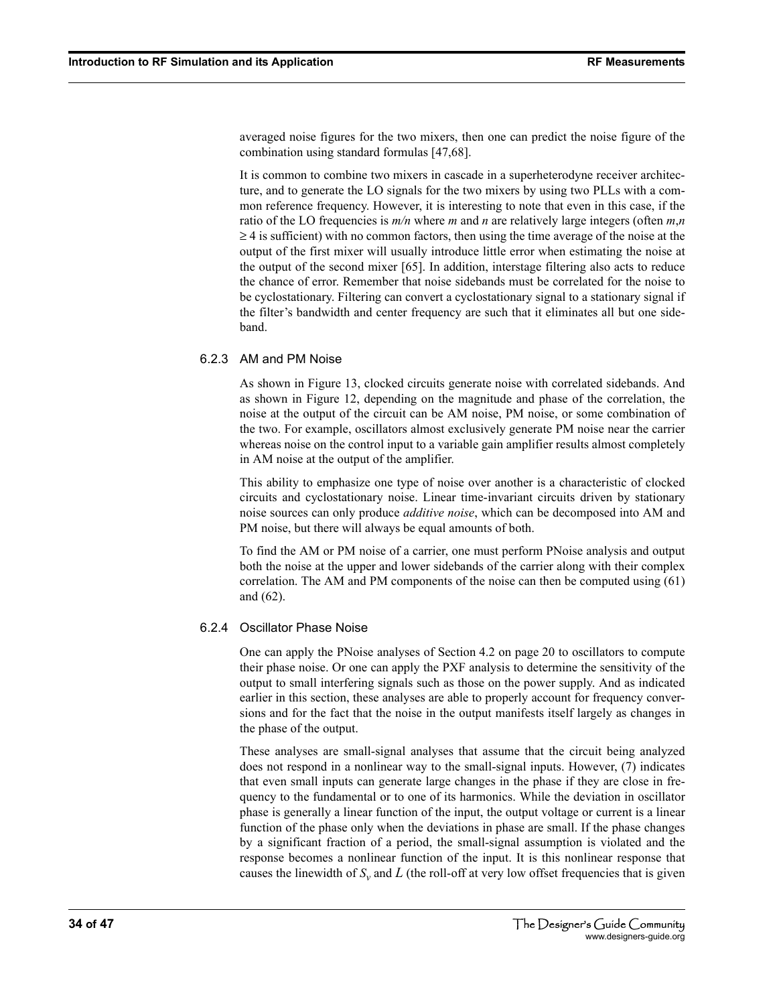averaged noise figures for the two mixers, then one can predict the noise figure of the combination using standard formulas [\[47](#page-44-0),[68\]](#page-46-4).

It is common to combine two mixers in cascade in a superheterodyne receiver architecture, and to generate the LO signals for the two mixers by using two PLLs with a common reference frequency. However, it is interesting to note that even in this case, if the ratio of the LO frequencies is *m/n* where *m* and *n* are relatively large integers (often *m*,*n*  $\geq$  4 is sufficient) with no common factors, then using the time average of the noise at the output of the first mixer will usually introduce little error when estimating the noise at the output of the second mixer [\[65\].](#page-46-5) In addition, interstage filtering also acts to reduce the chance of error. Remember that noise sidebands must be correlated for the noise to be cyclostationary. Filtering can convert a cyclostationary signal to a stationary signal if the filter's bandwidth and center frequency are such that it eliminates all but one sideband.

# 6.2.3 AM and PM Noise

As shown in Figure [13,](#page-31-0) clocked circuits generate noise with correlated sidebands. And as shown in Figure [12](#page-29-2), depending on the magnitude and phase of the correlation, the noise at the output of the circuit can be AM noise, PM noise, or some combination of the two. For example, oscillators almost exclusively generate PM noise near the carrier whereas noise on the control input to a variable gain amplifier results almost completely in AM noise at the output of the amplifier.

This ability to emphasize one type of noise over another is a characteristic of clocked circuits and cyclostationary noise. Linear time-invariant circuits driven by stationary noise sources can only produce *additive noise*, which can be decomposed into AM and PM noise, but there will always be equal amounts of both.

To find the AM or PM noise of a carrier, one must perform PNoise analysis and output both the noise at the upper and lower sidebands of the carrier along with their complex correlation. The AM and PM components of the noise can then be computed using [\(61\)](#page-29-0) and [\(62\).](#page-29-1)

#### 6.2.4 Oscillator Phase Noise

One can apply the PNoise analyses of [Section 4.2 on page 20](#page-19-0) to oscillators to compute their phase noise. Or one can apply the PXF analysis to determine the sensitivity of the output to small interfering signals such as those on the power supply. And as indicated earlier in this section, these analyses are able to properly account for frequency conversions and for the fact that the noise in the output manifests itself largely as changes in the phase of the output.

These analyses are small-signal analyses that assume that the circuit being analyzed does not respond in a nonlinear way to the small-signal inputs. However, [\(7\)](#page-10-3) indicates that even small inputs can generate large changes in the phase if they are close in frequency to the fundamental or to one of its harmonics. While the deviation in oscillator phase is generally a linear function of the input, the output voltage or current is a linear function of the phase only when the deviations in phase are small. If the phase changes by a significant fraction of a period, the small-signal assumption is violated and the response becomes a nonlinear function of the input. It is this nonlinear response that causes the linewidth of  $S_v$  and L (the roll-off at very low offset frequencies that is given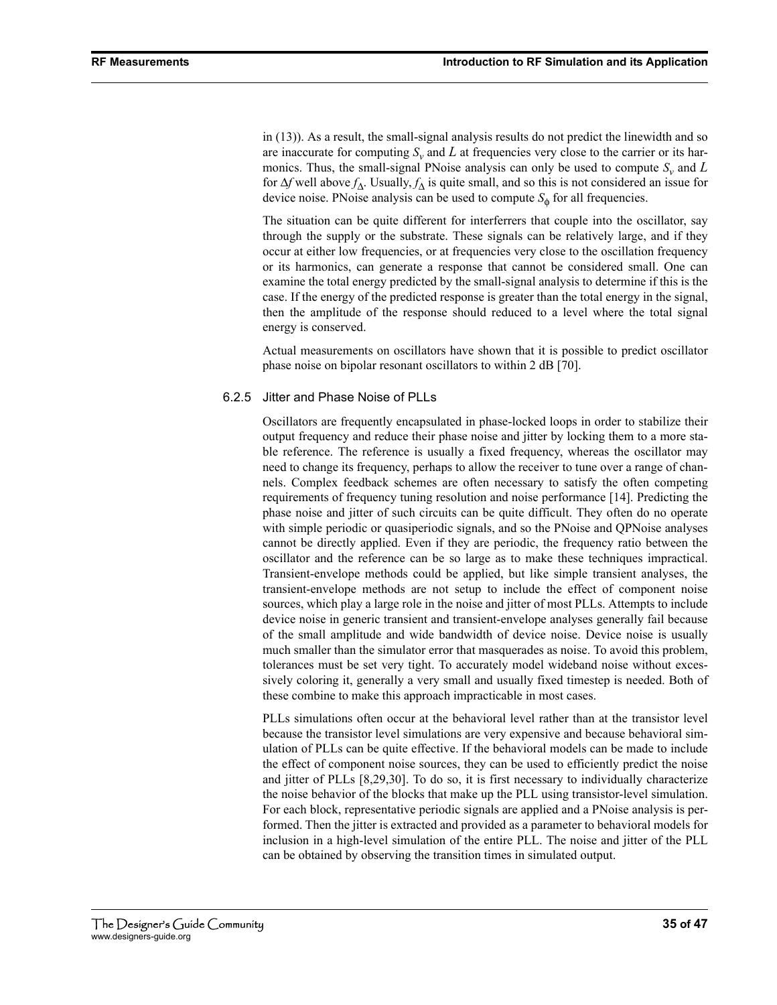in [\(13\)\)](#page-11-2). As a result, the small-signal analysis results do not predict the linewidth and so are inaccurate for computing  $S<sub>v</sub>$  and  $L$  at frequencies very close to the carrier or its harmonics. Thus, the small-signal PNoise analysis can only be used to compute  $S_v$  and  $L$ for  $\Delta f$  well above  $f_\Delta$ . Usually,  $f_\Delta$  is quite small, and so this is not considered an issue for device noise. PNoise analysis can be used to compute  $S_{\phi}$  for all frequencies.

The situation can be quite different for interferrers that couple into the oscillator, say through the supply or the substrate. These signals can be relatively large, and if they occur at either low frequencies, or at frequencies very close to the oscillation frequency or its harmonics, can generate a response that cannot be considered small. One can examine the total energy predicted by the small-signal analysis to determine if this is the case. If the energy of the predicted response is greater than the total energy in the signal, then the amplitude of the response should reduced to a level where the total signal energy is conserved.

Actual measurements on oscillators have shown that it is possible to predict oscillator phase noise on bipolar resonant oscillators to within 2 dB [\[70\].](#page-46-6)

# 6.2.5 Jitter and Phase Noise of PLLs

Oscillators are frequently encapsulated in phase-locked loops in order to stabilize their output frequency and reduce their phase noise and jitter by locking them to a more stable reference. The reference is usually a fixed frequency, whereas the oscillator may need to change its frequency, perhaps to allow the receiver to tune over a range of channels. Complex feedback schemes are often necessary to satisfy the often competing requirements of frequency tuning resolution and noise performance [\[14\].](#page-42-13) Predicting the phase noise and jitter of such circuits can be quite difficult. They often do no operate with simple periodic or quasiperiodic signals, and so the PNoise and QPNoise analyses cannot be directly applied. Even if they are periodic, the frequency ratio between the oscillator and the reference can be so large as to make these techniques impractical. Transient-envelope methods could be applied, but like simple transient analyses, the transient-envelope methods are not setup to include the effect of component noise sources, which play a large role in the noise and jitter of most PLLs. Attempts to include device noise in generic transient and transient-envelope analyses generally fail because of the small amplitude and wide bandwidth of device noise. Device noise is usually much smaller than the simulator error that masquerades as noise. To avoid this problem, tolerances must be set very tight. To accurately model wideband noise without excessively coloring it, generally a very small and usually fixed timestep is needed. Both of these combine to make this approach impracticable in most cases.

PLLs simulations often occur at the behavioral level rather than at the transistor level because the transistor level simulations are very expensive and because behavioral simulation of PLLs can be quite effective. If the behavioral models can be made to include the effect of component noise sources, they can be used to efficiently predict the noise and jitter of PLLs [[8,](#page-42-1)[29](#page-43-14),[30\]](#page-43-13). To do so, it is first necessary to individually characterize the noise behavior of the blocks that make up the PLL using transistor-level simulation. For each block, representative periodic signals are applied and a PNoise analysis is performed. Then the jitter is extracted and provided as a parameter to behavioral models for inclusion in a high-level simulation of the entire PLL. The noise and jitter of the PLL can be obtained by observing the transition times in simulated output.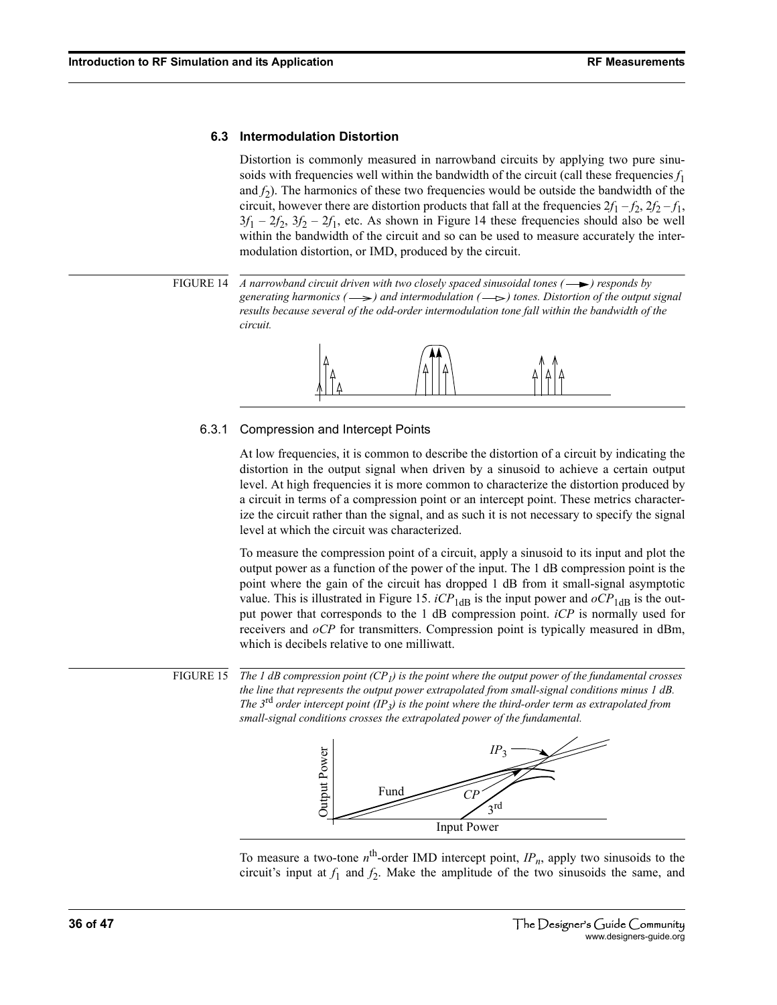#### <span id="page-35-0"></span>**6.3 Intermodulation Distortion**

Distortion is commonly measured in narrowband circuits by applying two pure sinusoids with frequencies well within the bandwidth of the circuit (call these frequencies  $f_1$ ) and  $f_2$ ). The harmonics of these two frequencies would be outside the bandwidth of the circuit, however there are distortion products that fall at the frequencies  $2f_1 - f_2$ ,  $2f_2 - f_1$ ,  $3f_1 - 2f_2$ ,  $3f_2 - 2f_1$ , etc. As shown in [Figure 14](#page-35-1) these frequencies should also be well within the bandwidth of the circuit and so can be used to measure accurately the intermodulation distortion, or IMD, produced by the circuit.

<span id="page-35-1"></span>

FIGURE 14 A narrowband circuit driven with two closely spaced sinusoidal tones  $($ ightarrows by  $\overline{P}$ *generating harmonics (*  $\rightarrow$  ) and intermodulation ( $\rightarrow$  ) tones. Distortion of the output signal *results because several of the odd-order intermodulation tone fall within the bandwidth of the circuit.*



#### 6.3.1 Compression and Intercept Points

At low frequencies, it is common to describe the distortion of a circuit by indicating the distortion in the output signal when driven by a sinusoid to achieve a certain output level. At high frequencies it is more common to characterize the distortion produced by a circuit in terms of a compression point or an intercept point. These metrics characterize the circuit rather than the signal, and as such it is not necessary to specify the signal level at which the circuit was characterized.

To measure the compression point of a circuit, apply a sinusoid to its input and plot the output power as a function of the power of the input. The 1 dB compression point is the point where the gain of the circuit has dropped 1 dB from it small-signal asymptotic value. This is illustrated in [Figure 15](#page-35-2).  $iCP_{1dB}$  is the input power and  $oCP_{1dB}$  is the output power that corresponds to the 1 dB compression point. *iCP* is normally used for receivers and *oCP* for transmitters. Compression point is typically measured in dBm, which is decibels relative to one milliwatt.

<span id="page-35-2"></span>

FIGURE 15 *The 1 dB compression point (CP<sub>1</sub>) is the point where the output power of the fundamental crosses the line that represents the output power extrapolated from small-signal conditions minus 1 dB. The 3*rd *order intercept point (IP3) is the point where the third-order term as extrapolated from small-signal conditions crosses the extrapolated power of the fundamental.*



To measure a two-tone  $n^{\text{th}}$ -order IMD intercept point,  $IP_n$ , apply two sinusoids to the circuit's input at  $f_1$  and  $f_2$ . Make the amplitude of the two sinusoids the same, and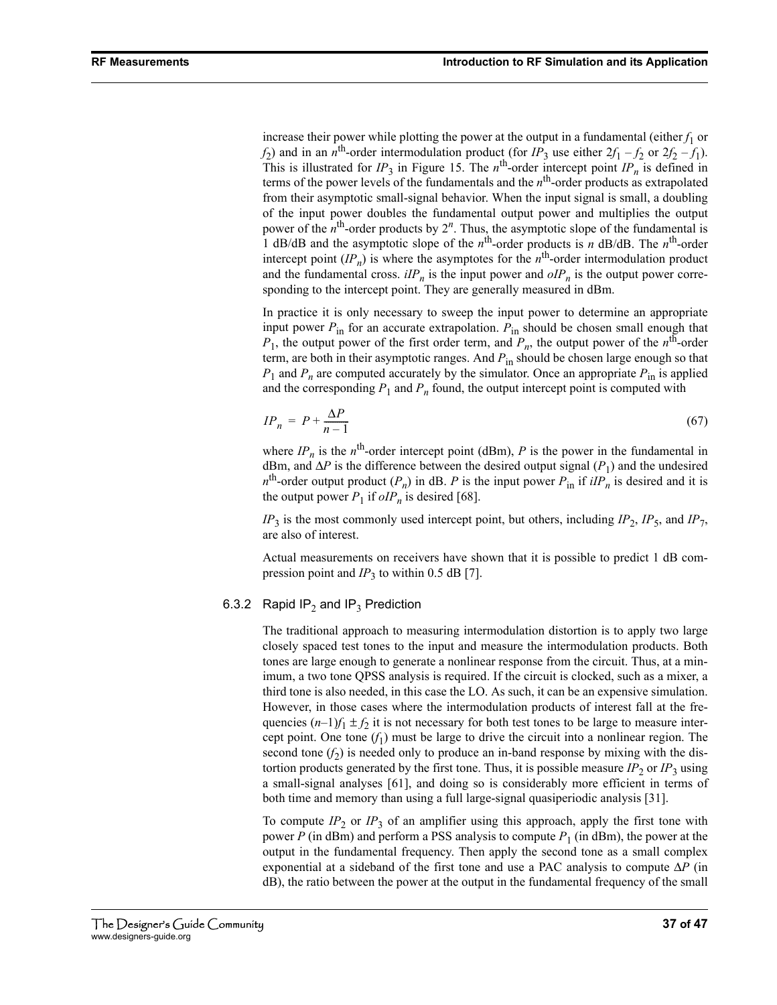increase their power while plotting the power at the output in a fundamental (either  $f_1$  or *f*<sub>2</sub>) and in an *n*<sup>th</sup>-order intermodulation product (for *IP*<sub>3</sub> use either  $2f_1 - f_2$  or  $2f_2 - f_1$ ). This is illustrated for  $IP_3$  in Figure [15](#page-35-2). The  $n^{\text{th}}$ -order intercept point  $IP_n$  is defined in terms of the power levels of the fundamentals and the *n*th-order products as extrapolated from their asymptotic small-signal behavior. When the input signal is small, a doubling of the input power doubles the fundamental output power and multiplies the output power of the  $n^{\text{th}}$ -order products by  $2^n$ . Thus, the asymptotic slope of the fundamental is 1 dB/dB and the asymptotic slope of the  $n^{\text{th}}$ -order products is *n* dB/dB. The  $n^{\text{th}}$ -order intercept point  $(IP_n)$  is where the asymptotes for the  $n^{\text{th}}$ -order intermodulation product and the fundamental cross.  $iIP_n$  is the input power and  $oIP_n$  is the output power corresponding to the intercept point. They are generally measured in dBm.

In practice it is only necessary to sweep the input power to determine an appropriate input power *P*in for an accurate extrapolation. *P*in should be chosen small enough that  $P_1$ , the output power of the first order term, and  $P_n$ , the output power of the *n*<sup>th</sup>-order term, are both in their asymptotic ranges. And  $P_{in}$  should be chosen large enough so that  $P_1$  and  $P_n$  are computed accurately by the simulator. Once an appropriate  $P_{in}$  is applied and the corresponding  $P_1$  and  $P_n$  found, the output intercept point is computed with

<span id="page-36-0"></span>
$$
IP_n = P + \frac{\Delta P}{n - 1} \tag{67}
$$

where  $IP_n$  is the  $n^{\text{th}}$ -order intercept point (dBm), P is the power in the fundamental in dBm, and  $\Delta P$  is the difference between the desired output signal  $(P_1)$  and the undesired  $n^{\text{th}}$ -order output product  $(P_n)$  in dB. *P* is the input power  $P_{\text{in}}$  if *iIP<sub>n</sub>* is desired and it is the output power  $P_1$  if  $oIP_n$  is desired [\[68\].](#page-46-4)

 $IP_3$  is the most commonly used intercept point, but others, including  $IP_2$ ,  $IP_5$ , and  $IP_7$ , are also of interest.

Actual measurements on receivers have shown that it is possible to predict 1 dB compression point and  $IP_3$  to within 0.5 dB [\[7\].](#page-42-11)

# 6.3.2 Rapid  $IP_2$  and  $IP_3$  Prediction

The traditional approach to measuring intermodulation distortion is to apply two large closely spaced test tones to the input and measure the intermodulation products. Both tones are large enough to generate a nonlinear response from the circuit. Thus, at a minimum, a two tone QPSS analysis is required. If the circuit is clocked, such as a mixer, a third tone is also needed, in this case the LO. As such, it can be an expensive simulation. However, in those cases where the intermodulation products of interest fall at the frequencies  $(n-1)f_1 \pm f_2$  it is not necessary for both test tones to be large to measure intercept point. One tone  $(f_1)$  must be large to drive the circuit into a nonlinear region. The second tone  $(f_2)$  is needed only to produce an in-band response by mixing with the distortion products generated by the first tone. Thus, it is possible measure  $IP_2$  or  $IP_3$  using a small-signal analyses [\[61\]](#page-45-5), and doing so is considerably more efficient in terms of both time and memory than using a full large-signal quasiperiodic analysis [\[31\].](#page-43-15)

To compute  $IP_2$  or  $IP_3$  of an amplifier using this approach, apply the first tone with power *P* (in dBm) and perform a PSS analysis to compute *P*1 (in dBm), the power at the output in the fundamental frequency. Then apply the second tone as a small complex exponential at a sideband of the first tone and use a PAC analysis to compute Δ*P* (in dB), the ratio between the power at the output in the fundamental frequency of the small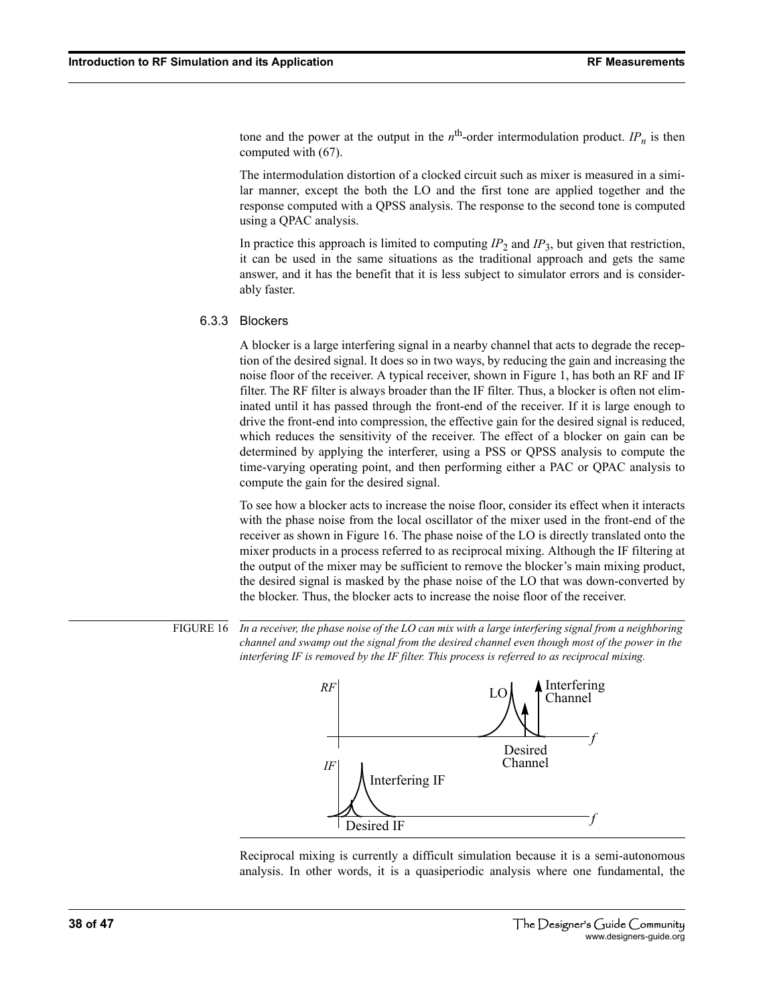tone and the power at the output in the  $n^{\text{th}}$ -order intermodulation product. *IP<sub>n</sub>* is then computed with [\(67\).](#page-36-0)

The intermodulation distortion of a clocked circuit such as mixer is measured in a similar manner, except the both the LO and the first tone are applied together and the response computed with a QPSS analysis. The response to the second tone is computed using a QPAC analysis.

In practice this approach is limited to computing  $IP_2$  and  $IP_3$ , but given that restriction, it can be used in the same situations as the traditional approach and gets the same answer, and it has the benefit that it is less subject to simulator errors and is considerably faster.

#### 6.3.3 Blockers

A blocker is a large interfering signal in a nearby channel that acts to degrade the reception of the desired signal. It does so in two ways, by reducing the gain and increasing the noise floor of the receiver. A typical receiver, shown in Figure [1](#page-1-0), has both an RF and IF filter. The RF filter is always broader than the IF filter. Thus, a blocker is often not eliminated until it has passed through the front-end of the receiver. If it is large enough to drive the front-end into compression, the effective gain for the desired signal is reduced, which reduces the sensitivity of the receiver. The effect of a blocker on gain can be determined by applying the interferer, using a PSS or QPSS analysis to compute the time-varying operating point, and then performing either a PAC or QPAC analysis to compute the gain for the desired signal.

To see how a blocker acts to increase the noise floor, consider its effect when it interacts with the phase noise from the local oscillator of the mixer used in the front-end of the receiver as shown in [Figure 16.](#page-37-0) The phase noise of the LO is directly translated onto the mixer products in a process referred to as reciprocal mixing. Although the IF filtering at the output of the mixer may be sufficient to remove the blocker's main mixing product, the desired signal is masked by the phase noise of the LO that was down-converted by the blocker. Thus, the blocker acts to increase the noise floor of the receiver.

<span id="page-37-0"></span>

FIGURE 16 *In a receiver, the phase noise of the LO can mix with a large interfering signal from a neighboring channel and swamp out the signal from the desired channel even though most of the power in the interfering IF is removed by the IF filter. This process is referred to as reciprocal mixing.*



Reciprocal mixing is currently a difficult simulation because it is a semi-autonomous analysis. In other words, it is a quasiperiodic analysis where one fundamental, the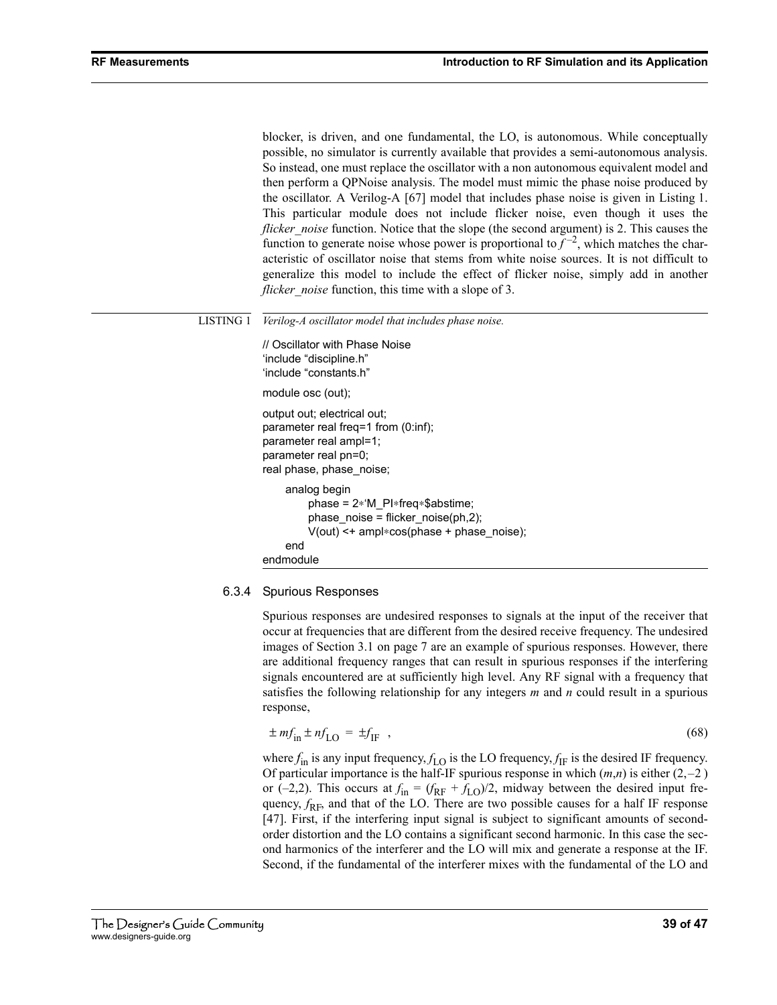blocker, is driven, and one fundamental, the LO, is autonomous. While conceptually possible, no simulator is currently available that provides a semi-autonomous analysis. So instead, one must replace the oscillator with a non autonomous equivalent model and then perform a QPNoise analysis. The model must mimic the phase noise produced by the oscillator. A Verilog-A [\[67\]](#page-46-7) model that includes phase noise is given in [Listing 1.](#page-38-0) This particular module does not include flicker noise, even though it uses the *flicker\_noise* function. Notice that the slope (the second argument) is 2. This causes the function to generate noise whose power is proportional to  $f^{-2}$ , which matches the characteristic of oscillator noise that stems from white noise sources. It is not difficult to generalize this model to include the effect of flicker noise, simply add in another *flicker\_noise* function, this time with a slope of 3.

#### <span id="page-38-0"></span>LISTING 1 *Verilog-A oscillator model that includes phase noise.*

```
// Oscillator with Phase Noise
'include "discipline.h"
'include "constants.h"
```
# module osc (out);

output out; electrical out; parameter real freq=1 from (0:inf); parameter real ampl=1; parameter real pn=0; real phase, phase\_noise;

```
analog begin
        phase = 2∗'M_PI∗freq∗$abstime;
        phase_noise = flicker_noise(ph,2);
        V(out) <+ ampl∗cos(phase + phase_noise);
    end
endmodule
```
# 6.3.4 Spurious Responses

Spurious responses are undesired responses to signals at the input of the receiver that occur at frequencies that are different from the desired receive frequency. The undesired images of [Section 3.1 on page 7](#page-6-1) are an example of spurious responses. However, there are additional frequency ranges that can result in spurious responses if the interfering signals encountered are at sufficiently high level. Any RF signal with a frequency that satisfies the following relationship for any integers *m* and *n* could result in a spurious response,

$$
\pm m f_{\text{in}} \pm n f_{\text{LO}} = \pm f_{\text{IF}} \quad , \tag{68}
$$

where  $f_{\text{in}}$  is any input frequency,  $f_{\text{LO}}$  is the LO frequency,  $f_{\text{IF}}$  is the desired IF frequency. Of particular importance is the half-IF spurious response in which  $(m, n)$  is either  $(2, -2)$ or (-2,2). This occurs at  $f_{\text{in}} = (f_{\text{RF}} + f_{\text{LO}})/2$ , midway between the desired input frequency,  $f_{\text{RF}}$ , and that of the LO. There are two possible causes for a half IF response [\[47\].](#page-44-0) First, if the interfering input signal is subject to significant amounts of secondorder distortion and the LO contains a significant second harmonic. In this case the second harmonics of the interferer and the LO will mix and generate a response at the IF. Second, if the fundamental of the interferer mixes with the fundamental of the LO and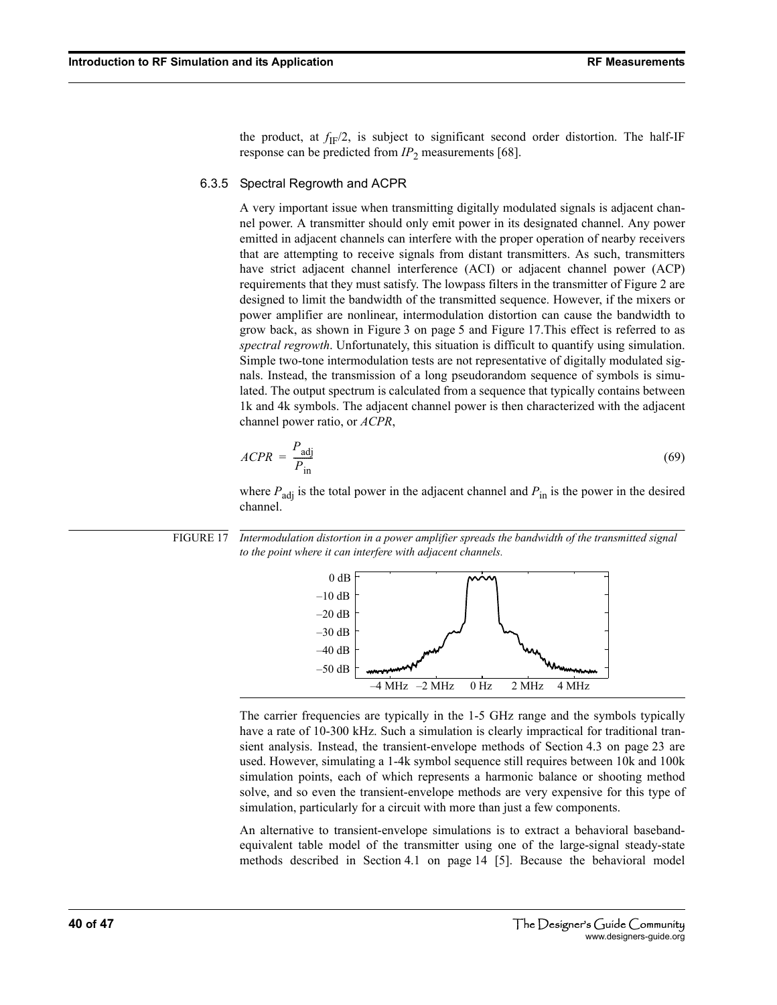the product, at  $f_{IF}/2$ , is subject to significant second order distortion. The half-IF response can be predicted from  $IP_2$  measurements [\[68\].](#page-46-4)

#### 6.3.5 Spectral Regrowth and ACPR

A very important issue when transmitting digitally modulated signals is adjacent channel power. A transmitter should only emit power in its designated channel. Any power emitted in adjacent channels can interfere with the proper operation of nearby receivers that are attempting to receive signals from distant transmitters. As such, transmitters have strict adjacent channel interference (ACI) or adjacent channel power (ACP) requirements that they must satisfy. The lowpass filters in the transmitter of Figure [2](#page-3-0) are designed to limit the bandwidth of the transmitted sequence. However, if the mixers or power amplifier are nonlinear, intermodulation distortion can cause the bandwidth to grow back, as shown in [Figure 3 on page 5](#page-4-0) and [Figure 17](#page-39-0).This effect is referred to as *spectral regrowth*. Unfortunately, this situation is difficult to quantify using simulation. Simple two-tone intermodulation tests are not representative of digitally modulated signals. Instead, the transmission of a long pseudorandom sequence of symbols is simulated. The output spectrum is calculated from a sequence that typically contains between 1k and 4k symbols. The adjacent channel power is then characterized with the adjacent channel power ratio, or *ACPR*,

$$
ACPR = \frac{P_{\text{adj}}}{P_{\text{in}}} \tag{69}
$$

where  $P_{\text{adj}}$  is the total power in the adjacent channel and  $P_{\text{in}}$  is the power in the desired channel.

<span id="page-39-0"></span>FIGURE 17 *Intermodulation distortion in a power amplifier spreads the bandwidth of the transmitted signal to the point where it can interfere with adjacent channels.*



The carrier frequencies are typically in the 1-5 GHz range and the symbols typically have a rate of 10-300 kHz. Such a simulation is clearly impractical for traditional transient analysis. Instead, the transient-envelope methods of [Section 4.3 on page 23](#page-22-0) are used. However, simulating a 1-4k symbol sequence still requires between 10k and 100k simulation points, each of which represents a harmonic balance or shooting method solve, and so even the transient-envelope methods are very expensive for this type of simulation, particularly for a circuit with more than just a few components.

An alternative to transient-envelope simulations is to extract a behavioral basebandequivalent table model of the transmitter using one of the large-signal steady-state methods described in [Section 4.1 on page 14](#page-13-0) [\[5\].](#page-42-14) Because the behavioral model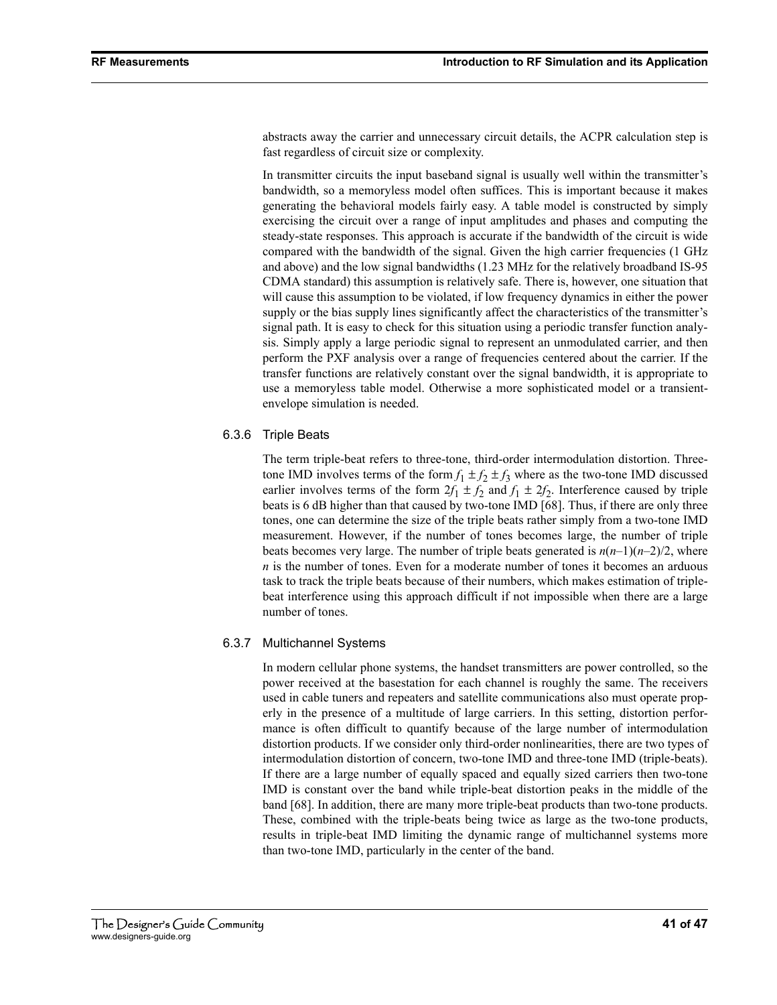abstracts away the carrier and unnecessary circuit details, the ACPR calculation step is fast regardless of circuit size or complexity.

In transmitter circuits the input baseband signal is usually well within the transmitter's bandwidth, so a memoryless model often suffices. This is important because it makes generating the behavioral models fairly easy. A table model is constructed by simply exercising the circuit over a range of input amplitudes and phases and computing the steady-state responses. This approach is accurate if the bandwidth of the circuit is wide compared with the bandwidth of the signal. Given the high carrier frequencies (1 GHz and above) and the low signal bandwidths (1.23 MHz for the relatively broadband IS-95 CDMA standard) this assumption is relatively safe. There is, however, one situation that will cause this assumption to be violated, if low frequency dynamics in either the power supply or the bias supply lines significantly affect the characteristics of the transmitter's signal path. It is easy to check for this situation using a periodic transfer function analysis. Simply apply a large periodic signal to represent an unmodulated carrier, and then perform the PXF analysis over a range of frequencies centered about the carrier. If the transfer functions are relatively constant over the signal bandwidth, it is appropriate to use a memoryless table model. Otherwise a more sophisticated model or a transientenvelope simulation is needed.

# 6.3.6 Triple Beats

The term triple-beat refers to three-tone, third-order intermodulation distortion. Threetone IMD involves terms of the form  $f_1 \pm f_2 \pm f_3$  where as the two-tone IMD discussed earlier involves terms of the form  $2f_1 \pm f_2$  and  $f_1 \pm 2f_2$ . Interference caused by triple beats is 6 dB higher than that caused by two-tone IMD [\[68\].](#page-46-4) Thus, if there are only three tones, one can determine the size of the triple beats rather simply from a two-tone IMD measurement. However, if the number of tones becomes large, the number of triple beats becomes very large. The number of triple beats generated is  $n(n-1)(n-2)/2$ , where *n* is the number of tones. Even for a moderate number of tones it becomes an arduous task to track the triple beats because of their numbers, which makes estimation of triplebeat interference using this approach difficult if not impossible when there are a large number of tones.

# 6.3.7 Multichannel Systems

In modern cellular phone systems, the handset transmitters are power controlled, so the power received at the basestation for each channel is roughly the same. The receivers used in cable tuners and repeaters and satellite communications also must operate properly in the presence of a multitude of large carriers. In this setting, distortion performance is often difficult to quantify because of the large number of intermodulation distortion products. If we consider only third-order nonlinearities, there are two types of intermodulation distortion of concern, two-tone IMD and three-tone IMD (triple-beats). If there are a large number of equally spaced and equally sized carriers then two-tone IMD is constant over the band while triple-beat distortion peaks in the middle of the band [\[68\]](#page-46-4). In addition, there are many more triple-beat products than two-tone products. These, combined with the triple-beats being twice as large as the two-tone products, results in triple-beat IMD limiting the dynamic range of multichannel systems more than two-tone IMD, particularly in the center of the band.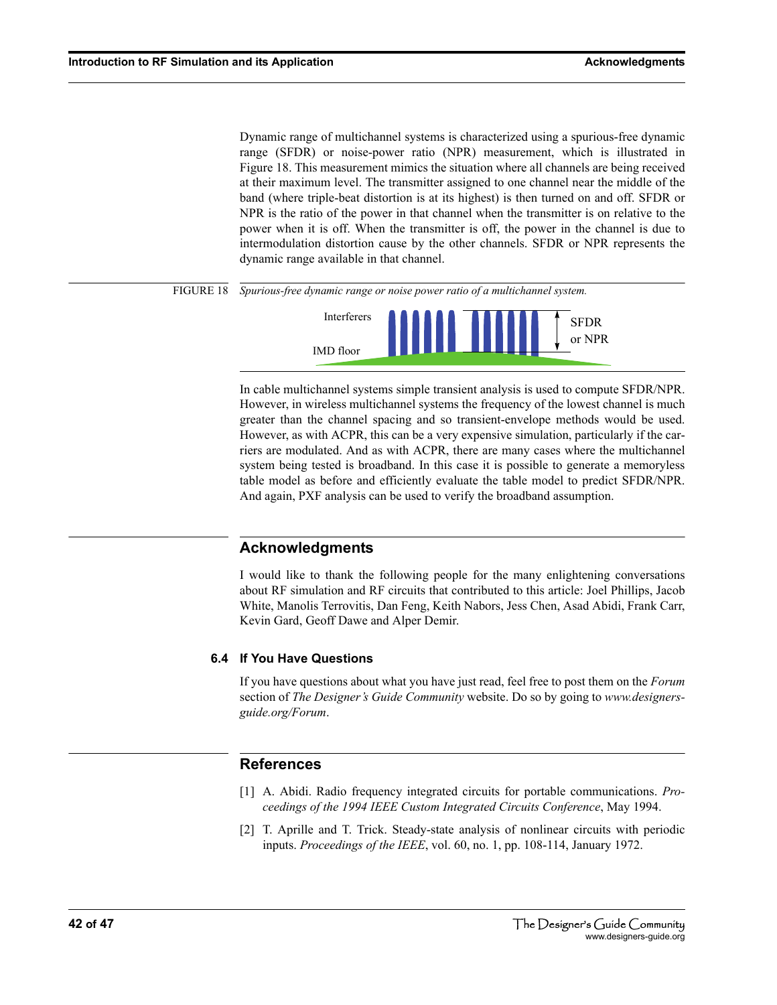Dynamic range of multichannel systems is characterized using a spurious-free dynamic range (SFDR) or noise-power ratio (NPR) measurement, which is illustrated in [Figure 18.](#page-41-2) This measurement mimics the situation where all channels are being received at their maximum level. The transmitter assigned to one channel near the middle of the band (where triple-beat distortion is at its highest) is then turned on and off. SFDR or NPR is the ratio of the power in that channel when the transmitter is on relative to the power when it is off. When the transmitter is off, the power in the channel is due to intermodulation distortion cause by the other channels. SFDR or NPR represents the dynamic range available in that channel.

<span id="page-41-2"></span>

In cable multichannel systems simple transient analysis is used to compute SFDR/NPR. However, in wireless multichannel systems the frequency of the lowest channel is much greater than the channel spacing and so transient-envelope methods would be used. However, as with ACPR, this can be a very expensive simulation, particularly if the carriers are modulated. And as with ACPR, there are many cases where the multichannel system being tested is broadband. In this case it is possible to generate a memoryless table model as before and efficiently evaluate the table model to predict SFDR/NPR. And again, PXF analysis can be used to verify the broadband assumption.

# **Acknowledgments**

I would like to thank the following people for the many enlightening conversations about RF simulation and RF circuits that contributed to this article: Joel Phillips, Jacob White, Manolis Terrovitis, Dan Feng, Keith Nabors, Jess Chen, Asad Abidi, Frank Carr, Kevin Gard, Geoff Dawe and Alper Demir.

# **6.4 If You Have Questions**

If you have questions about what you have just read, feel free to post them on the *Forum* section of *[The Designer's Guide Community](http://www.designers-guide.org)* website. Do so by going to *[www.designers](http://www.designers-guide.org/Forum)[guide.org/Forum](http://www.designers-guide.org/Forum)*.

# **References**

- <span id="page-41-0"></span>[1] A. Abidi. Radio frequency integrated circuits for portable communications. *Proceedings of the 1994 IEEE Custom Integrated Circuits Conference*, May 1994.
- <span id="page-41-1"></span>[2] T. Aprille and T. Trick. Steady-state analysis of nonlinear circuits with periodic inputs. *Proceedings of the IEEE*, vol. 60, no. 1, pp. 108-114, January 1972.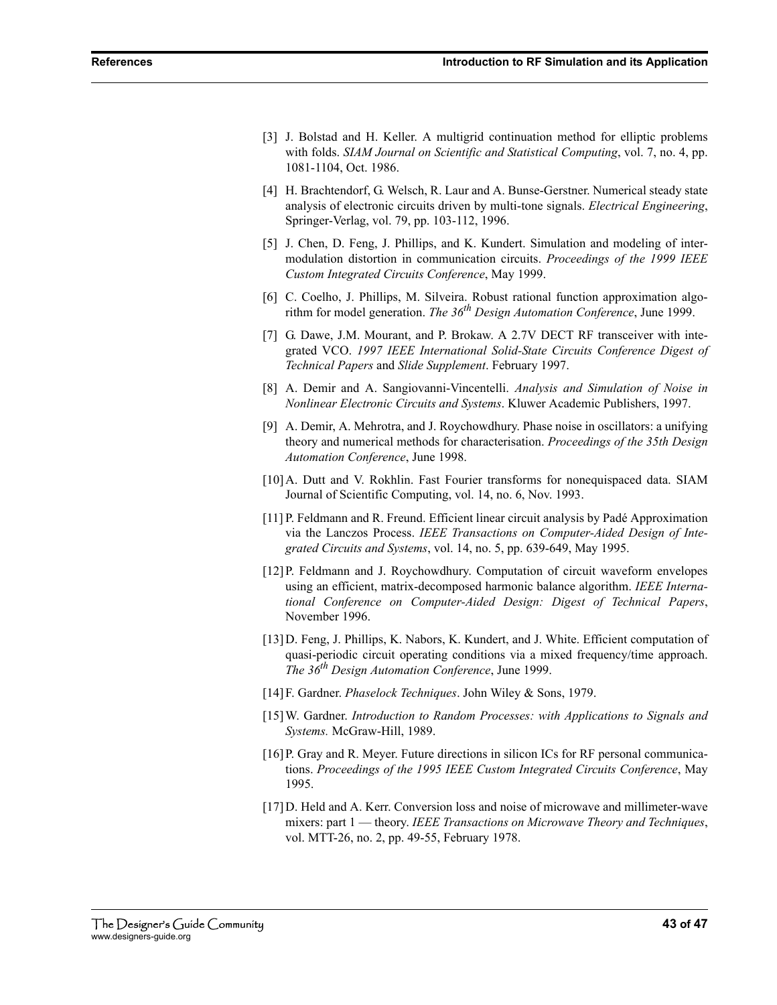- <span id="page-42-9"></span>[3] J. Bolstad and H. Keller. A multigrid continuation method for elliptic problems with folds. *SIAM Journal on Scientific and Statistical Computing*, vol. 7, no. 4, pp. 1081-1104, Oct. 1986.
- <span id="page-42-8"></span>[4] H. Brachtendorf, G. Welsch, R. Laur and A. Bunse-Gerstner. Numerical steady state analysis of electronic circuits driven by multi-tone signals. *Electrical Engineering*, Springer-Verlag, vol. 79, pp. 103-112, 1996.
- <span id="page-42-14"></span>[5] J. Chen, D. Feng, J. Phillips, and K. Kundert. Simulation and modeling of intermodulation distortion in communication circuits. *Proceedings of the 1999 IEEE Custom Integrated Circuits Conference*, May 1999.
- <span id="page-42-3"></span>[6] C. Coelho, J. Phillips, M. Silveira. Robust rational function approximation algorithm for model generation. *The 36th Design Automation Conference*, June 1999.
- <span id="page-42-11"></span>[7] G. Dawe, J.M. Mourant, and P. Brokaw. A 2.7V DECT RF transceiver with integrated VCO. *1997 IEEE International Solid-State Circuits Conference Digest of Technical Papers* and *Slide Supplement*. February 1997.
- <span id="page-42-1"></span>[8] A. Demir and A. Sangiovanni-Vincentelli. *Analysis and Simulation of Noise in Nonlinear Electronic Circuits and Systems*. Kluwer Academic Publishers, 1997.
- <span id="page-42-2"></span>[9] A. Demir, A. Mehrotra, and J. Roychowdhury. Phase noise in oscillators: a unifying theory and numerical methods for characterisation. *Proceedings of the 35th Design Automation Conference*, June 1998.
- <span id="page-42-10"></span>[10] A. Dutt and V. Rokhlin. Fast Fourier transforms for nonequispaced data. SIAM Journal of Scientific Computing, vol. 14, no. 6, Nov. 1993.
- <span id="page-42-4"></span>[11] P. Feldmann and R. Freund. Efficient linear circuit analysis by Padé Approximation via the Lanczos Process. *IEEE Transactions on Computer-Aided Design of Integrated Circuits and Systems*, vol. 14, no. 5, pp. 639-649, May 1995.
- <span id="page-42-7"></span>[12] P. Feldmann and J. Roychowdhury. Computation of circuit waveform envelopes using an efficient, matrix-decomposed harmonic balance algorithm. *IEEE International Conference on Computer-Aided Design: Digest of Technical Papers*, November 1996.
- <span id="page-42-5"></span>[13] D. Feng, J. Phillips, K. Nabors, K. Kundert, and J. White. Efficient computation of quasi-periodic circuit operating conditions via a mixed frequency/time approach. *The 36th Design Automation Conference*, June 1999.
- <span id="page-42-13"></span>[14] F. Gardner. *Phaselock Techniques*. John Wiley & Sons, 1979.
- <span id="page-42-12"></span>[15] W. Gardner. *Introduction to Random Processes: with Applications to Signals and Systems.* McGraw-Hill, 1989.
- <span id="page-42-0"></span>[16] P. Gray and R. Meyer. Future directions in silicon ICs for RF personal communications. *Proceedings of the 1995 IEEE Custom Integrated Circuits Conference*, May 1995.
- <span id="page-42-6"></span>[17] D. Held and A. Kerr. Conversion loss and noise of microwave and millimeter-wave mixers: part 1 — theory. *IEEE Transactions on Microwave Theory and Techniques*, vol. MTT-26, no. 2, pp. 49-55, February 1978.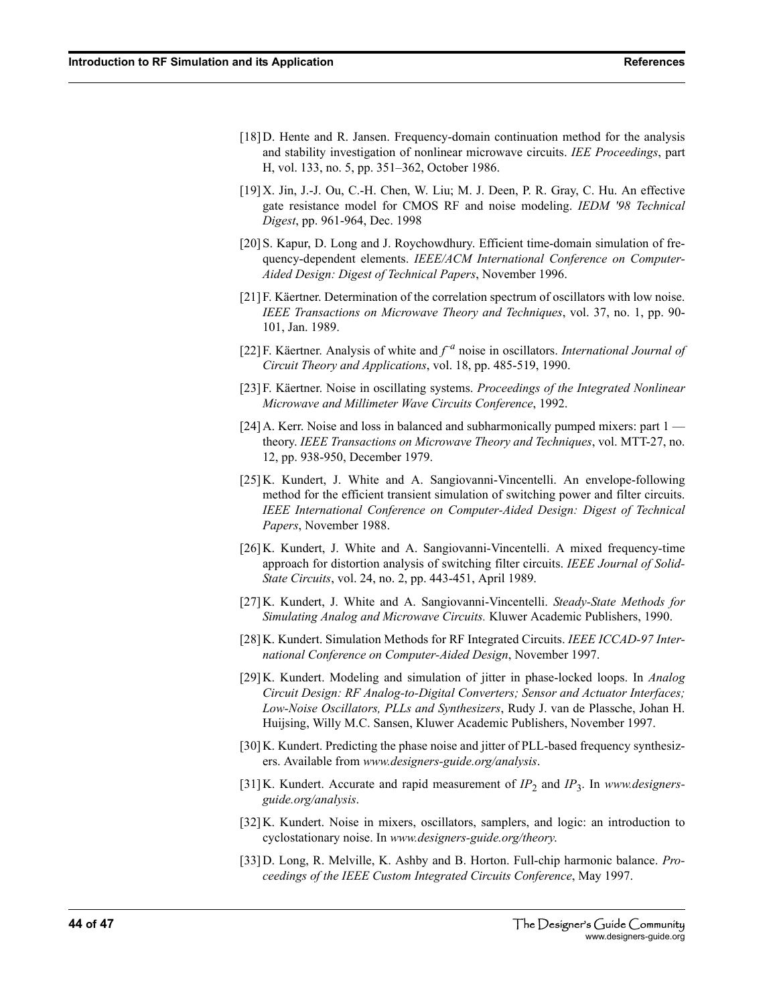- <span id="page-43-8"></span>[18] D. Hente and R. Jansen. Frequency-domain continuation method for the analysis and stability investigation of nonlinear microwave circuits. *IEE Proceedings*, part H, vol. 133, no. 5, pp. 351–362, October 1986.
- <span id="page-43-4"></span>[19] X. Jin, J.-J. Ou, C.-H. Chen, W. Liu; M. J. Deen, P. R. Gray, C. Hu. An effective gate resistance model for CMOS RF and noise modeling. *IEDM '98 Technical Digest*, pp. 961-964, Dec. 1998
- <span id="page-43-3"></span>[20] S. Kapur, D. Long and J. Roychowdhury. Efficient time-domain simulation of frequency-dependent elements. *IEEE/ACM International Conference on Computer-Aided Design: Digest of Technical Papers*, November 1996.
- <span id="page-43-1"></span>[21] F. Käertner. Determination of the correlation spectrum of oscillators with low noise. *IEEE Transactions on Microwave Theory and Techniques*, vol. 37, no. 1, pp. 90- 101, Jan. 1989.
- <span id="page-43-2"></span>[22] F. Käertner. Analysis of white and  $f^a$  noise in oscillators. *International Journal of Circuit Theory and Applications*, vol. 18, pp. 485-519, 1990.
- <span id="page-43-5"></span>[23] F. Käertner. Noise in oscillating systems. *Proceedings of the Integrated Nonlinear Microwave and Millimeter Wave Circuits Conference*, 1992.
- <span id="page-43-10"></span>[24] A. Kerr. Noise and loss in balanced and subharmonically pumped mixers: part 1 theory. *IEEE Transactions on Microwave Theory and Techniques*, vol. MTT-27, no. 12, pp. 938-950, December 1979.
- <span id="page-43-11"></span>[25] [K. Kundert, J. White and A. Sangiovanni-Vincentelli. An envelope-following](https://kenkundert.com/docs/iccad88.pdf) [method for the efficient transient simulation of switching power and filter circuits.](https://kenkundert.com/docs/iccad88.pdf) *IEEE International Conference on Computer-Aided Design: Digest of Technical Papers*, November 1988.
- <span id="page-43-9"></span>[26] [K. Kundert, J. White and A. Sangiovanni-Vincentelli. A mixed frequency-time](https://kenkundert.com/docs/jssc89.pdf) [approach for distortion analysis of switching filter circuits.](https://kenkundert.com/docs/jssc89.pdf) *IEEE Journal of Solid-State Circuits*, vol. 24, no. 2, pp. 443-451, April 1989.
- <span id="page-43-7"></span>[27] K. Kundert, J. White and A. Sangiovanni-Vincentelli. *Steady-State Methods for Simulating Analog and Microwave Circuits.* Kluwer Academic Publishers, 1990.
- <span id="page-43-0"></span>[28] [K. Kundert. Simulation Methods for RF Integrated Circuits.](https://kenkundert.com/docs/iccad97.pdf) *IEEE ICCAD-97 International Conference on Computer-Aided Design*, November 1997.
- <span id="page-43-14"></span>[29] K. Kundert. Modeling and simulation of jitter in phase-locked loops. In *Analog Circuit Design: RF Analog-to-Digital Converters; Sensor and Actuator Interfaces; Low-Noise Oscillators, PLLs and Synthesizers*, Rudy J. van de Plassche, Johan H. Huijsing, Willy M.C. Sansen, Kluwer Academic Publishers, November 1997.
- <span id="page-43-13"></span>[30] [K. Kundert. Predicting the phase noise and jitter of PLL-based frequency synthesiz](https://designers-guide.org/analysis/PLLnoise+jitter.pdf)[ers. Available from](https://designers-guide.org/analysis/PLLnoise+jitter.pdf) *[www.designers-guide.org/analysis](https://www.designers-guide.org/analysis)*.
- <span id="page-43-15"></span>[31] [K. Kundert. Accurate and rapid measurement of](https://designers-guide.org/analysis/intercept-point.pdf)  $IP_2$  and  $IP_3$ . In *www.designers[guide.org/analysis](https://www.designers-guide.org/analysis)*.
- <span id="page-43-12"></span>[32] [K. Kundert. Noise in mixers, oscillators, samplers, and logic: an introduction to](https://designers-guide.org/theory/cyclo-paper.pdf) [cyclostationary noise. In](https://designers-guide.org/theory/cyclo-paper.pdf) *[www.designers-guide.org/theory](https://www.designers-guide.org/theory)*.
- <span id="page-43-6"></span>[33] D. Long, R. Melville, K. Ashby and B. Horton. Full-chip harmonic balance. *Proceedings of the IEEE Custom Integrated Circuits Conference*, May 1997.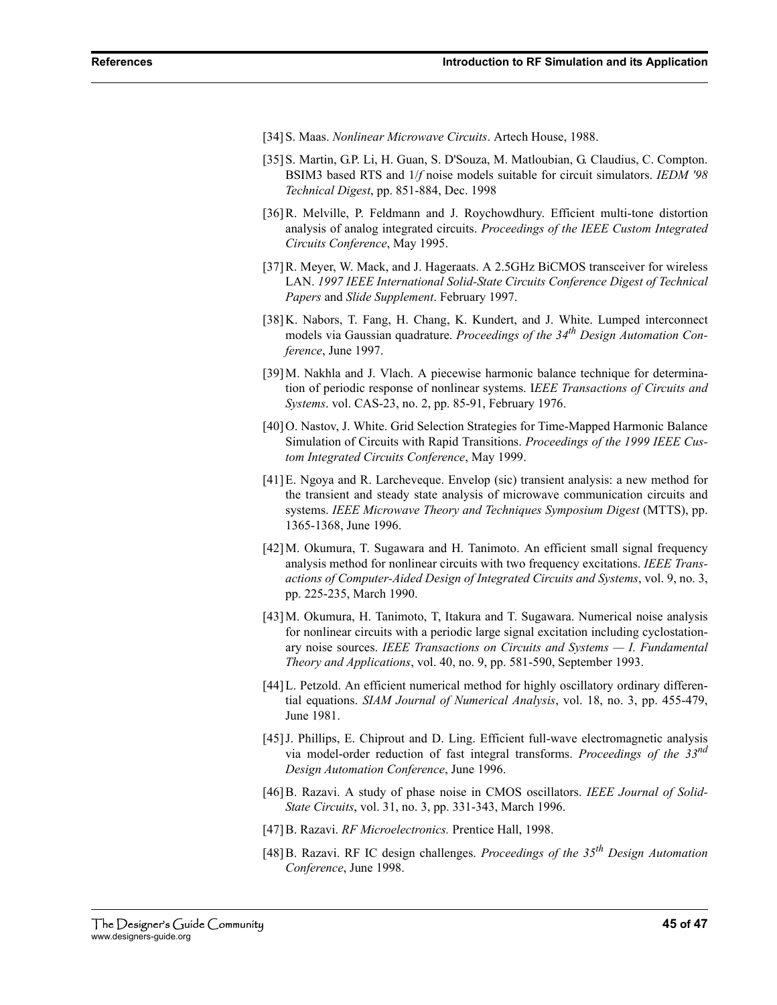- <span id="page-44-9"></span>[34] S. Maas. *Nonlinear Microwave Circuits*. Artech House, 1988.
- <span id="page-44-5"></span>[35] S. Martin, G.P. Li, H. Guan, S. D'Souza, M. Matloubian, G. Claudius, C. Compton. BSIM3 based RTS and 1/*f* noise models suitable for circuit simulators. *IEDM '98 Technical Digest*, pp. 851-884, Dec. 1998
- <span id="page-44-6"></span>[36] R. Melville, P. Feldmann and J. Roychowdhury. Efficient multi-tone distortion analysis of analog integrated circuits. *Proceedings of the IEEE Custom Integrated Circuits Conference*, May 1995.
- <span id="page-44-14"></span>[37] R. Meyer, W. Mack, and J. Hageraats. A 2.5GHz BiCMOS transceiver for wireless LAN. *1997 IEEE International Solid-State Circuits Conference Digest of Technical Papers* and *Slide Supplement*. February 1997.
- <span id="page-44-3"></span>[38] K. Nabors, T. Fang, H. Chang, K. Kundert, and J. White. Lumped interconnect models via Gaussian quadrature. *Proceedings of the 34th Design Automation Conference*, June 1997.
- <span id="page-44-7"></span>[39] M. Nakhla and J. Vlach. A piecewise harmonic balance technique for determination of periodic response of nonlinear systems. I*EEE Transactions of Circuits and Systems*. vol. CAS-23, no. 2, pp. 85-91, February 1976.
- <span id="page-44-12"></span>[40] O. Nastov, J. White. Grid Selection Strategies for Time-Mapped Harmonic Balance Simulation of Circuits with Rapid Transitions. *Proceedings of the 1999 IEEE Custom Integrated Circuits Conference*, May 1999.
- <span id="page-44-10"></span>[41] E. Ngoya and R. Larcheveque. Envelop (sic) transient analysis: a new method for the transient and steady state analysis of microwave communication circuits and systems. *IEEE Microwave Theory and Techniques Symposium Digest* (MTTS), pp. 1365-1368, June 1996.
- <span id="page-44-8"></span>[42] M. Okumura, T. Sugawara and H. Tanimoto. An efficient small signal frequency analysis method for nonlinear circuits with two frequency excitations. *IEEE Transactions of Computer-Aided Design of Integrated Circuits and Systems*, vol. 9, no. 3, pp. 225-235, March 1990.
- <span id="page-44-2"></span>[43] M. Okumura, H. Tanimoto, T, Itakura and T. Sugawara. Numerical noise analysis for nonlinear circuits with a periodic large signal excitation including cyclostationary noise sources. *IEEE Transactions on Circuits and Systems — I. Fundamental Theory and Applications*, vol. 40, no. 9, pp. 581-590, September 1993.
- <span id="page-44-11"></span>[44] L. Petzold. An efficient numerical method for highly oscillatory ordinary differential equations. *SIAM Journal of Numerical Analysis*, vol. 18, no. 3, pp. 455-479, June 1981.
- <span id="page-44-4"></span>[45] J. Phillips, E. Chiprout and D. Ling. Efficient full-wave electromagnetic analysis via model-order reduction of fast integral transforms. *Proceedings of the 33nd Design Automation Conference*, June 1996.
- <span id="page-44-13"></span>[46] B. Razavi. A study of phase noise in CMOS oscillators. *IEEE Journal of Solid-State Circuits*, vol. 31, no. 3, pp. 331-343, March 1996.
- <span id="page-44-0"></span>[47] B. Razavi. *RF Microelectronics.* Prentice Hall, 1998.
- <span id="page-44-1"></span>[48] B. Razavi. RF IC design challenges. *Proceedings of the 35th Design Automation Conference*, June 1998.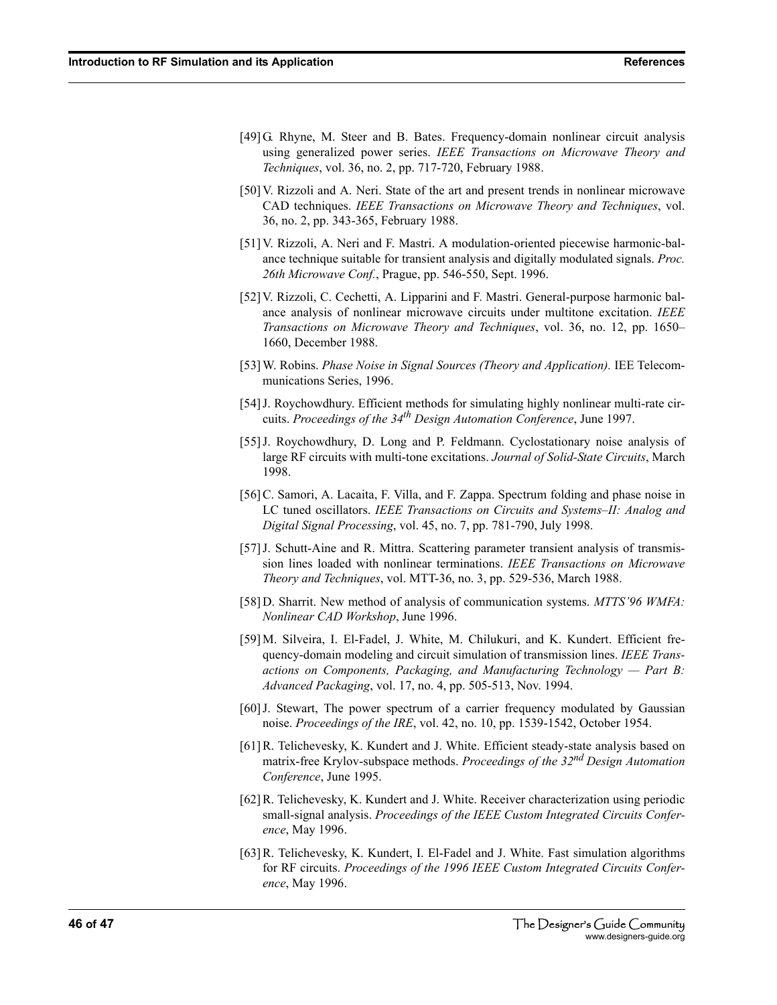- [49] G. Rhyne, M. Steer and B. Bates. Frequency-domain nonlinear circuit analysis using generalized power series. *IEEE Transactions on Microwave Theory and Techniques*, vol. 36, no. 2, pp. 717-720, February 1988.
- <span id="page-45-7"></span>[50] V. Rizzoli and A. Neri. State of the art and present trends in nonlinear microwave CAD techniques. *IEEE Transactions on Microwave Theory and Techniques*, vol. 36, no. 2, pp. 343-365, February 1988.
- <span id="page-45-10"></span>[51] V. Rizzoli, A. Neri and F. Mastri. A modulation-oriented piecewise harmonic-balance technique suitable for transient analysis and digitally modulated signals. *Proc. 26th Microwave Conf.*, Prague, pp. 546-550, Sept. 1996.
- <span id="page-45-8"></span>[52] V. Rizzoli, C. Cechetti, A. Lipparini and F. Mastri. General-purpose harmonic balance analysis of nonlinear microwave circuits under multitone excitation. *IEEE Transactions on Microwave Theory and Techniques*, vol. 36, no. 12, pp. 1650– 1660, December 1988.
- <span id="page-45-12"></span>[53] W. Robins. *Phase Noise in Signal Sources (Theory and Application).* IEE Telecommunications Series, 1996.
- <span id="page-45-11"></span>[54] J. Roychowdhury. Efficient methods for simulating highly nonlinear multi-rate circuits. *Proceedings of the 34th Design Automation Conference*, June 1997.
- <span id="page-45-1"></span>[55] J. Roychowdhury, D. Long and P. Feldmann. Cyclostationary noise analysis of large RF circuits with multi-tone excitations. *Journal of Solid-State Circuits*, March 1998.
- <span id="page-45-13"></span>[56] C. Samori, A. Lacaita, F. Villa, and F. Zappa. Spectrum folding and phase noise in LC tuned oscillators. *IEEE Transactions on Circuits and Systems–II: Analog and Digital Signal Processing*, vol. 45, no. 7, pp. 781-790, July 1998.
- <span id="page-45-2"></span>[57] J. Schutt-Aine and R. Mittra. Scattering parameter transient analysis of transmission lines loaded with nonlinear terminations. *IEEE Transactions on Microwave Theory and Techniques*, vol. MTT-36, no. 3, pp. 529-536, March 1988.
- <span id="page-45-9"></span>[58] D. Sharrit. New method of analysis of communication systems. *MTTS'96 WMFA: Nonlinear CAD Workshop*, June 1996.
- <span id="page-45-3"></span>[59] M. Silveira, I. El-Fadel, J. White, M. Chilukuri, and K. Kundert. Efficient frequency-domain modeling and circuit simulation of transmission lines. *IEEE Transactions on Components, Packaging, and Manufacturing Technology — Part B: Advanced Packaging*, vol. 17, no. 4, pp. 505-513, Nov. 1994.
- <span id="page-45-4"></span>[60] J. Stewart, The power spectrum of a carrier frequency modulated by Gaussian noise. *Proceedings of the IRE*, vol. 42, no. 10, pp. 1539-1542, October 1954.
- <span id="page-45-5"></span>[61] R. Telichevesky, K. Kundert and J. White. Efficient steady-state analysis based on matrix-free Krylov-subspace methods. *Proceedings of the 32nd Design Automation Conference*, June 1995.
- <span id="page-45-0"></span>[62] R. Telichevesky, K. Kundert and J. White. Receiver characterization using periodic small-signal analysis. *Proceedings of the IEEE Custom Integrated Circuits Conference*, May 1996.
- <span id="page-45-6"></span>[63] R. Telichevesky, K. Kundert, I. El-Fadel and J. White. Fast simulation algorithms for RF circuits. *Proceedings of the 1996 IEEE Custom Integrated Circuits Conference*, May 1996.